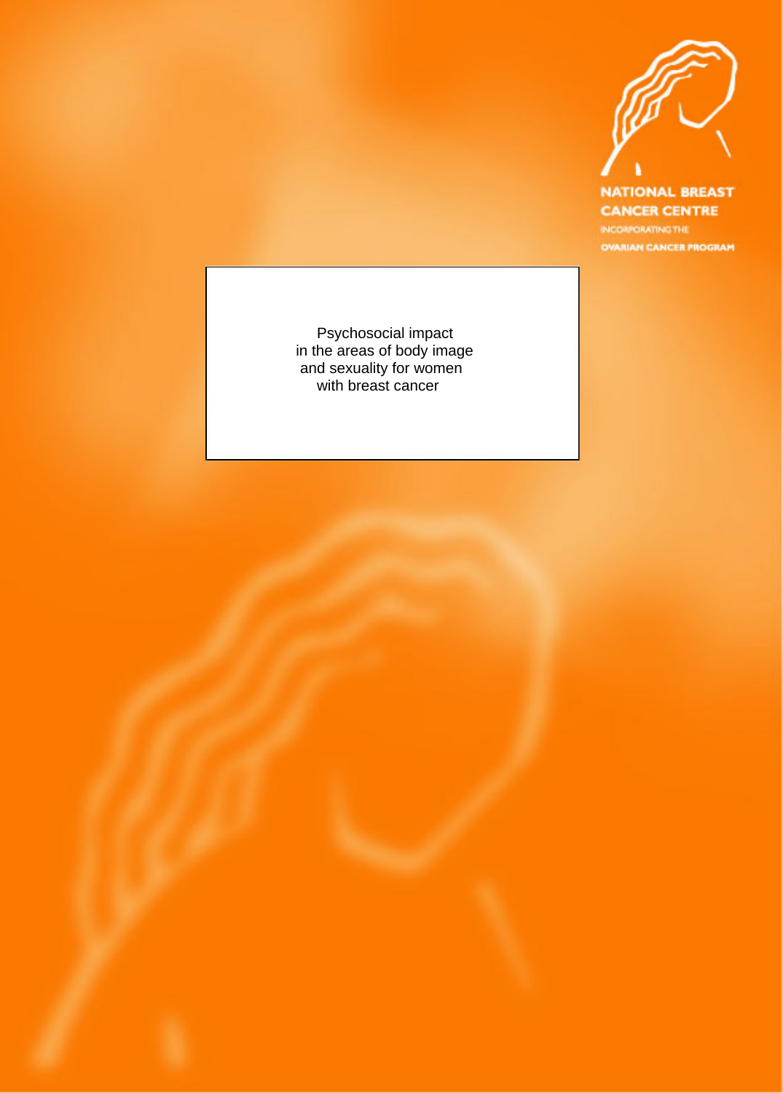

**NATIONAL BREAST CANCER CENTRE** INCORPORATING THE **OVARIAN CANCER PROGRAM** 

Psychosocial impact<br>in the areas of body image<br>and sexuality for women<br>with breast cancer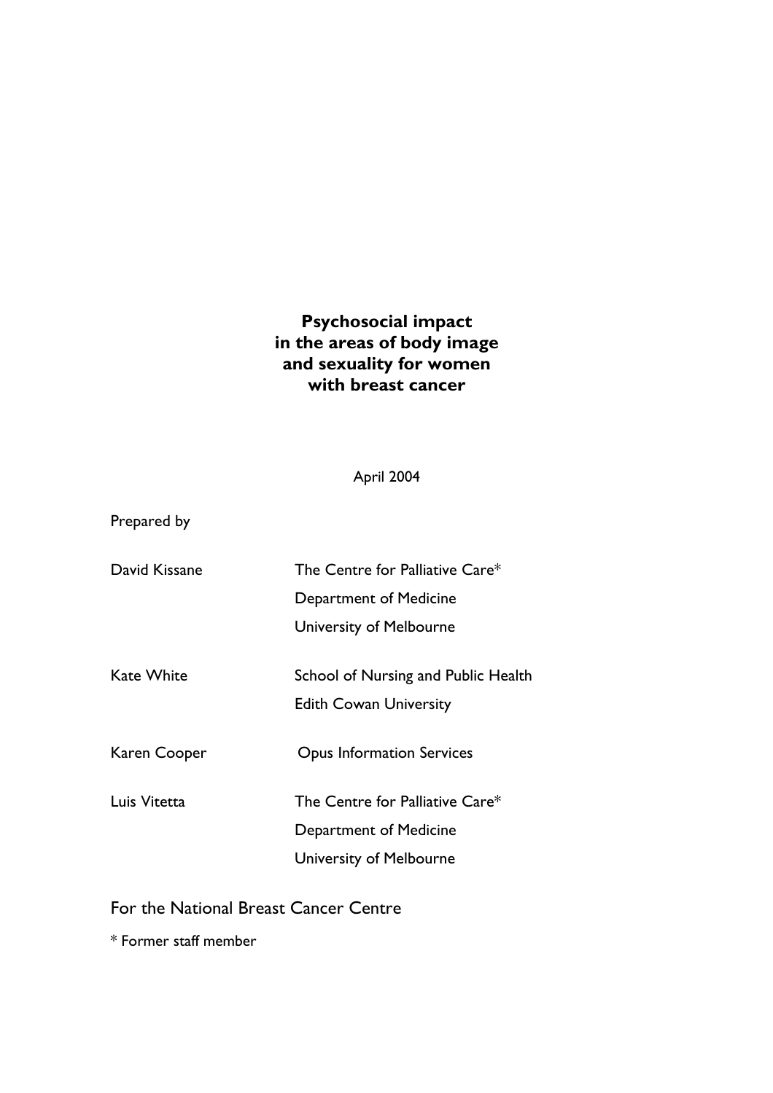# **Psychosocial impact in the areas of body image and sexuality for women with breast cancer**

April 2004

Prepared by

| David Kissane | The Centre for Palliative Care*     |
|---------------|-------------------------------------|
|               | Department of Medicine              |
|               | University of Melbourne             |
| Kate White    | School of Nursing and Public Health |
|               | <b>Edith Cowan University</b>       |
| Karen Cooper  | <b>Opus Information Services</b>    |
| Luis Vitetta  | The Centre for Palliative Care*     |
|               | Department of Medicine              |
|               | University of Melbourne             |
|               |                                     |

For the National Breast Cancer Centre

\* Former staff member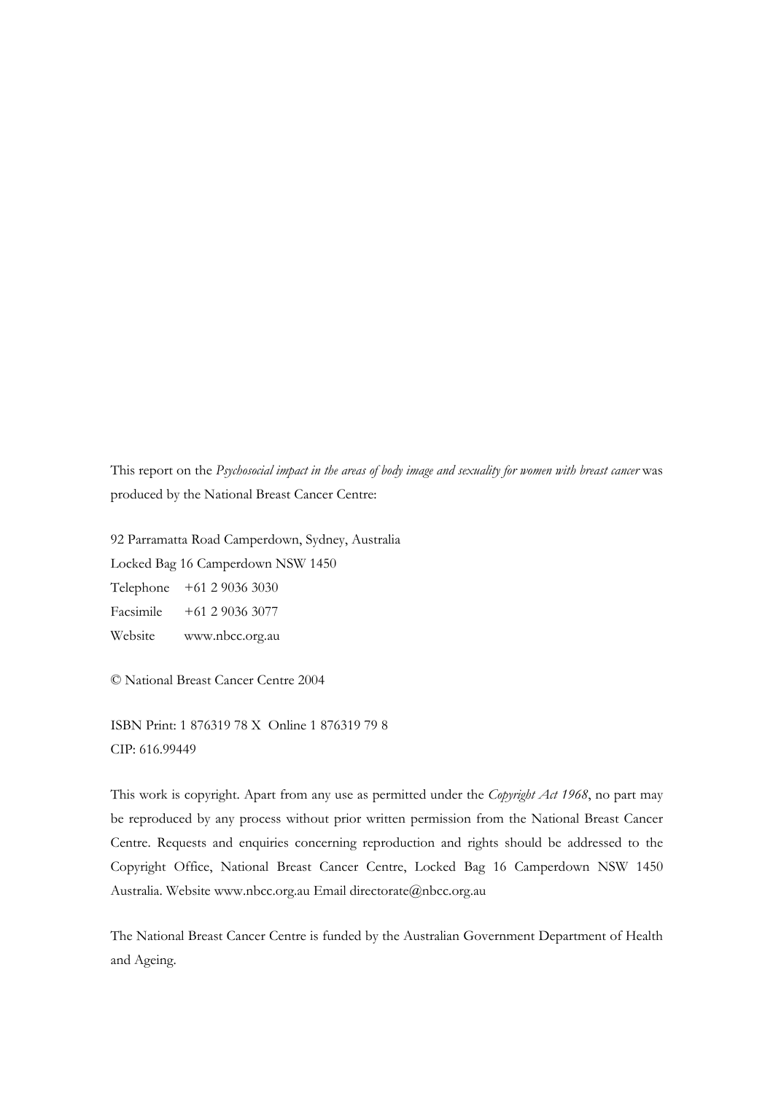This report on the *Psychosocial impact in the areas of body image and sexuality for women with breast cancer* was produced by the National Breast Cancer Centre:

92 Parramatta Road Camperdown, Sydney, Australia Locked Bag 16 Camperdown NSW 1450 Telephone +61 2 9036 3030 Facsimile +61 2 9036 3077 Website www.nbcc.org.au

© National Breast Cancer Centre 2004

ISBN Print: 1 876319 78 X Online 1 876319 79 8 CIP: 616.99449

This work is copyright. Apart from any use as permitted under the *Copyright Act 1968*, no part may be reproduced by any process without prior written permission from the National Breast Cancer Centre. Requests and enquiries concerning reproduction and rights should be addressed to the Copyright Office, National Breast Cancer Centre, Locked Bag 16 Camperdown NSW 1450 Australia. Website www.nbcc.org.au Email directorate@nbcc.org.au

The National Breast Cancer Centre is funded by the Australian Government Department of Health and Ageing.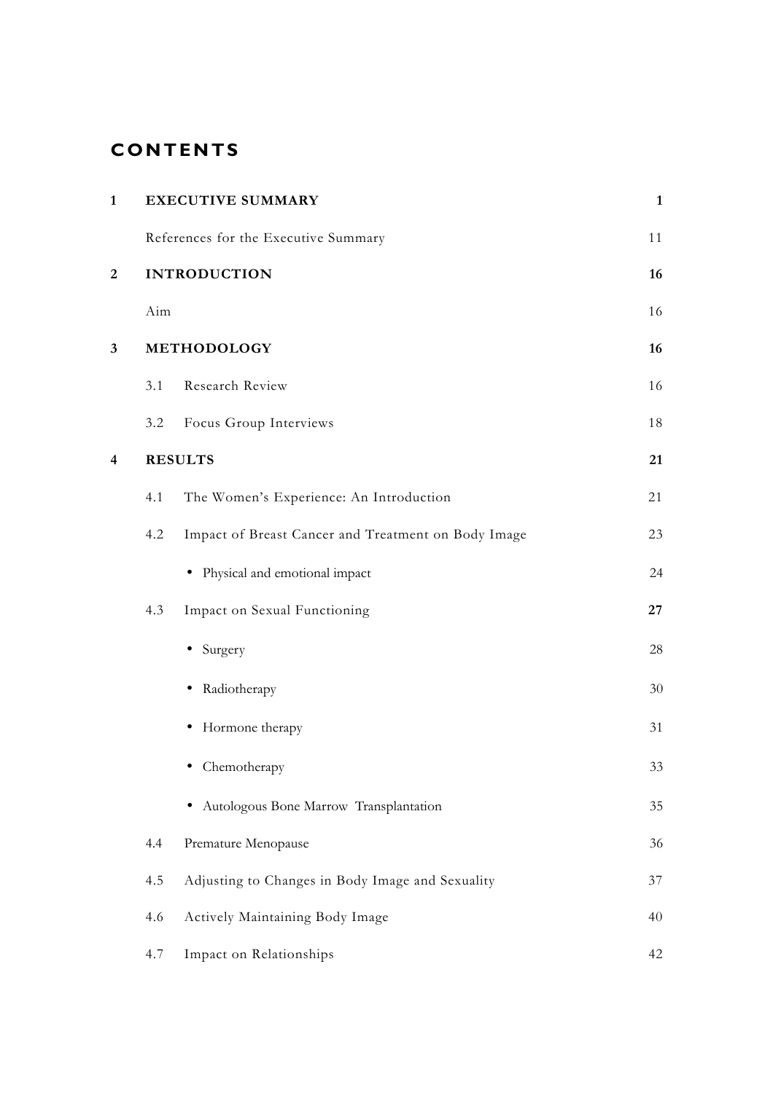# **CONTENTS**

| $\mathbf{1}$            | <b>EXECUTIVE SUMMARY</b>                                   |        |
|-------------------------|------------------------------------------------------------|--------|
|                         | References for the Executive Summary                       | 11     |
| $\overline{2}$          | <b>INTRODUCTION</b>                                        | 16     |
|                         | Aim                                                        | 16     |
| $\mathbf{3}$            | METHODOLOGY                                                | 16     |
|                         | Research Review<br>3.1                                     | 16     |
|                         | Focus Group Interviews<br>3.2                              | $18\,$ |
| $\overline{\mathbf{4}}$ | <b>RESULTS</b>                                             | 21     |
|                         | The Women's Experience: An Introduction<br>4.1             | 21     |
|                         | 4.2<br>Impact of Breast Cancer and Treatment on Body Image | 23     |
|                         | • Physical and emotional impact                            | 24     |
|                         | Impact on Sexual Functioning<br>4.3                        | 27     |
|                         | • Surgery                                                  | $28\,$ |
|                         | • Radiotherapy                                             | $30\,$ |
|                         | • Hormone therapy                                          | 31     |
|                         | • Chemotherapy                                             | 33     |
|                         | · Autologous Bone Marrow Transplantation                   | $35\,$ |
|                         | Premature Menopause<br>4.4                                 | 36     |
|                         | Adjusting to Changes in Body Image and Sexuality<br>4.5    | 37     |
|                         | Actively Maintaining Body Image<br>4.6                     | 40     |
|                         | Impact on Relationships<br>4.7                             | 42     |
|                         |                                                            |        |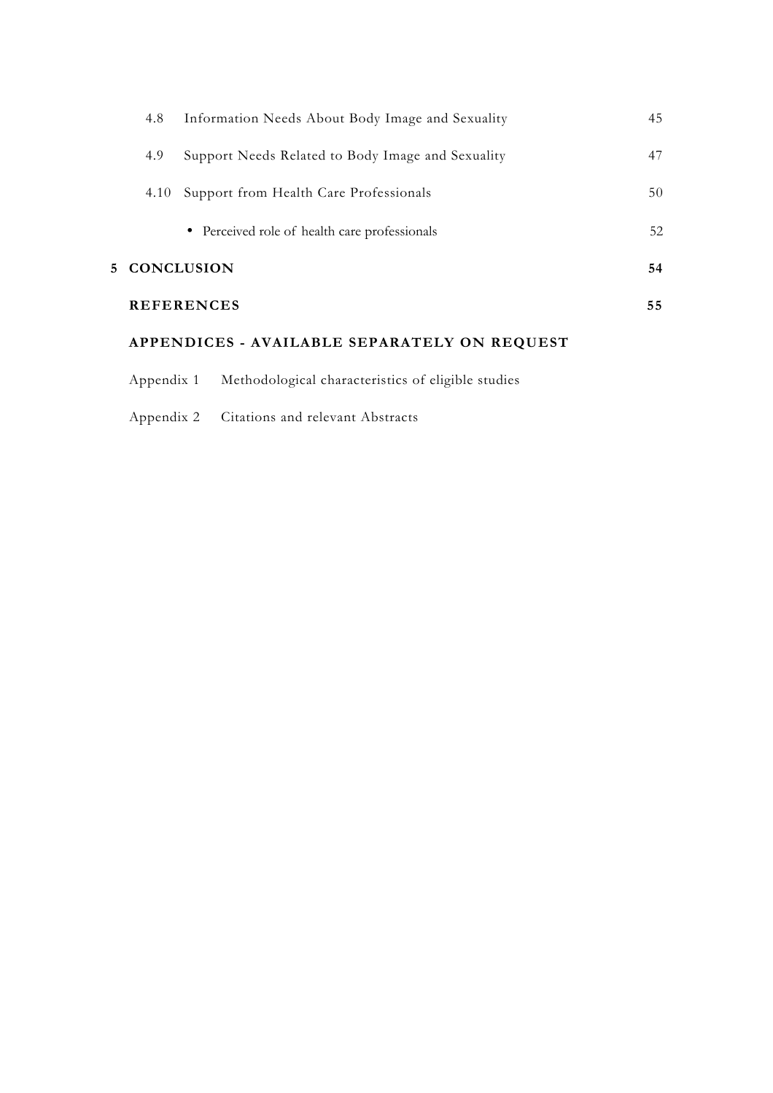| 4.8          | Information Needs About Body Image and Sexuality  | 45 |
|--------------|---------------------------------------------------|----|
| 4.9          | Support Needs Related to Body Image and Sexuality | 47 |
| 4.10         | Support from Health Care Professionals            | 50 |
|              | • Perceived role of health care professionals     | 52 |
| 5 CONCLUSION |                                                   | 54 |
|              | <b>REFERENCES</b>                                 | 55 |
|              |                                                   |    |

# **APPENDICES - AVAILABLE SEPARATELY ON REQUEST**

- Appendix 1 Methodological characteristics of eligible studies
- Appendix 2 Citations and relevant Abstracts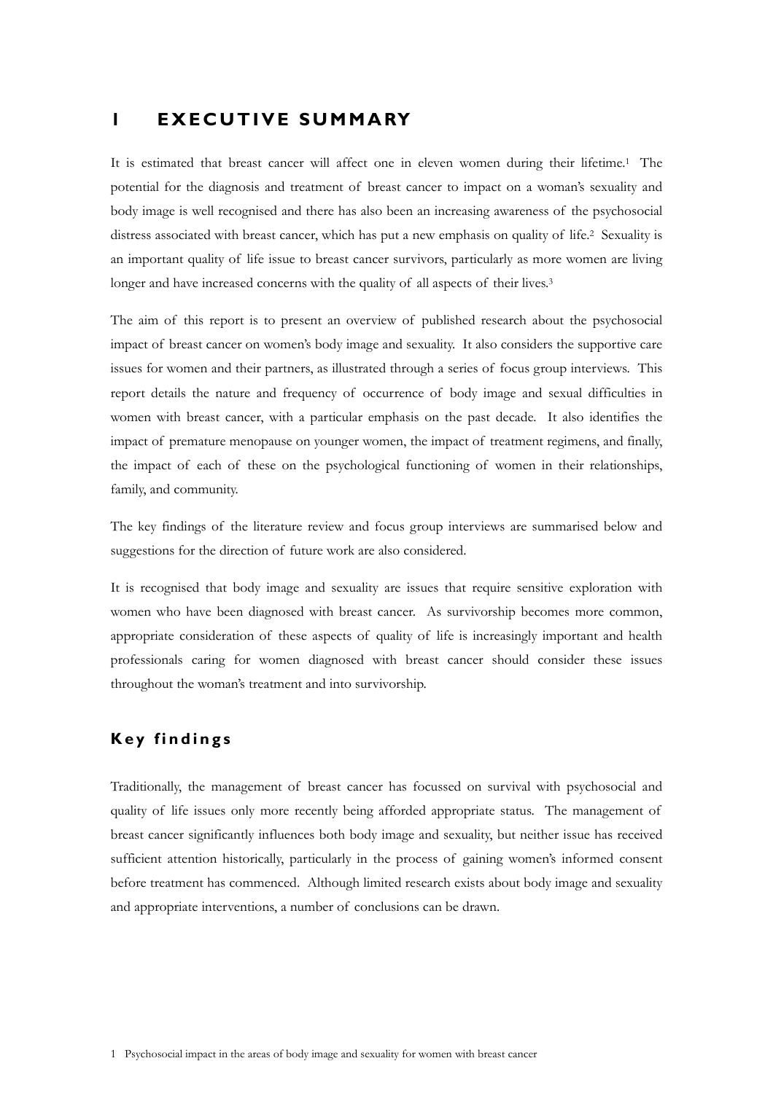# **1 EXECUTIVE SUMMARY**

It is estimated that breast cancer will affect one in eleven women during their lifetime.<sup>1</sup> The potential for the diagnosis and treatment of breast cancer to impact on a woman's sexuality and body image is well recognised and there has also been an increasing awareness of the psychosocial distress associated with breast cancer, which has put a new emphasis on quality of life.2 Sexuality is an important quality of life issue to breast cancer survivors, particularly as more women are living longer and have increased concerns with the quality of all aspects of their lives.<sup>3</sup>

The aim of this report is to present an overview of published research about the psychosocial impact of breast cancer on women's body image and sexuality. It also considers the supportive care issues for women and their partners, as illustrated through a series of focus group interviews. This report details the nature and frequency of occurrence of body image and sexual difficulties in women with breast cancer, with a particular emphasis on the past decade. It also identifies the impact of premature menopause on younger women, the impact of treatment regimens, and finally, the impact of each of these on the psychological functioning of women in their relationships, family, and community.

The key findings of the literature review and focus group interviews are summarised below and suggestions for the direction of future work are also considered.

It is recognised that body image and sexuality are issues that require sensitive exploration with women who have been diagnosed with breast cancer. As survivorship becomes more common, appropriate consideration of these aspects of quality of life is increasingly important and health professionals caring for women diagnosed with breast cancer should consider these issues throughout the woman's treatment and into survivorship.

# **Key findings**

Traditionally, the management of breast cancer has focussed on survival with psychosocial and quality of life issues only more recently being afforded appropriate status. The management of breast cancer significantly influences both body image and sexuality, but neither issue has received sufficient attention historically, particularly in the process of gaining women's informed consent before treatment has commenced. Although limited research exists about body image and sexuality and appropriate interventions, a number of conclusions can be drawn.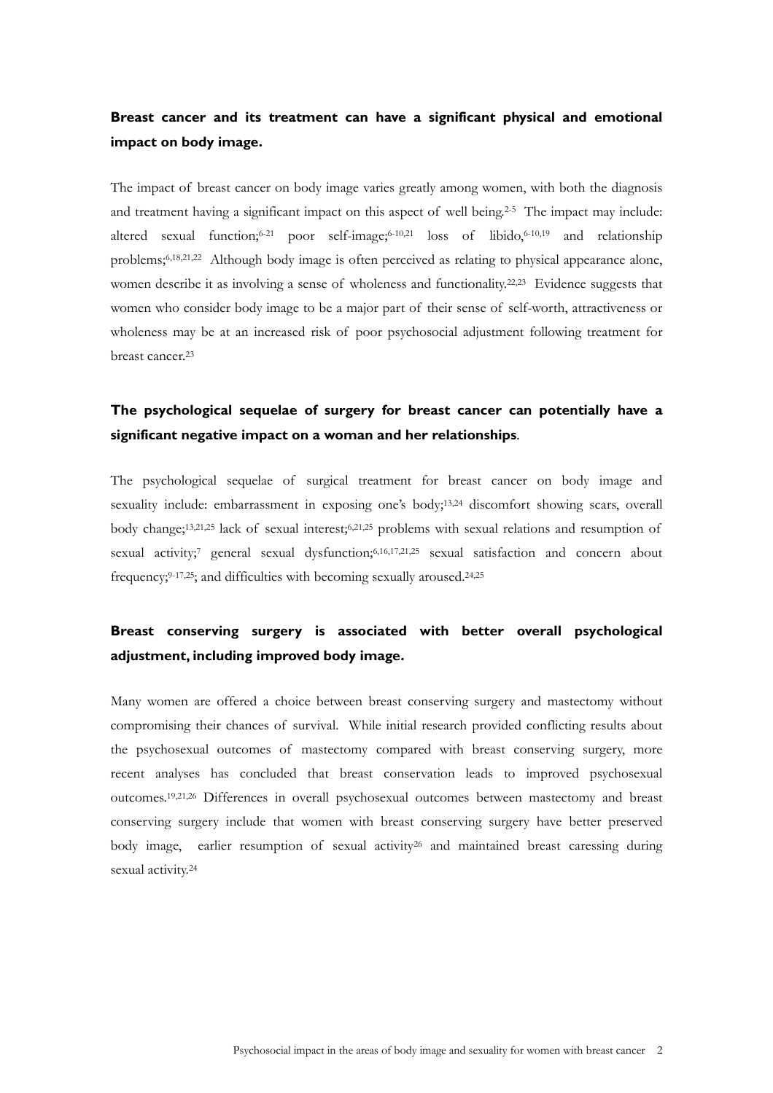# **Breast cancer and its treatment can have a significant physical and emotional impact on body image.**

The impact of breast cancer on body image varies greatly among women, with both the diagnosis and treatment having a significant impact on this aspect of well being.<sup>2-5</sup> The impact may include: altered sexual function;<sup>6-21</sup> poor self-image;<sup>6-10,21</sup> loss of libido,<sup>6-10,19</sup> and relationship problems;6,18,21,22 Although body image is often perceived as relating to physical appearance alone, women describe it as involving a sense of wholeness and functionality.<sup>22,23</sup> Evidence suggests that women who consider body image to be a major part of their sense of self-worth, attractiveness or wholeness may be at an increased risk of poor psychosocial adjustment following treatment for breast cancer.23

# **The psychological sequelae of surgery for breast cancer can potentially have a significant negative impact on a woman and her relationships**.

The psychological sequelae of surgical treatment for breast cancer on body image and sexuality include: embarrassment in exposing one's body;<sup>13,24</sup> discomfort showing scars, overall body change;<sup>13,21,25</sup> lack of sexual interest;<sup>6,21,25</sup> problems with sexual relations and resumption of sexual activity;<sup>7</sup> general sexual dysfunction;<sup>6,16,17,21,25</sup> sexual satisfaction and concern about frequency;9-17,25; and difficulties with becoming sexually aroused.24,25

# **Breast conserving surgery is associated with better overall psychological adjustment, including improved body image.**

Many women are offered a choice between breast conserving surgery and mastectomy without compromising their chances of survival. While initial research provided conflicting results about the psychosexual outcomes of mastectomy compared with breast conserving surgery, more recent analyses has concluded that breast conservation leads to improved psychosexual outcomes.19,21,26 Differences in overall psychosexual outcomes between mastectomy and breast conserving surgery include that women with breast conserving surgery have better preserved body image, earlier resumption of sexual activity<sup>26</sup> and maintained breast caressing during sexual activity.<sup>24</sup>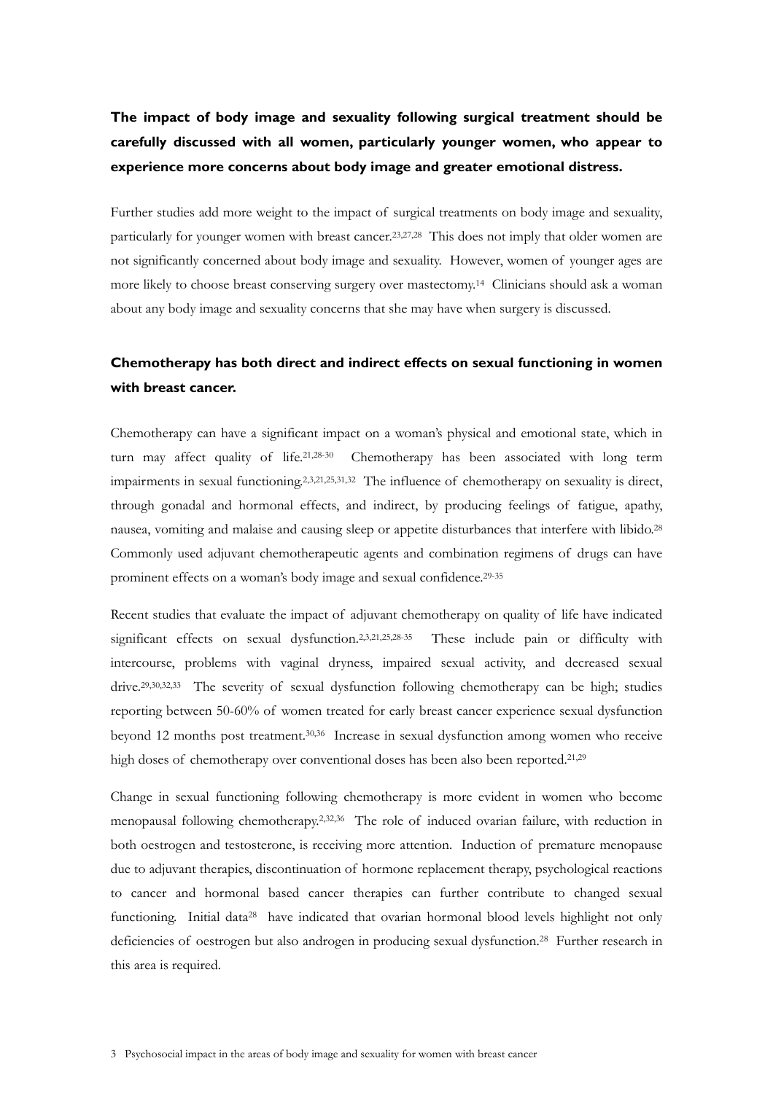# **The impact of body image and sexuality following surgical treatment should be carefully discussed with all women, particularly younger women, who appear to experience more concerns about body image and greater emotional distress.**

Further studies add more weight to the impact of surgical treatments on body image and sexuality, particularly for younger women with breast cancer.23,27,28 This does not imply that older women are not significantly concerned about body image and sexuality. However, women of younger ages are more likely to choose breast conserving surgery over mastectomy.14 Clinicians should ask a woman about any body image and sexuality concerns that she may have when surgery is discussed.

# **Chemotherapy has both direct and indirect effects on sexual functioning in women with breast cancer.**

Chemotherapy can have a significant impact on a woman's physical and emotional state, which in turn may affect quality of life.21,28-30 Chemotherapy has been associated with long term impairments in sexual functioning.2,3,21,25,31,32 The influence of chemotherapy on sexuality is direct, through gonadal and hormonal effects, and indirect, by producing feelings of fatigue, apathy, nausea, vomiting and malaise and causing sleep or appetite disturbances that interfere with libido.28 Commonly used adjuvant chemotherapeutic agents and combination regimens of drugs can have prominent effects on a woman's body image and sexual confidence.29-35

Recent studies that evaluate the impact of adjuvant chemotherapy on quality of life have indicated significant effects on sexual dysfunction.2,3,21,25,28-35 These include pain or difficulty with intercourse, problems with vaginal dryness, impaired sexual activity, and decreased sexual drive.29,30,32,33 The severity of sexual dysfunction following chemotherapy can be high; studies reporting between 50-60% of women treated for early breast cancer experience sexual dysfunction beyond 12 months post treatment.30,36 Increase in sexual dysfunction among women who receive high doses of chemotherapy over conventional doses has been also been reported.<sup>21,29</sup>

Change in sexual functioning following chemotherapy is more evident in women who become menopausal following chemotherapy.2,32,36 The role of induced ovarian failure, with reduction in both oestrogen and testosterone, is receiving more attention. Induction of premature menopause due to adjuvant therapies, discontinuation of hormone replacement therapy, psychological reactions to cancer and hormonal based cancer therapies can further contribute to changed sexual functioning. Initial data<sup>28</sup> have indicated that ovarian hormonal blood levels highlight not only deficiencies of oestrogen but also androgen in producing sexual dysfunction.28 Further research in this area is required.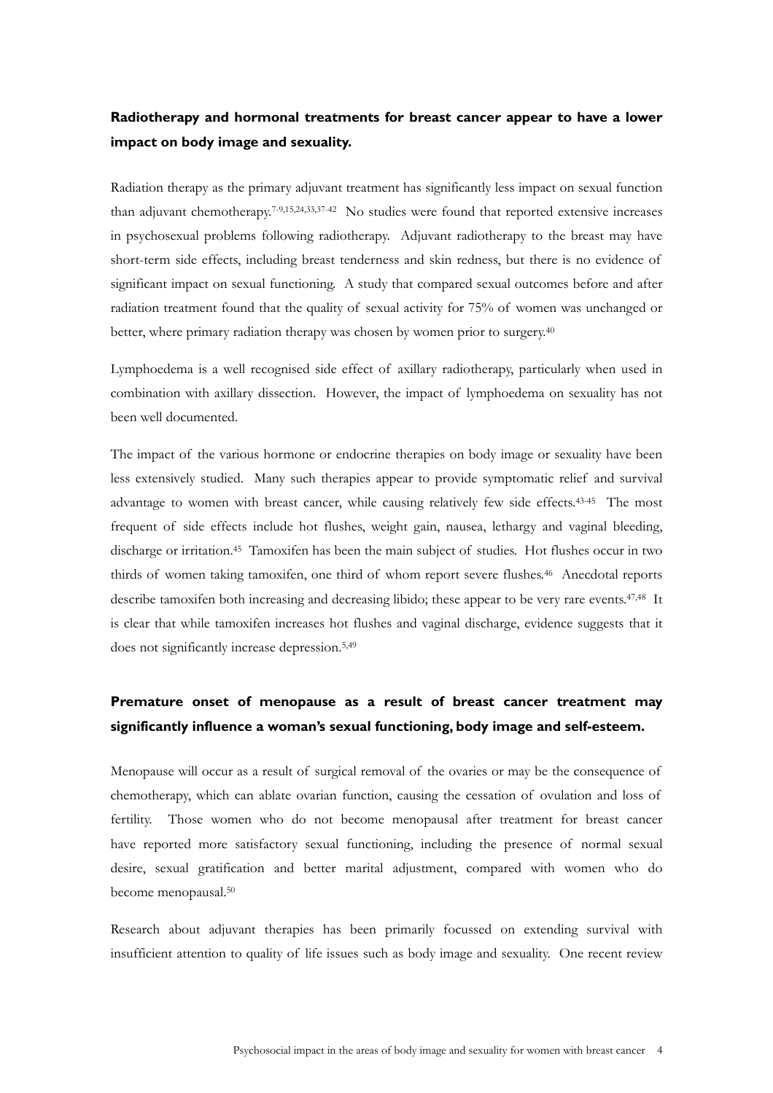# **Radiotherapy and hormonal treatments for breast cancer appear to have a lower impact on body image and sexuality.**

Radiation therapy as the primary adjuvant treatment has significantly less impact on sexual function than adjuvant chemotherapy.7-9,15,24,33,37-42 No studies were found that reported extensive increases in psychosexual problems following radiotherapy. Adjuvant radiotherapy to the breast may have short-term side effects, including breast tenderness and skin redness, but there is no evidence of significant impact on sexual functioning. A study that compared sexual outcomes before and after radiation treatment found that the quality of sexual activity for 75% of women was unchanged or better, where primary radiation therapy was chosen by women prior to surgery.40

Lymphoedema is a well recognised side effect of axillary radiotherapy, particularly when used in combination with axillary dissection. However, the impact of lymphoedema on sexuality has not been well documented.

The impact of the various hormone or endocrine therapies on body image or sexuality have been less extensively studied. Many such therapies appear to provide symptomatic relief and survival advantage to women with breast cancer, while causing relatively few side effects.<sup>43-45</sup> The most frequent of side effects include hot flushes, weight gain, nausea, lethargy and vaginal bleeding, discharge or irritation.45 Tamoxifen has been the main subject of studies. Hot flushes occur in two thirds of women taking tamoxifen, one third of whom report severe flushes.<sup>46</sup> Anecdotal reports describe tamoxifen both increasing and decreasing libido; these appear to be very rare events.<sup>47,48</sup> It is clear that while tamoxifen increases hot flushes and vaginal discharge, evidence suggests that it does not significantly increase depression.5,49

# **Premature onset of menopause as a result of breast cancer treatment may significantly influence a woman's sexual functioning, body image and self-esteem.**

Menopause will occur as a result of surgical removal of the ovaries or may be the consequence of chemotherapy, which can ablate ovarian function, causing the cessation of ovulation and loss of fertility. Those women who do not become menopausal after treatment for breast cancer have reported more satisfactory sexual functioning, including the presence of normal sexual desire, sexual gratification and better marital adjustment, compared with women who do become menopausal.50

Research about adjuvant therapies has been primarily focussed on extending survival with insufficient attention to quality of life issues such as body image and sexuality. One recent review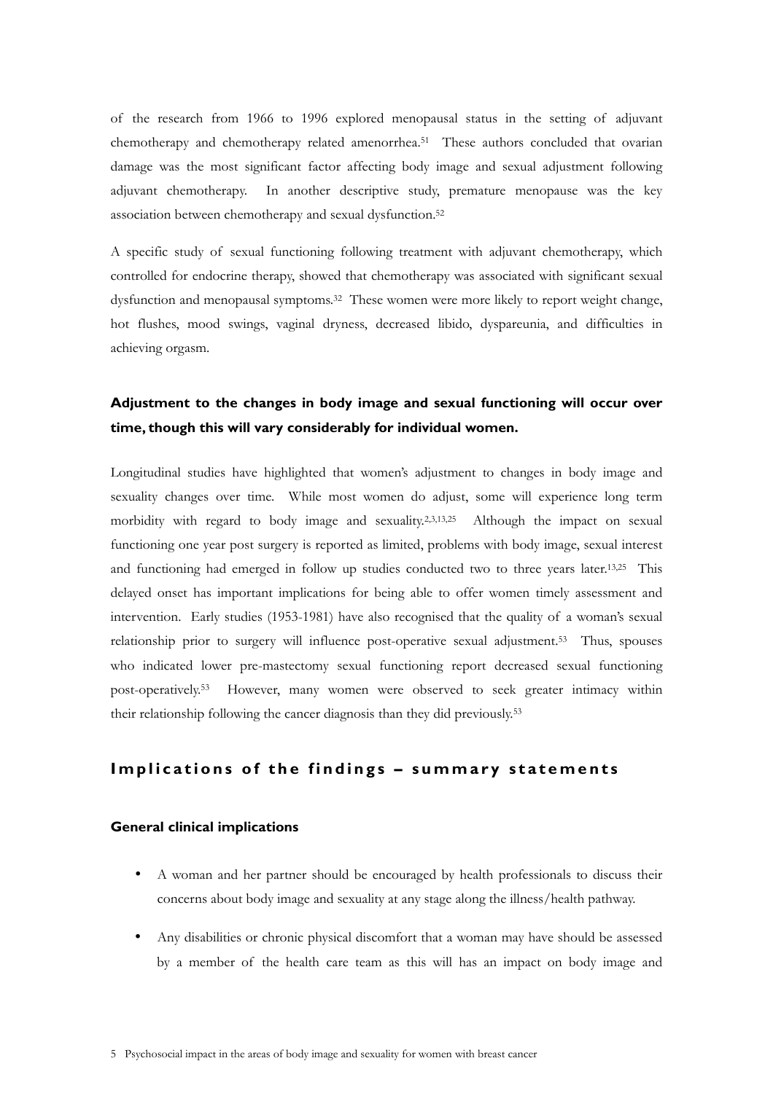of the research from 1966 to 1996 explored menopausal status in the setting of adjuvant chemotherapy and chemotherapy related amenorrhea.51 These authors concluded that ovarian damage was the most significant factor affecting body image and sexual adjustment following adjuvant chemotherapy. In another descriptive study, premature menopause was the key association between chemotherapy and sexual dysfunction.<sup>52</sup>

A specific study of sexual functioning following treatment with adjuvant chemotherapy, which controlled for endocrine therapy, showed that chemotherapy was associated with significant sexual dysfunction and menopausal symptoms.32 These women were more likely to report weight change, hot flushes, mood swings, vaginal dryness, decreased libido, dyspareunia, and difficulties in achieving orgasm.

# **Adjustment to the changes in body image and sexual functioning will occur over time, though this will vary considerably for individual women.**

Longitudinal studies have highlighted that women's adjustment to changes in body image and sexuality changes over time. While most women do adjust, some will experience long term morbidity with regard to body image and sexuality.2,3,13,25 Although the impact on sexual functioning one year post surgery is reported as limited, problems with body image, sexual interest and functioning had emerged in follow up studies conducted two to three years later.13,25 This delayed onset has important implications for being able to offer women timely assessment and intervention. Early studies (1953-1981) have also recognised that the quality of a woman's sexual relationship prior to surgery will influence post-operative sexual adjustment.53 Thus, spouses who indicated lower pre-mastectomy sexual functioning report decreased sexual functioning post-operatively.53 However, many women were observed to seek greater intimacy within their relationship following the cancer diagnosis than they did previously.53

# Implications of the findings - summary statements

### **General clinical implications**

- A woman and her partner should be encouraged by health professionals to discuss their concerns about body image and sexuality at any stage along the illness/health pathway.
- Any disabilities or chronic physical discomfort that a woman may have should be assessed by a member of the health care team as this will has an impact on body image and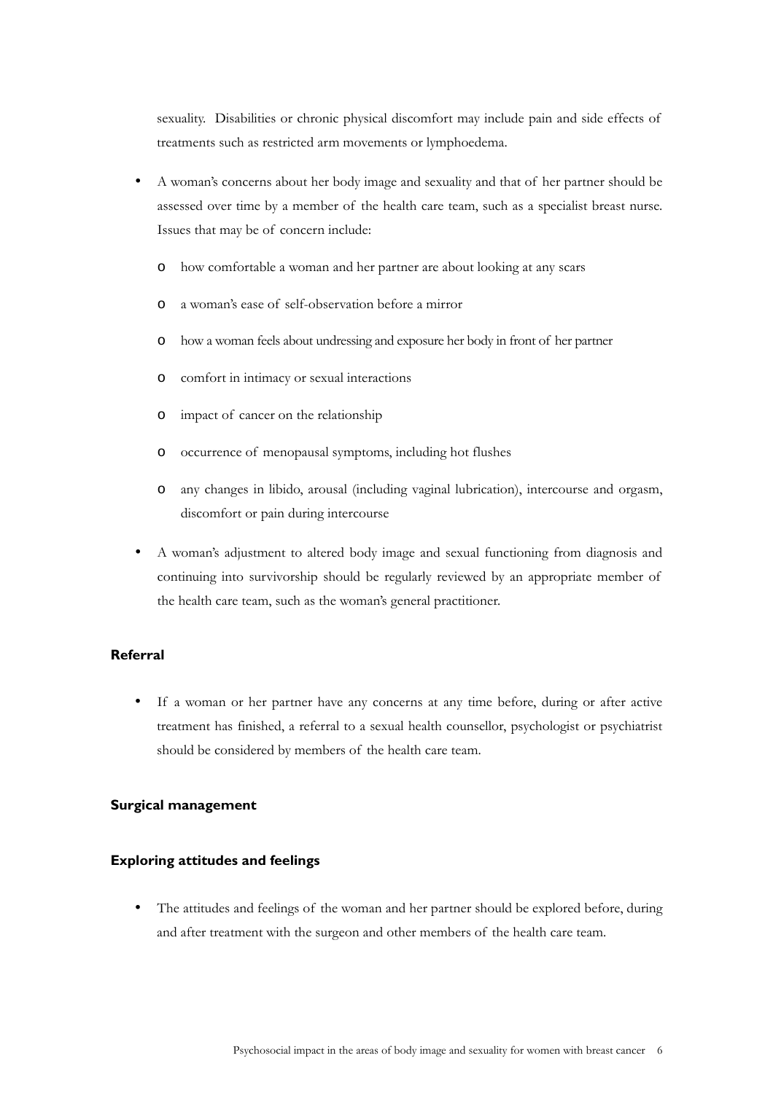sexuality. Disabilities or chronic physical discomfort may include pain and side effects of treatments such as restricted arm movements or lymphoedema.

- A woman's concerns about her body image and sexuality and that of her partner should be assessed over time by a member of the health care team, such as a specialist breast nurse. Issues that may be of concern include:
	- o how comfortable a woman and her partner are about looking at any scars
	- o a woman's ease of self-observation before a mirror
	- o how a woman feels about undressing and exposure her body in front of her partner
	- o comfort in intimacy or sexual interactions
	- o impact of cancer on the relationship
	- o occurrence of menopausal symptoms, including hot flushes
	- o any changes in libido, arousal (including vaginal lubrication), intercourse and orgasm, discomfort or pain during intercourse
- A woman's adjustment to altered body image and sexual functioning from diagnosis and continuing into survivorship should be regularly reviewed by an appropriate member of the health care team, such as the woman's general practitioner.

### **Referral**

If a woman or her partner have any concerns at any time before, during or after active treatment has finished, a referral to a sexual health counsellor, psychologist or psychiatrist should be considered by members of the health care team.

### **Surgical management**

### **Exploring attitudes and feelings**

• The attitudes and feelings of the woman and her partner should be explored before, during and after treatment with the surgeon and other members of the health care team.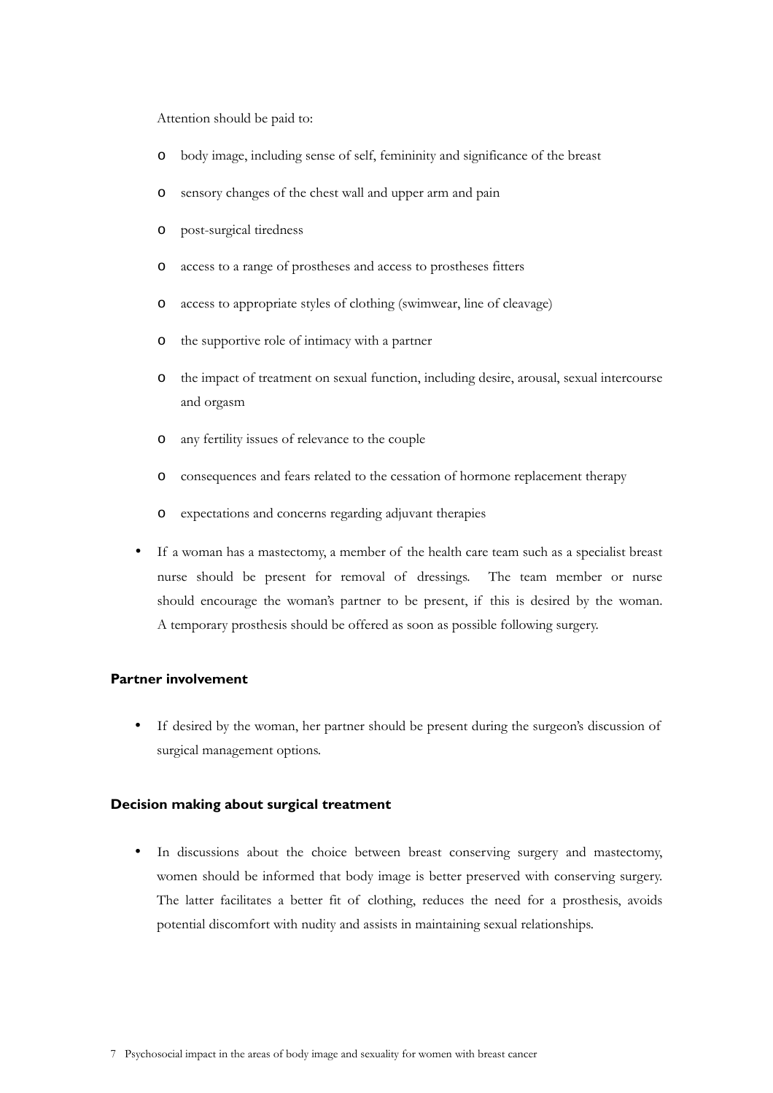Attention should be paid to:

- o body image, including sense of self, femininity and significance of the breast
- o sensory changes of the chest wall and upper arm and pain
- o post-surgical tiredness
- o access to a range of prostheses and access to prostheses fitters
- o access to appropriate styles of clothing (swimwear, line of cleavage)
- o the supportive role of intimacy with a partner
- o the impact of treatment on sexual function, including desire, arousal, sexual intercourse and orgasm
- o any fertility issues of relevance to the couple
- o consequences and fears related to the cessation of hormone replacement therapy
- o expectations and concerns regarding adjuvant therapies
- If a woman has a mastectomy, a member of the health care team such as a specialist breast nurse should be present for removal of dressings. The team member or nurse should encourage the woman's partner to be present, if this is desired by the woman. A temporary prosthesis should be offered as soon as possible following surgery.

### **Partner involvement**

If desired by the woman, her partner should be present during the surgeon's discussion of surgical management options.

### **Decision making about surgical treatment**

In discussions about the choice between breast conserving surgery and mastectomy, women should be informed that body image is better preserved with conserving surgery. The latter facilitates a better fit of clothing, reduces the need for a prosthesis, avoids potential discomfort with nudity and assists in maintaining sexual relationships.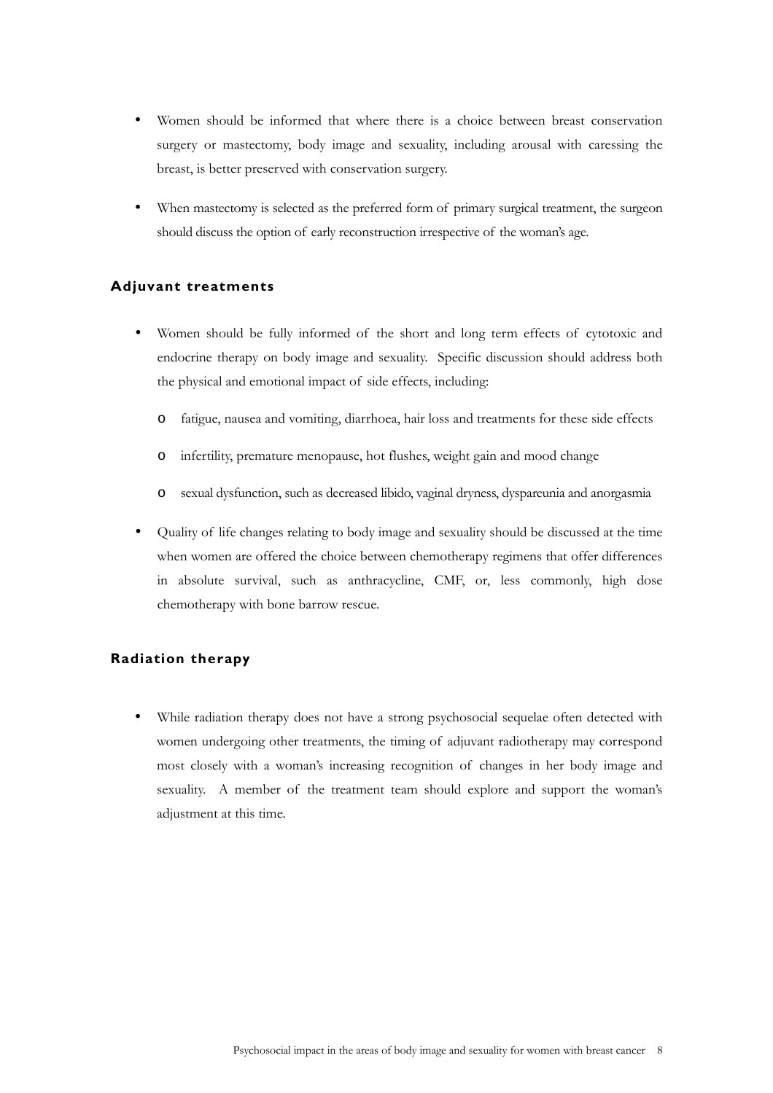- Women should be informed that where there is a choice between breast conservation surgery or mastectomy, body image and sexuality, including arousal with caressing the breast, is better preserved with conservation surgery.
- When mastectomy is selected as the preferred form of primary surgical treatment, the surgeon should discuss the option of early reconstruction irrespective of the woman's age.

## **Adjuvant treatments**

- Women should be fully informed of the short and long term effects of cytotoxic and endocrine therapy on body image and sexuality. Specific discussion should address both the physical and emotional impact of side effects, including:
	- o fatigue, nausea and vomiting, diarrhoea, hair loss and treatments for these side effects
	- o infertility, premature menopause, hot flushes, weight gain and mood change
	- o sexual dysfunction, such as decreased libido, vaginal dryness, dyspareunia and anorgasmia
- Quality of life changes relating to body image and sexuality should be discussed at the time when women are offered the choice between chemotherapy regimens that offer differences in absolute survival, such as anthracycline, CMF, or, less commonly, high dose chemotherapy with bone barrow rescue.

## **Radiation therapy**

While radiation therapy does not have a strong psychosocial sequelae often detected with women undergoing other treatments, the timing of adjuvant radiotherapy may correspond most closely with a woman's increasing recognition of changes in her body image and sexuality. A member of the treatment team should explore and support the woman's adjustment at this time.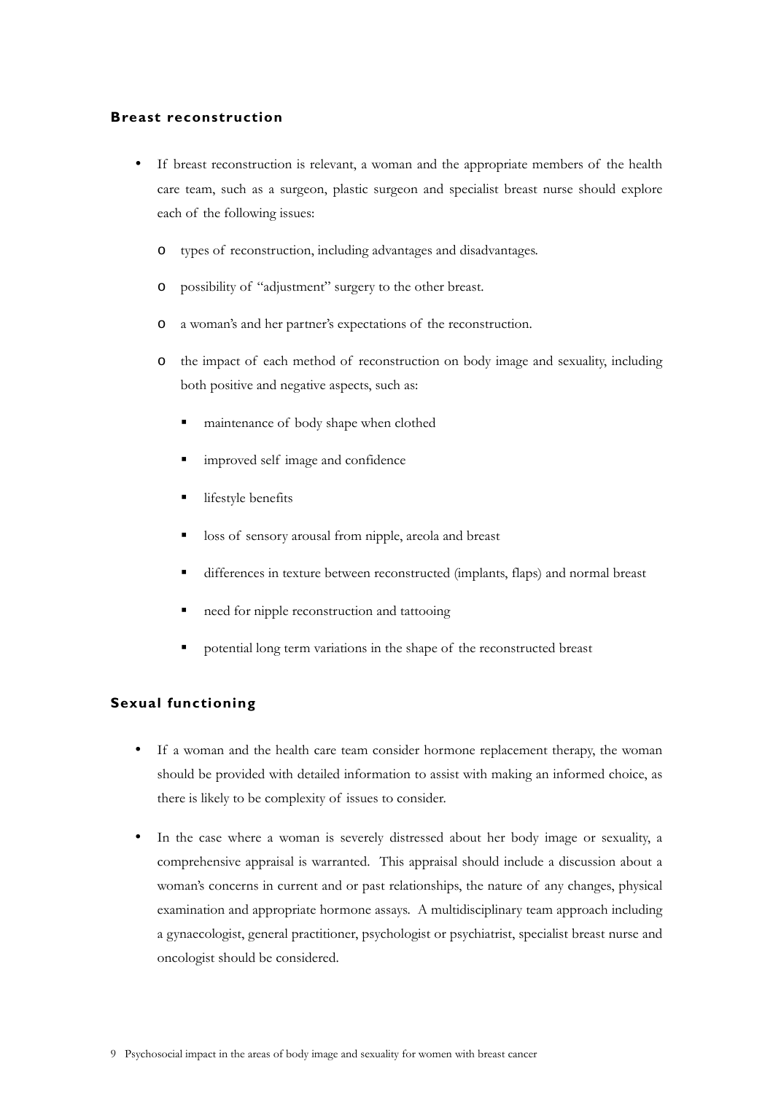### **Breast reconstruction**

- If breast reconstruction is relevant, a woman and the appropriate members of the health care team, such as a surgeon, plastic surgeon and specialist breast nurse should explore each of the following issues:
	- o types of reconstruction, including advantages and disadvantages.
	- o possibility of "adjustment" surgery to the other breast.
	- o a woman's and her partner's expectations of the reconstruction.
	- o the impact of each method of reconstruction on body image and sexuality, including both positive and negative aspects, such as:
		- maintenance of body shape when clothed
		- improved self image and confidence
		- lifestyle benefits
		- loss of sensory arousal from nipple, areola and breast
		- differences in texture between reconstructed (implants, flaps) and normal breast
		- need for nipple reconstruction and tattooing
		- potential long term variations in the shape of the reconstructed breast

## **Sexual functioning**

- If a woman and the health care team consider hormone replacement therapy, the woman should be provided with detailed information to assist with making an informed choice, as there is likely to be complexity of issues to consider.
- In the case where a woman is severely distressed about her body image or sexuality, a comprehensive appraisal is warranted. This appraisal should include a discussion about a woman's concerns in current and or past relationships, the nature of any changes, physical examination and appropriate hormone assays. A multidisciplinary team approach including a gynaecologist, general practitioner, psychologist or psychiatrist, specialist breast nurse and oncologist should be considered.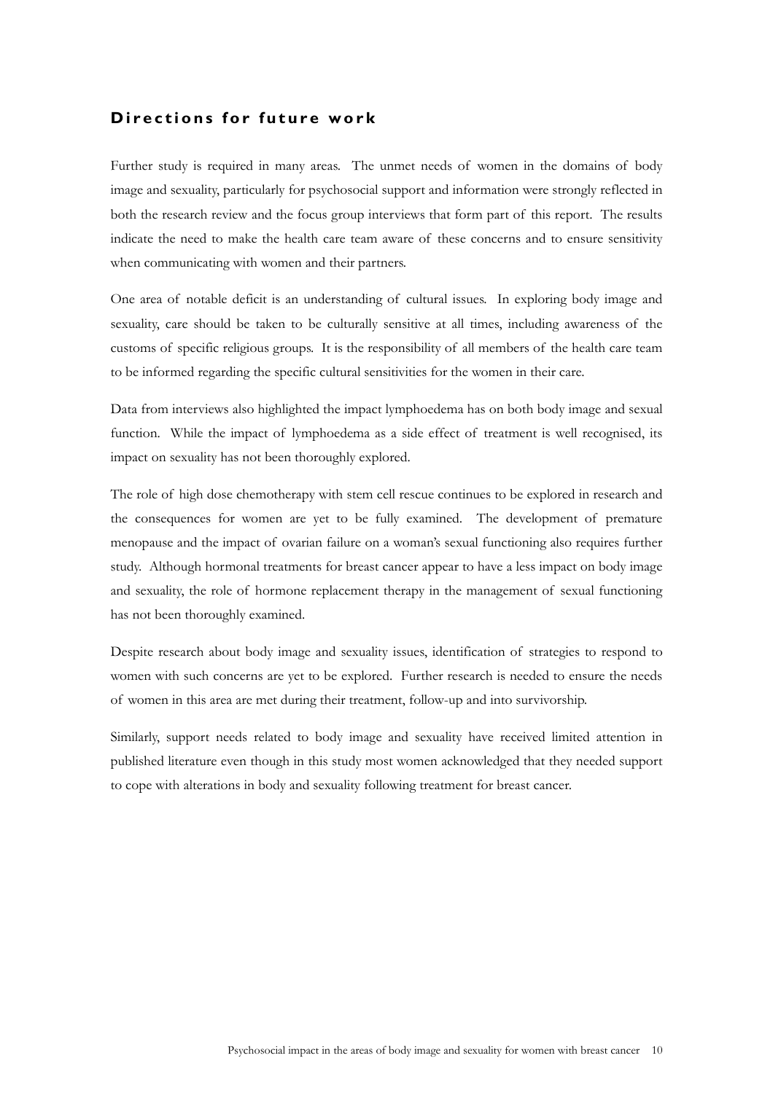# **Directions for future work**

Further study is required in many areas. The unmet needs of women in the domains of body image and sexuality, particularly for psychosocial support and information were strongly reflected in both the research review and the focus group interviews that form part of this report. The results indicate the need to make the health care team aware of these concerns and to ensure sensitivity when communicating with women and their partners.

One area of notable deficit is an understanding of cultural issues. In exploring body image and sexuality, care should be taken to be culturally sensitive at all times, including awareness of the customs of specific religious groups. It is the responsibility of all members of the health care team to be informed regarding the specific cultural sensitivities for the women in their care.

Data from interviews also highlighted the impact lymphoedema has on both body image and sexual function. While the impact of lymphoedema as a side effect of treatment is well recognised, its impact on sexuality has not been thoroughly explored.

The role of high dose chemotherapy with stem cell rescue continues to be explored in research and the consequences for women are yet to be fully examined. The development of premature menopause and the impact of ovarian failure on a woman's sexual functioning also requires further study. Although hormonal treatments for breast cancer appear to have a less impact on body image and sexuality, the role of hormone replacement therapy in the management of sexual functioning has not been thoroughly examined.

Despite research about body image and sexuality issues, identification of strategies to respond to women with such concerns are yet to be explored. Further research is needed to ensure the needs of women in this area are met during their treatment, follow-up and into survivorship.

Similarly, support needs related to body image and sexuality have received limited attention in published literature even though in this study most women acknowledged that they needed support to cope with alterations in body and sexuality following treatment for breast cancer.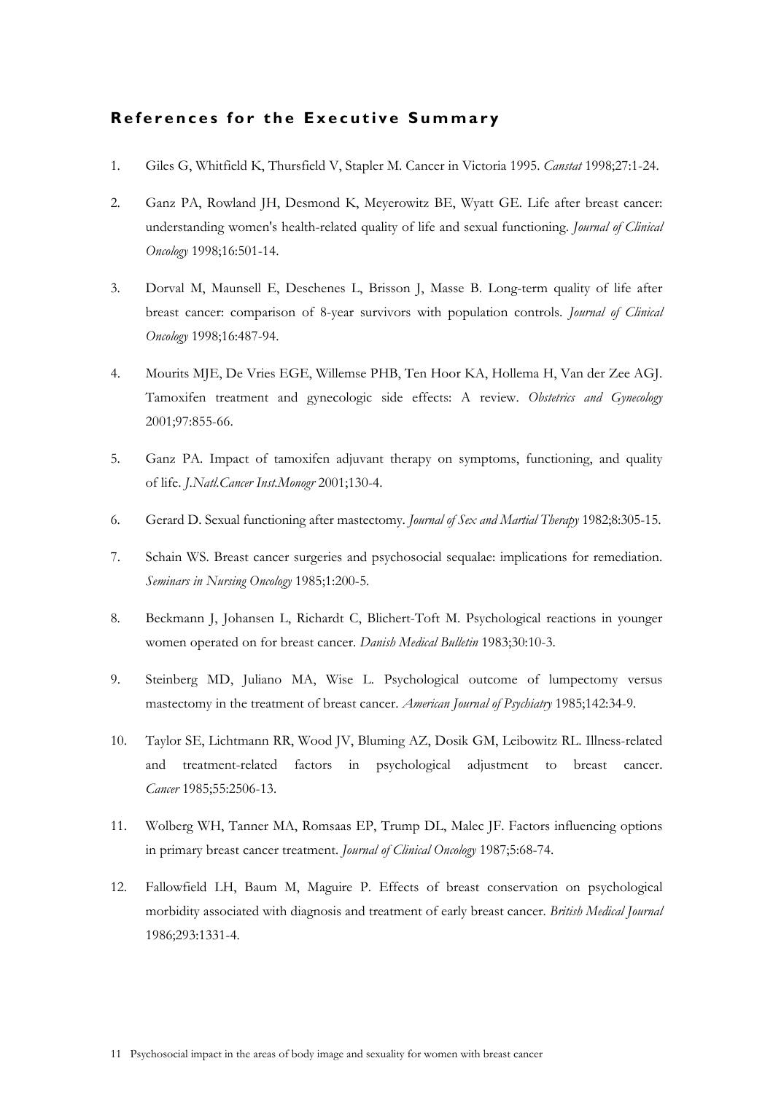# **References for the Executive Summary**

- 1. Giles G, Whitfield K, Thursfield V, Stapler M. Cancer in Victoria 1995. *Canstat* 1998;27:1-24.
- 2. Ganz PA, Rowland JH, Desmond K, Meyerowitz BE, Wyatt GE. Life after breast cancer: understanding women's health-related quality of life and sexual functioning. *Journal of Clinical Oncology* 1998;16:501-14.
- 3. Dorval M, Maunsell E, Deschenes L, Brisson J, Masse B. Long-term quality of life after breast cancer: comparison of 8-year survivors with population controls. *Journal of Clinical Oncology* 1998;16:487-94.
- 4. Mourits MJE, De Vries EGE, Willemse PHB, Ten Hoor KA, Hollema H, Van der Zee AGJ. Tamoxifen treatment and gynecologic side effects: A review. *Obstetrics and Gynecology* 2001;97:855-66.
- 5. Ganz PA. Impact of tamoxifen adjuvant therapy on symptoms, functioning, and quality of life. *J.Natl.Cancer Inst.Monogr* 2001;130-4.
- 6. Gerard D. Sexual functioning after mastectomy. *Journal of Sex and Martial Therapy* 1982;8:305-15.
- 7. Schain WS. Breast cancer surgeries and psychosocial sequalae: implications for remediation. *Seminars in Nursing Oncology* 1985;1:200-5.
- 8. Beckmann J, Johansen L, Richardt C, Blichert-Toft M. Psychological reactions in younger women operated on for breast cancer. *Danish Medical Bulletin* 1983;30:10-3.
- 9. Steinberg MD, Juliano MA, Wise L. Psychological outcome of lumpectomy versus mastectomy in the treatment of breast cancer. *American Journal of Psychiatry* 1985;142:34-9.
- 10. Taylor SE, Lichtmann RR, Wood JV, Bluming AZ, Dosik GM, Leibowitz RL. Illness-related and treatment-related factors in psychological adjustment to breast cancer. *Cancer* 1985;55:2506-13.
- 11. Wolberg WH, Tanner MA, Romsaas EP, Trump DL, Malec JF. Factors influencing options in primary breast cancer treatment. *Journal of Clinical Oncology* 1987;5:68-74.
- 12. Fallowfield LH, Baum M, Maguire P. Effects of breast conservation on psychological morbidity associated with diagnosis and treatment of early breast cancer. *British Medical Journal* 1986;293:1331-4.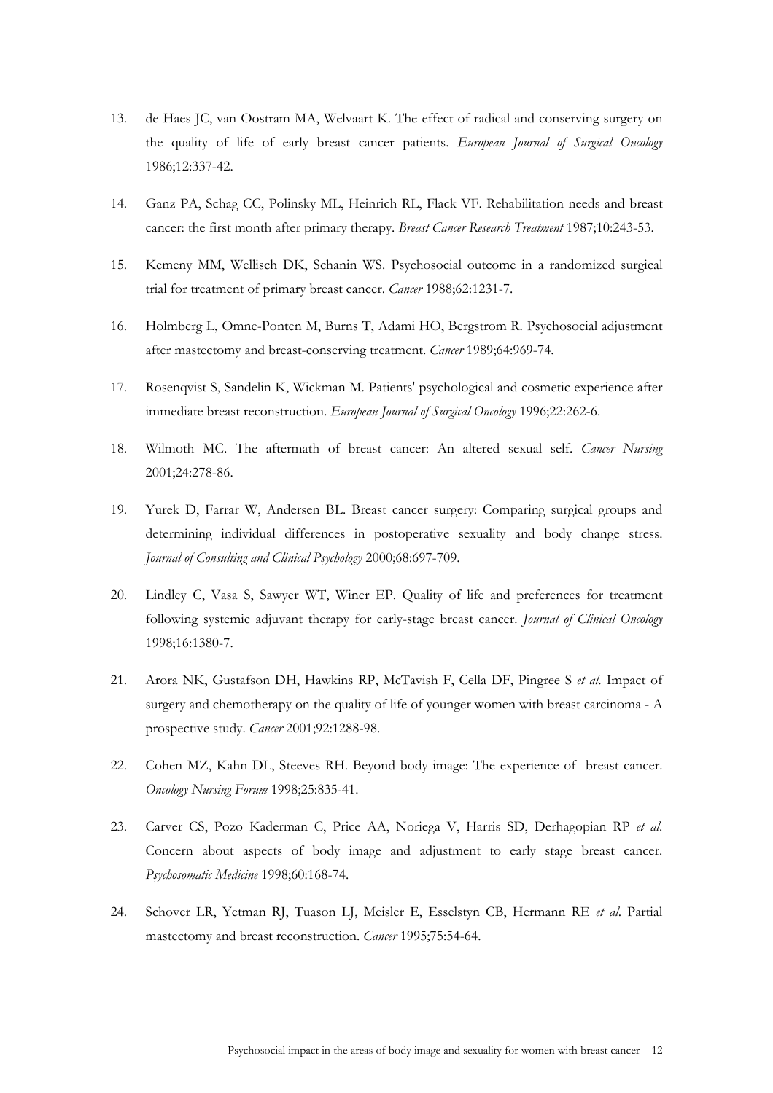- 13. de Haes JC, van Oostram MA, Welvaart K. The effect of radical and conserving surgery on the quality of life of early breast cancer patients. *European Journal of Surgical Oncology* 1986;12:337-42.
- 14. Ganz PA, Schag CC, Polinsky ML, Heinrich RL, Flack VF. Rehabilitation needs and breast cancer: the first month after primary therapy. *Breast Cancer Research Treatment* 1987;10:243-53.
- 15. Kemeny MM, Wellisch DK, Schanin WS. Psychosocial outcome in a randomized surgical trial for treatment of primary breast cancer. *Cancer* 1988;62:1231-7.
- 16. Holmberg L, Omne-Ponten M, Burns T, Adami HO, Bergstrom R. Psychosocial adjustment after mastectomy and breast-conserving treatment. *Cancer* 1989;64:969-74.
- 17. Rosenqvist S, Sandelin K, Wickman M. Patients' psychological and cosmetic experience after immediate breast reconstruction. *European Journal of Surgical Oncology* 1996;22:262-6.
- 18. Wilmoth MC. The aftermath of breast cancer: An altered sexual self. *Cancer Nursing* 2001;24:278-86.
- 19. Yurek D, Farrar W, Andersen BL. Breast cancer surgery: Comparing surgical groups and determining individual differences in postoperative sexuality and body change stress. *Journal of Consulting and Clinical Psychology* 2000;68:697-709.
- 20. Lindley C, Vasa S, Sawyer WT, Winer EP. Quality of life and preferences for treatment following systemic adjuvant therapy for early-stage breast cancer. *Journal of Clinical Oncology* 1998;16:1380-7.
- 21. Arora NK, Gustafson DH, Hawkins RP, McTavish F, Cella DF, Pingree S *et al*. Impact of surgery and chemotherapy on the quality of life of younger women with breast carcinoma - A prospective study. *Cancer* 2001;92:1288-98.
- 22. Cohen MZ, Kahn DL, Steeves RH. Beyond body image: The experience of breast cancer. *Oncology Nursing Forum* 1998;25:835-41.
- 23. Carver CS, Pozo Kaderman C, Price AA, Noriega V, Harris SD, Derhagopian RP *et al*. Concern about aspects of body image and adjustment to early stage breast cancer. *Psychosomatic Medicine* 1998;60:168-74.
- 24. Schover LR, Yetman RJ, Tuason LJ, Meisler E, Esselstyn CB, Hermann RE *et al*. Partial mastectomy and breast reconstruction. *Cancer* 1995;75:54-64.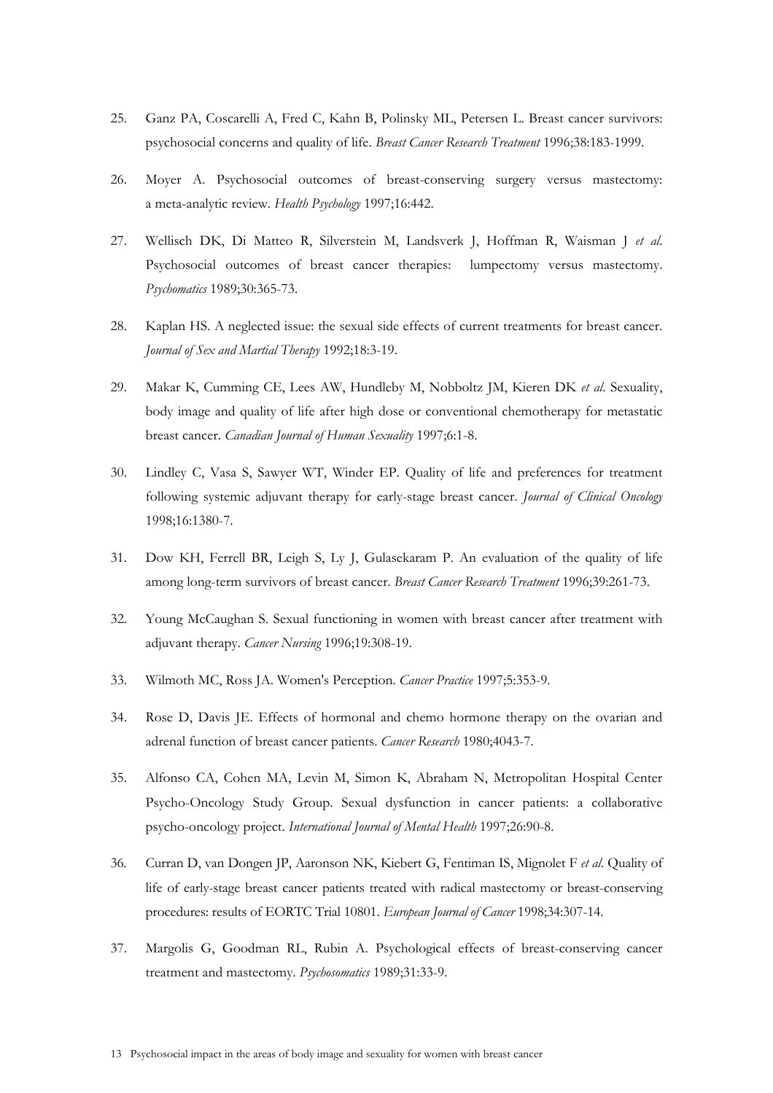- 25. Ganz PA, Coscarelli A, Fred C, Kahn B, Polinsky ML, Petersen L. Breast cancer survivors: psychosocial concerns and quality of life. *Breast Cancer Research Treatment* 1996;38:183-1999.
- 26. Moyer A. Psychosocial outcomes of breast-conserving surgery versus mastectomy: a meta-analytic review. *Health Psychology* 1997;16:442.
- 27. Wellisch DK, Di Matteo R, Silverstein M, Landsverk J, Hoffman R, Waisman J *et al*. Psychosocial outcomes of breast cancer therapies: lumpectomy versus mastectomy. *Psychomatics* 1989;30:365-73.
- 28. Kaplan HS. A neglected issue: the sexual side effects of current treatments for breast cancer. *Journal of Sex and Martial Therapy* 1992;18:3-19.
- 29. Makar K, Cumming CE, Lees AW, Hundleby M, Nobboltz JM, Kieren DK *et al*. Sexuality, body image and quality of life after high dose or conventional chemotherapy for metastatic breast cancer. *Canadian Journal of Human Sexuality* 1997;6:1-8.
- 30. Lindley C, Vasa S, Sawyer WT, Winder EP. Quality of life and preferences for treatment following systemic adjuvant therapy for early-stage breast cancer. *Journal of Clinical Oncology* 1998;16:1380-7.
- 31. Dow KH, Ferrell BR, Leigh S, Ly J, Gulasekaram P. An evaluation of the quality of life among long-term survivors of breast cancer. *Breast Cancer Research Treatment* 1996;39:261-73.
- 32. Young McCaughan S. Sexual functioning in women with breast cancer after treatment with adjuvant therapy. *Cancer Nursing* 1996;19:308-19.
- 33. Wilmoth MC, Ross JA. Women's Perception. *Cancer Practice* 1997;5:353-9.
- 34. Rose D, Davis JE. Effects of hormonal and chemo hormone therapy on the ovarian and adrenal function of breast cancer patients. *Cancer Research* 1980;4043-7.
- 35. Alfonso CA, Cohen MA, Levin M, Simon K, Abraham N, Metropolitan Hospital Center Psycho-Oncology Study Group. Sexual dysfunction in cancer patients: a collaborative psycho-oncology project. *International Journal of Mental Health* 1997;26:90-8.
- 36. Curran D, van Dongen JP, Aaronson NK, Kiebert G, Fentiman IS, Mignolet F *et al*. Quality of life of early-stage breast cancer patients treated with radical mastectomy or breast-conserving procedures: results of EORTC Trial 10801. *European Journal of Cancer* 1998;34:307-14.
- 37. Margolis G, Goodman RL, Rubin A. Psychological effects of breast-conserving cancer treatment and mastectomy. *Psychosomatics* 1989;31:33-9.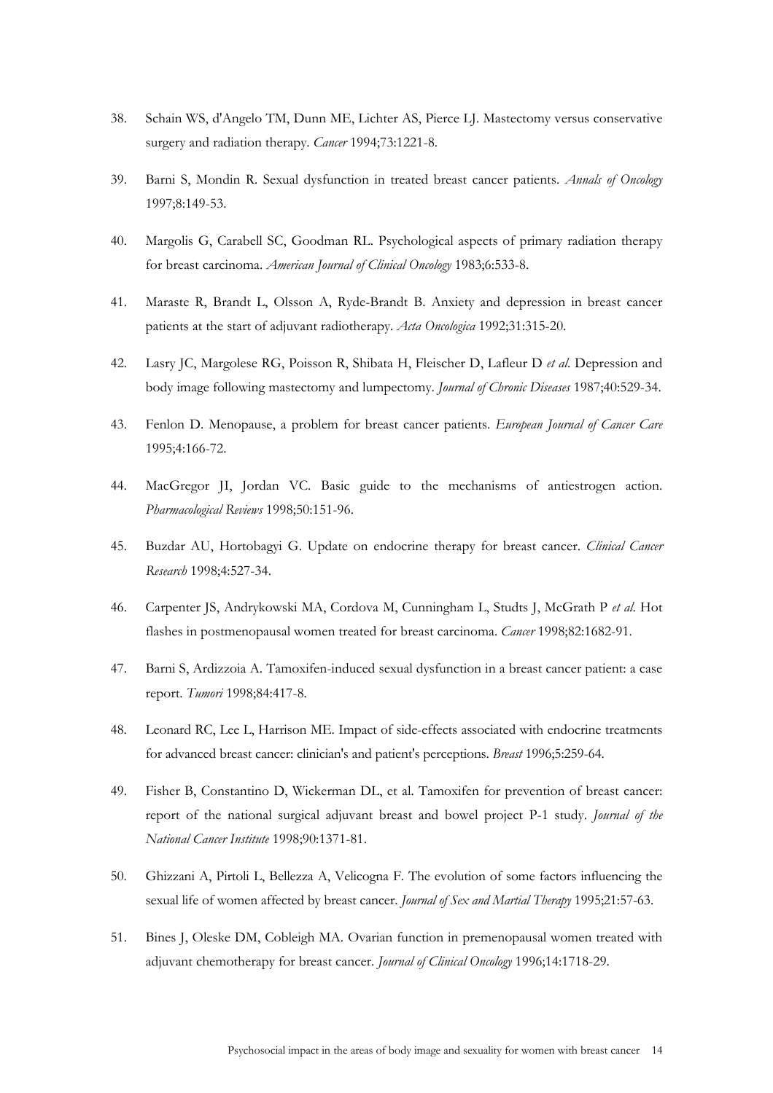- 38. Schain WS, d'Angelo TM, Dunn ME, Lichter AS, Pierce LJ. Mastectomy versus conservative surgery and radiation therapy. *Cancer* 1994;73:1221-8.
- 39. Barni S, Mondin R. Sexual dysfunction in treated breast cancer patients. *Annals of Oncology* 1997;8:149-53.
- 40. Margolis G, Carabell SC, Goodman RL. Psychological aspects of primary radiation therapy for breast carcinoma. *American Journal of Clinical Oncology* 1983;6:533-8.
- 41. Maraste R, Brandt L, Olsson A, Ryde-Brandt B. Anxiety and depression in breast cancer patients at the start of adjuvant radiotherapy. *Acta Oncologica* 1992;31:315-20.
- 42. Lasry JC, Margolese RG, Poisson R, Shibata H, Fleischer D, Lafleur D *et al*. Depression and body image following mastectomy and lumpectomy. *Journal of Chronic Diseases* 1987;40:529-34.
- 43. Fenlon D. Menopause, a problem for breast cancer patients. *European Journal of Cancer Care* 1995;4:166-72.
- 44. MacGregor JI, Jordan VC. Basic guide to the mechanisms of antiestrogen action. *Pharmacological Reviews* 1998;50:151-96.
- 45. Buzdar AU, Hortobagyi G. Update on endocrine therapy for breast cancer. *Clinical Cancer Research* 1998;4:527-34.
- 46. Carpenter JS, Andrykowski MA, Cordova M, Cunningham L, Studts J, McGrath P *et al*. Hot flashes in postmenopausal women treated for breast carcinoma. *Cancer* 1998;82:1682-91.
- 47. Barni S, Ardizzoia A. Tamoxifen-induced sexual dysfunction in a breast cancer patient: a case report. *Tumori* 1998;84:417-8.
- 48. Leonard RC, Lee L, Harrison ME. Impact of side-effects associated with endocrine treatments for advanced breast cancer: clinician's and patient's perceptions. *Breast* 1996;5:259-64.
- 49. Fisher B, Constantino D, Wickerman DL, et al. Tamoxifen for prevention of breast cancer: report of the national surgical adjuvant breast and bowel project P-1 study. *Journal of the National Cancer Institute* 1998;90:1371-81.
- 50. Ghizzani A, Pirtoli L, Bellezza A, Velicogna F. The evolution of some factors influencing the sexual life of women affected by breast cancer. *Journal of Sex and Martial Therapy* 1995;21:57-63.
- 51. Bines J, Oleske DM, Cobleigh MA. Ovarian function in premenopausal women treated with adjuvant chemotherapy for breast cancer. *Journal of Clinical Oncology* 1996;14:1718-29.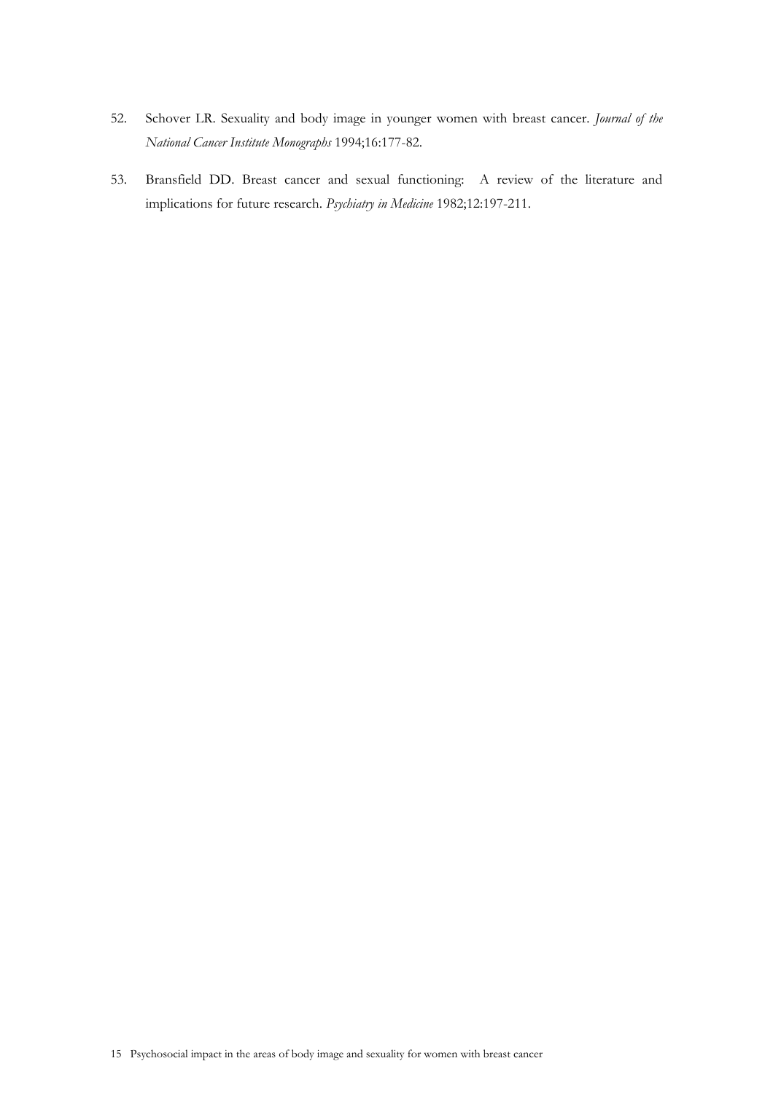- 52. Schover LR. Sexuality and body image in younger women with breast cancer. *Journal of the National Cancer Institute Monographs* 1994;16:177-82.
- 53. Bransfield DD. Breast cancer and sexual functioning: A review of the literature and implications for future research. *Psychiatry in Medicine* 1982;12:197-211.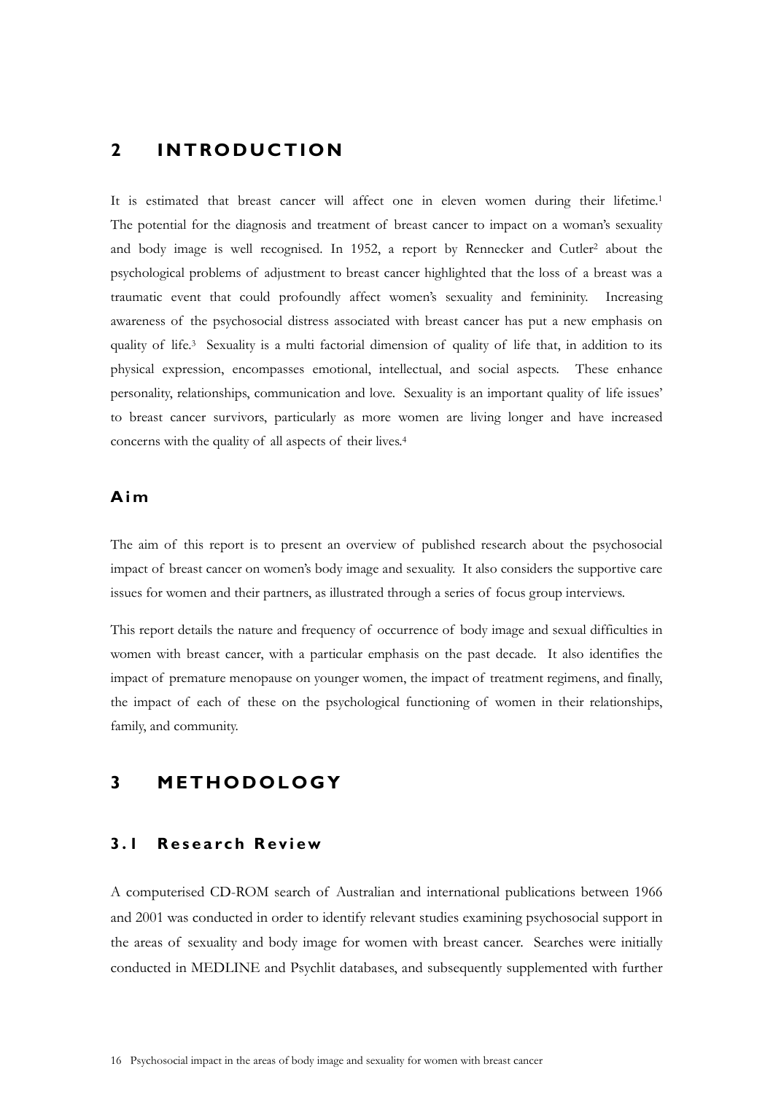# **2 INTRODUCTION**

It is estimated that breast cancer will affect one in eleven women during their lifetime.1 The potential for the diagnosis and treatment of breast cancer to impact on a woman's sexuality and body image is well recognised. In 1952, a report by Rennecker and Cutler<sup>2</sup> about the psychological problems of adjustment to breast cancer highlighted that the loss of a breast was a traumatic event that could profoundly affect women's sexuality and femininity. Increasing awareness of the psychosocial distress associated with breast cancer has put a new emphasis on quality of life.3 Sexuality is a multi factorial dimension of quality of life that, in addition to its physical expression, encompasses emotional, intellectual, and social aspects. These enhance personality, relationships, communication and love. Sexuality is an important quality of life issues' to breast cancer survivors, particularly as more women are living longer and have increased concerns with the quality of all aspects of their lives.4

## **Aim**

The aim of this report is to present an overview of published research about the psychosocial impact of breast cancer on women's body image and sexuality. It also considers the supportive care issues for women and their partners, as illustrated through a series of focus group interviews.

This report details the nature and frequency of occurrence of body image and sexual difficulties in women with breast cancer, with a particular emphasis on the past decade. It also identifies the impact of premature menopause on younger women, the impact of treatment regimens, and finally, the impact of each of these on the psychological functioning of women in their relationships, family, and community.

# **3 METHODOLOGY**

## **3.1 Research Review**

A computerised CD-ROM search of Australian and international publications between 1966 and 2001 was conducted in order to identify relevant studies examining psychosocial support in the areas of sexuality and body image for women with breast cancer. Searches were initially conducted in MEDLINE and Psychlit databases, and subsequently supplemented with further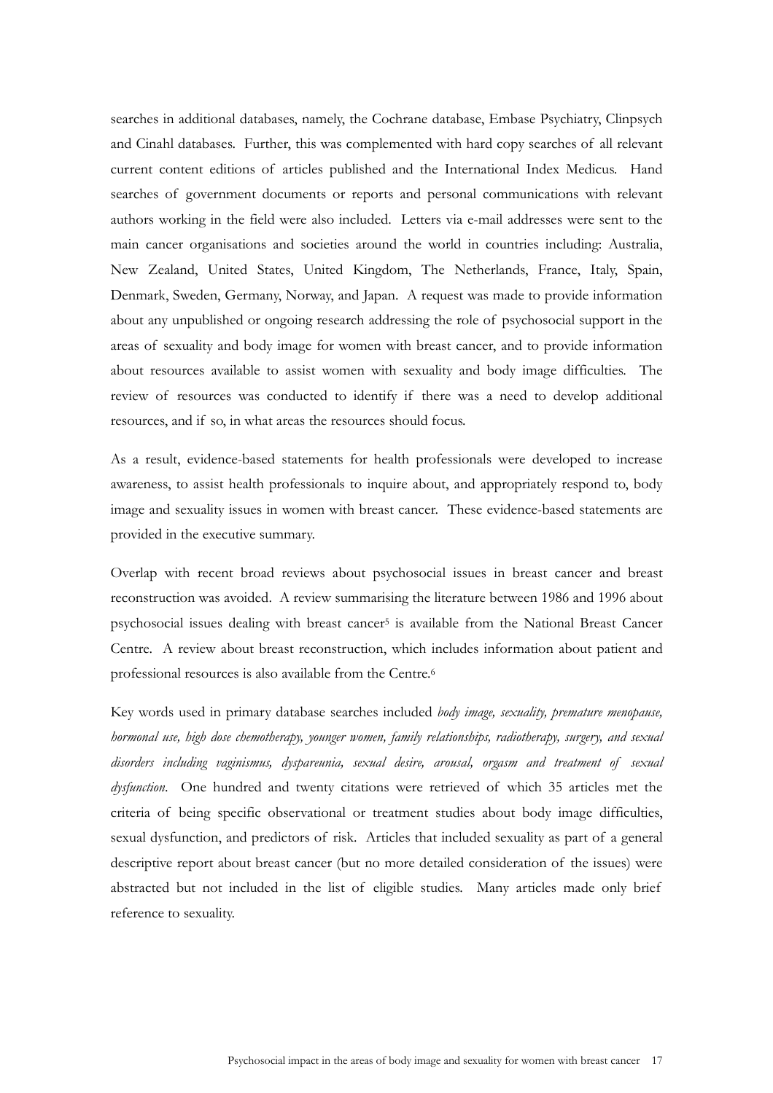searches in additional databases, namely, the Cochrane database, Embase Psychiatry, Clinpsych and Cinahl databases. Further, this was complemented with hard copy searches of all relevant current content editions of articles published and the International Index Medicus. Hand searches of government documents or reports and personal communications with relevant authors working in the field were also included. Letters via e-mail addresses were sent to the main cancer organisations and societies around the world in countries including: Australia, New Zealand, United States, United Kingdom, The Netherlands, France, Italy, Spain, Denmark, Sweden, Germany, Norway, and Japan. A request was made to provide information about any unpublished or ongoing research addressing the role of psychosocial support in the areas of sexuality and body image for women with breast cancer, and to provide information about resources available to assist women with sexuality and body image difficulties. The review of resources was conducted to identify if there was a need to develop additional resources, and if so, in what areas the resources should focus.

As a result, evidence-based statements for health professionals were developed to increase awareness, to assist health professionals to inquire about, and appropriately respond to, body image and sexuality issues in women with breast cancer. These evidence-based statements are provided in the executive summary.

Overlap with recent broad reviews about psychosocial issues in breast cancer and breast reconstruction was avoided. A review summarising the literature between 1986 and 1996 about psychosocial issues dealing with breast cancer<sup>5</sup> is available from the National Breast Cancer Centre. A review about breast reconstruction, which includes information about patient and professional resources is also available from the Centre.6

Key words used in primary database searches included *body image, sexuality, premature menopause, hormonal use, high dose chemotherapy, younger women, family relationships, radiotherapy, surgery, and sexual disorders including vaginismus, dyspareunia, sexual desire, arousal, orgasm and treatment of sexual dysfunction*. One hundred and twenty citations were retrieved of which 35 articles met the criteria of being specific observational or treatment studies about body image difficulties, sexual dysfunction, and predictors of risk. Articles that included sexuality as part of a general descriptive report about breast cancer (but no more detailed consideration of the issues) were abstracted but not included in the list of eligible studies. Many articles made only brief reference to sexuality.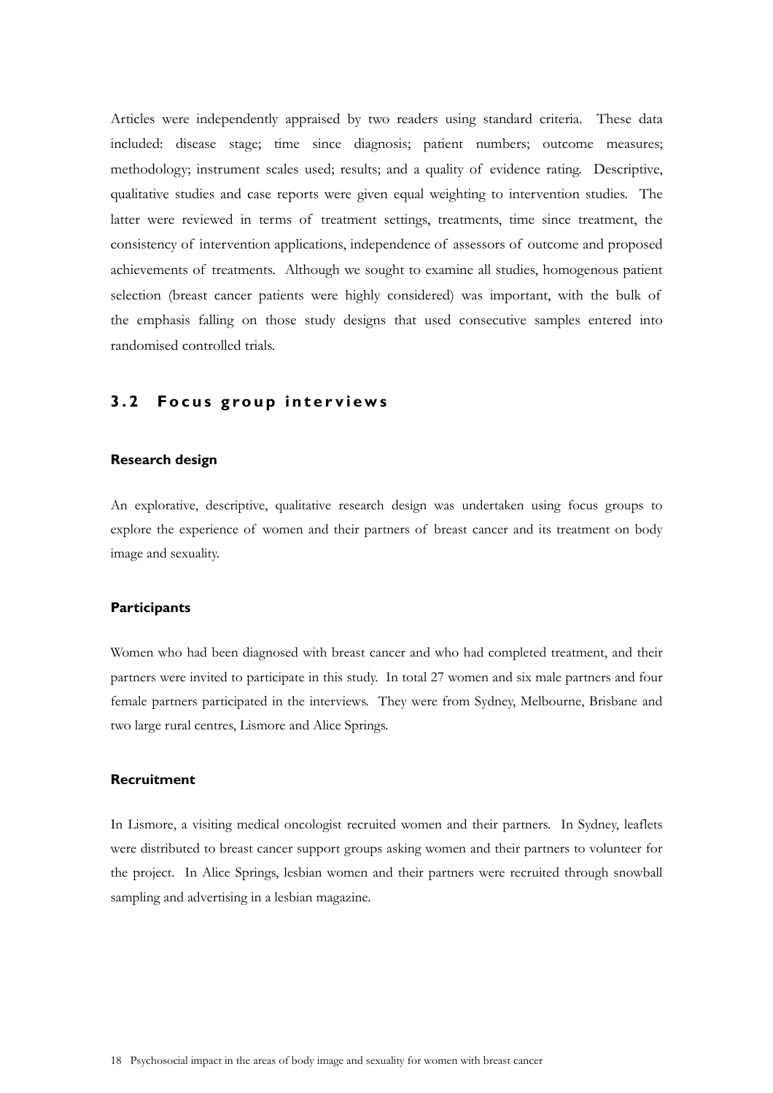Articles were independently appraised by two readers using standard criteria. These data included: disease stage; time since diagnosis; patient numbers; outcome measures; methodology; instrument scales used; results; and a quality of evidence rating. Descriptive, qualitative studies and case reports were given equal weighting to intervention studies. The latter were reviewed in terms of treatment settings, treatments, time since treatment, the consistency of intervention applications, independence of assessors of outcome and proposed achievements of treatments. Although we sought to examine all studies, homogenous patient selection (breast cancer patients were highly considered) was important, with the bulk of the emphasis falling on those study designs that used consecutive samples entered into randomised controlled trials.

## **3.2 Focus group interviews**

### **Research design**

An explorative, descriptive, qualitative research design was undertaken using focus groups to explore the experience of women and their partners of breast cancer and its treatment on body image and sexuality.

### **Participants**

Women who had been diagnosed with breast cancer and who had completed treatment, and their partners were invited to participate in this study. In total 27 women and six male partners and four female partners participated in the interviews. They were from Sydney, Melbourne, Brisbane and two large rural centres, Lismore and Alice Springs.

### **Recruitment**

In Lismore, a visiting medical oncologist recruited women and their partners. In Sydney, leaflets were distributed to breast cancer support groups asking women and their partners to volunteer for the project. In Alice Springs, lesbian women and their partners were recruited through snowball sampling and advertising in a lesbian magazine.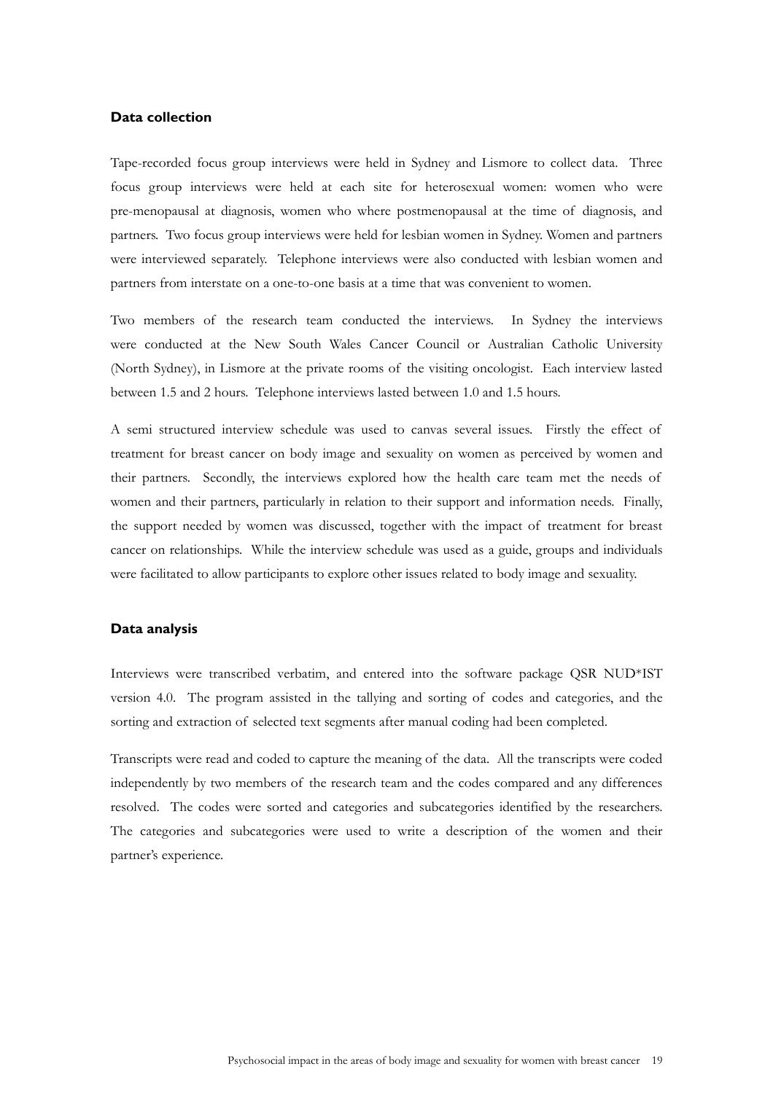### **Data collection**

Tape-recorded focus group interviews were held in Sydney and Lismore to collect data. Three focus group interviews were held at each site for heterosexual women: women who were pre-menopausal at diagnosis, women who where postmenopausal at the time of diagnosis, and partners. Two focus group interviews were held for lesbian women in Sydney. Women and partners were interviewed separately. Telephone interviews were also conducted with lesbian women and partners from interstate on a one-to-one basis at a time that was convenient to women.

Two members of the research team conducted the interviews. In Sydney the interviews were conducted at the New South Wales Cancer Council or Australian Catholic University (North Sydney), in Lismore at the private rooms of the visiting oncologist. Each interview lasted between 1.5 and 2 hours. Telephone interviews lasted between 1.0 and 1.5 hours.

A semi structured interview schedule was used to canvas several issues. Firstly the effect of treatment for breast cancer on body image and sexuality on women as perceived by women and their partners. Secondly, the interviews explored how the health care team met the needs of women and their partners, particularly in relation to their support and information needs. Finally, the support needed by women was discussed, together with the impact of treatment for breast cancer on relationships. While the interview schedule was used as a guide, groups and individuals were facilitated to allow participants to explore other issues related to body image and sexuality.

#### **Data analysis**

Interviews were transcribed verbatim, and entered into the software package QSR NUD\*IST version 4.0. The program assisted in the tallying and sorting of codes and categories, and the sorting and extraction of selected text segments after manual coding had been completed.

Transcripts were read and coded to capture the meaning of the data. All the transcripts were coded independently by two members of the research team and the codes compared and any differences resolved. The codes were sorted and categories and subcategories identified by the researchers. The categories and subcategories were used to write a description of the women and their partner's experience.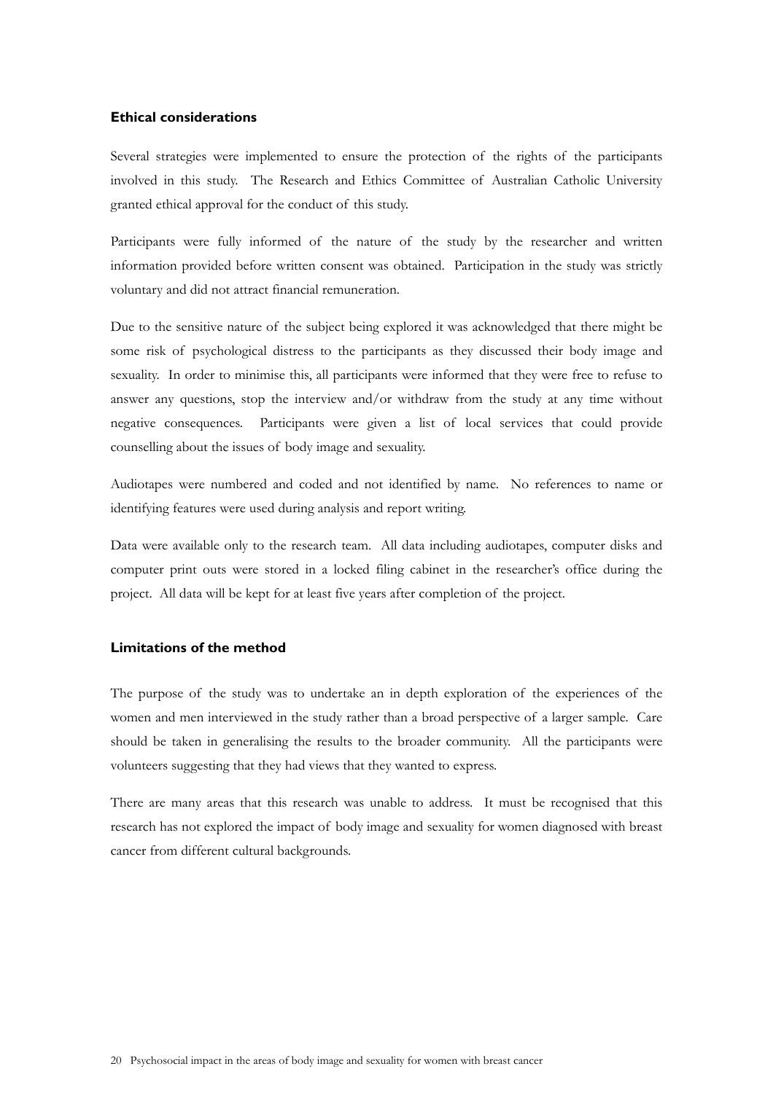#### **Ethical considerations**

Several strategies were implemented to ensure the protection of the rights of the participants involved in this study. The Research and Ethics Committee of Australian Catholic University granted ethical approval for the conduct of this study.

Participants were fully informed of the nature of the study by the researcher and written information provided before written consent was obtained. Participation in the study was strictly voluntary and did not attract financial remuneration.

Due to the sensitive nature of the subject being explored it was acknowledged that there might be some risk of psychological distress to the participants as they discussed their body image and sexuality. In order to minimise this, all participants were informed that they were free to refuse to answer any questions, stop the interview and/or withdraw from the study at any time without negative consequences. Participants were given a list of local services that could provide counselling about the issues of body image and sexuality.

Audiotapes were numbered and coded and not identified by name. No references to name or identifying features were used during analysis and report writing.

Data were available only to the research team. All data including audiotapes, computer disks and computer print outs were stored in a locked filing cabinet in the researcher's office during the project. All data will be kept for at least five years after completion of the project.

### **Limitations of the method**

The purpose of the study was to undertake an in depth exploration of the experiences of the women and men interviewed in the study rather than a broad perspective of a larger sample. Care should be taken in generalising the results to the broader community. All the participants were volunteers suggesting that they had views that they wanted to express.

There are many areas that this research was unable to address. It must be recognised that this research has not explored the impact of body image and sexuality for women diagnosed with breast cancer from different cultural backgrounds.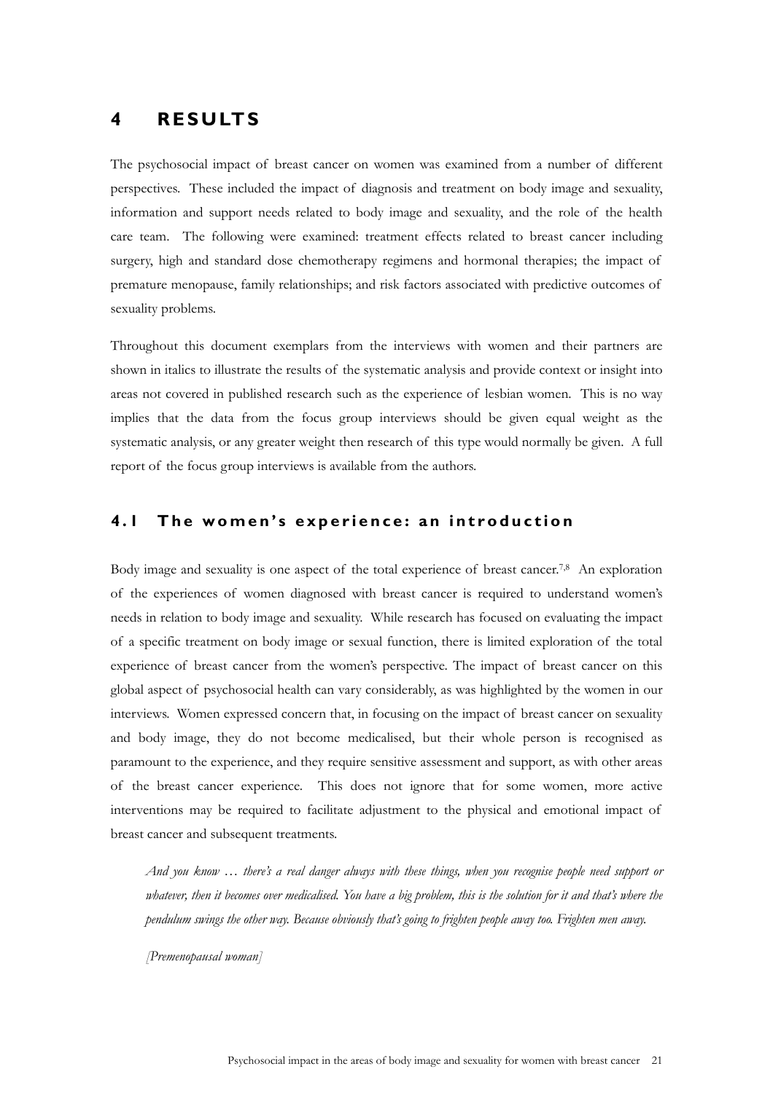# **4 RESULTS**

The psychosocial impact of breast cancer on women was examined from a number of different perspectives. These included the impact of diagnosis and treatment on body image and sexuality, information and support needs related to body image and sexuality, and the role of the health care team. The following were examined: treatment effects related to breast cancer including surgery, high and standard dose chemotherapy regimens and hormonal therapies; the impact of premature menopause, family relationships; and risk factors associated with predictive outcomes of sexuality problems.

Throughout this document exemplars from the interviews with women and their partners are shown in italics to illustrate the results of the systematic analysis and provide context or insight into areas not covered in published research such as the experience of lesbian women. This is no way implies that the data from the focus group interviews should be given equal weight as the systematic analysis, or any greater weight then research of this type would normally be given. A full report of the focus group interviews is available from the authors.

# **4.1 The women's experience: an introduction**

Body image and sexuality is one aspect of the total experience of breast cancer.<sup>7,8</sup> An exploration of the experiences of women diagnosed with breast cancer is required to understand women's needs in relation to body image and sexuality. While research has focused on evaluating the impact of a specific treatment on body image or sexual function, there is limited exploration of the total experience of breast cancer from the women's perspective. The impact of breast cancer on this global aspect of psychosocial health can vary considerably, as was highlighted by the women in our interviews. Women expressed concern that, in focusing on the impact of breast cancer on sexuality and body image, they do not become medicalised, but their whole person is recognised as paramount to the experience, and they require sensitive assessment and support, as with other areas of the breast cancer experience. This does not ignore that for some women, more active interventions may be required to facilitate adjustment to the physical and emotional impact of breast cancer and subsequent treatments.

*And you know … there's a real danger always with these things, when you recognise people need support or*  whatever, then it becomes over medicalised. You have a big problem, this is the solution for it and that's where the *pendulum swings the other way. Because obviously that's going to frighten people away too. Frighten men away.* 

*[Premenopausal woman]*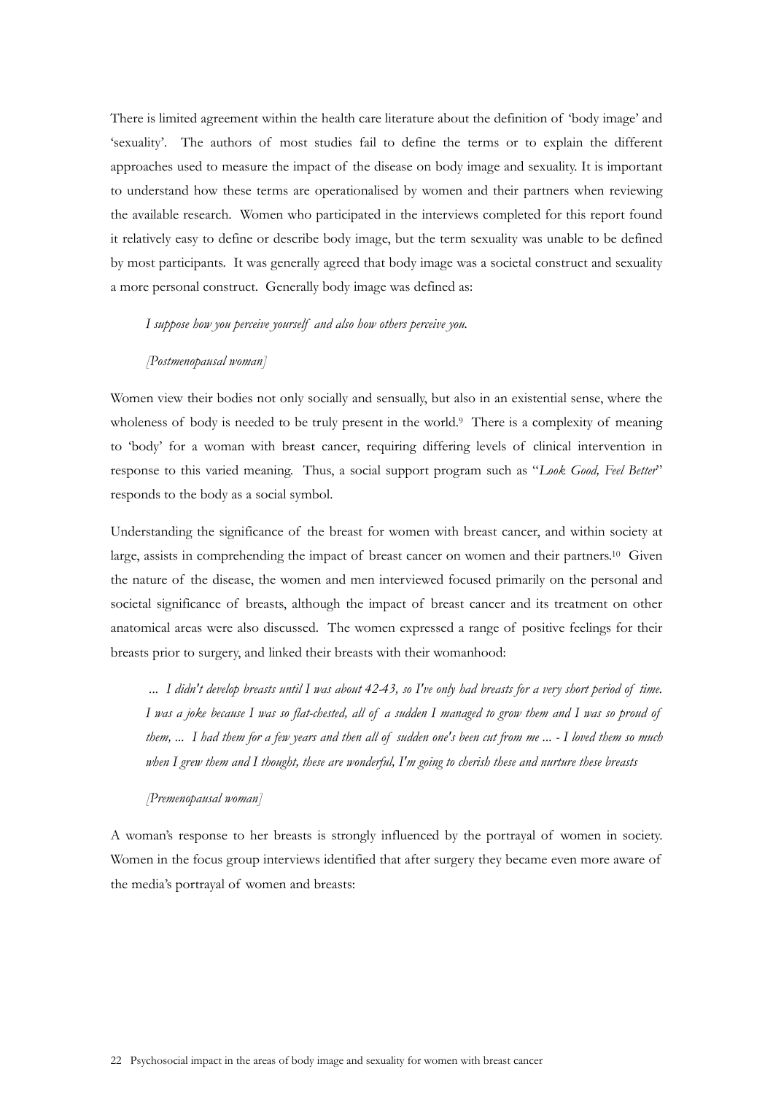There is limited agreement within the health care literature about the definition of 'body image' and 'sexuality'. The authors of most studies fail to define the terms or to explain the different approaches used to measure the impact of the disease on body image and sexuality. It is important to understand how these terms are operationalised by women and their partners when reviewing the available research. Women who participated in the interviews completed for this report found it relatively easy to define or describe body image, but the term sexuality was unable to be defined by most participants. It was generally agreed that body image was a societal construct and sexuality a more personal construct. Generally body image was defined as:

*I suppose how you perceive yourself and also how others perceive you.* 

#### *[Postmenopausal woman]*

Women view their bodies not only socially and sensually, but also in an existential sense, where the wholeness of body is needed to be truly present in the world.<sup>9</sup> There is a complexity of meaning to 'body' for a woman with breast cancer, requiring differing levels of clinical intervention in response to this varied meaning. Thus, a social support program such as "*Look Good, Feel Better*" responds to the body as a social symbol.

Understanding the significance of the breast for women with breast cancer, and within society at large, assists in comprehending the impact of breast cancer on women and their partners.<sup>10</sup> Given the nature of the disease, the women and men interviewed focused primarily on the personal and societal significance of breasts, although the impact of breast cancer and its treatment on other anatomical areas were also discussed. The women expressed a range of positive feelings for their breasts prior to surgery, and linked their breasts with their womanhood:

 *... I didn't develop breasts until I was about 42-43, so I've only had breasts for a very short period of time. I was a joke because I was so flat-chested, all of a sudden I managed to grow them and I was so proud of them, ... I had them for a few years and then all of sudden one's been cut from me ... - I loved them so much when I grew them and I thought, these are wonderful, I'm going to cherish these and nurture these breasts* 

#### *[Premenopausal woman]*

A woman's response to her breasts is strongly influenced by the portrayal of women in society. Women in the focus group interviews identified that after surgery they became even more aware of the media's portrayal of women and breasts: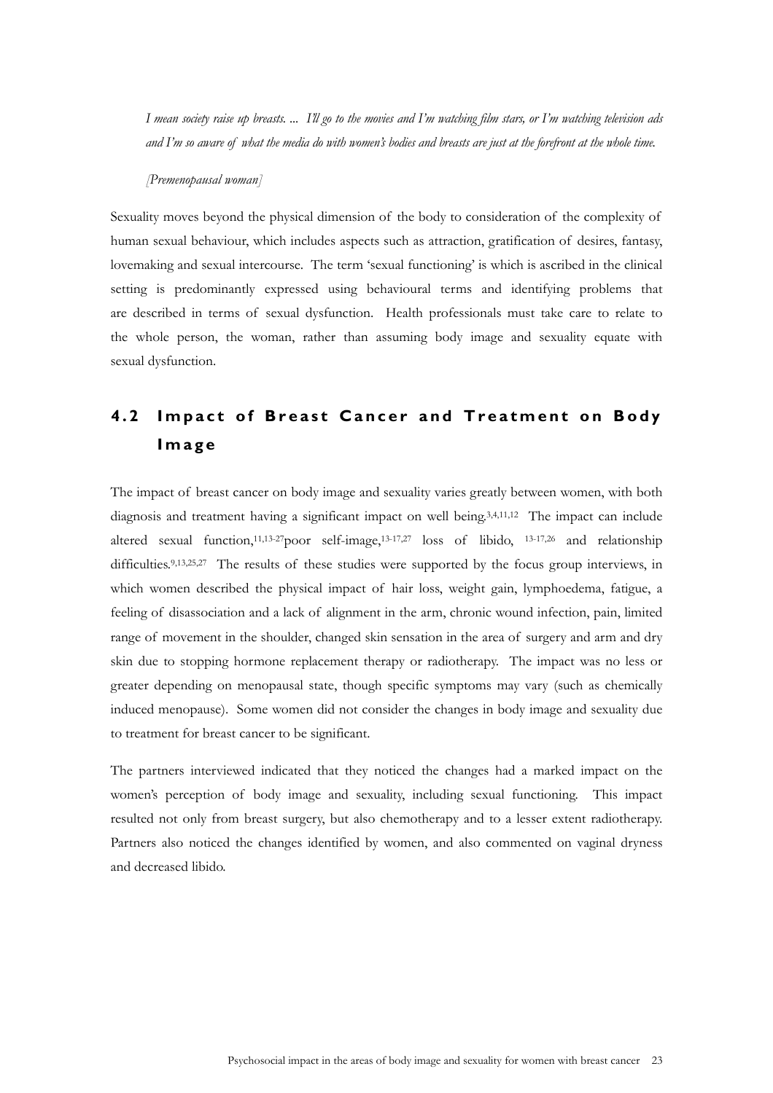*I mean society raise up breasts. ... I'll go to the movies and I'm watching film stars, or I'm watching television ads and I'm so aware of what the media do with women's bodies and breasts are just at the forefront at the whole time.* 

#### *[Premenopausal woman]*

Sexuality moves beyond the physical dimension of the body to consideration of the complexity of human sexual behaviour, which includes aspects such as attraction, gratification of desires, fantasy, lovemaking and sexual intercourse. The term 'sexual functioning' is which is ascribed in the clinical setting is predominantly expressed using behavioural terms and identifying problems that are described in terms of sexual dysfunction. Health professionals must take care to relate to the whole person, the woman, rather than assuming body image and sexuality equate with sexual dysfunction.

# **4.2 Impact of Breast Cancer and Treatment on Body Image**

The impact of breast cancer on body image and sexuality varies greatly between women, with both diagnosis and treatment having a significant impact on well being.3,4,11,12 The impact can include altered sexual function,<sup>11,13-27</sup>poor self-image,<sup>13-17,27</sup> loss of libido, <sup>13-17,26</sup> and relationship difficulties.<sup>9,13,25,27</sup> The results of these studies were supported by the focus group interviews, in which women described the physical impact of hair loss, weight gain, lymphoedema, fatigue, a feeling of disassociation and a lack of alignment in the arm, chronic wound infection, pain, limited range of movement in the shoulder, changed skin sensation in the area of surgery and arm and dry skin due to stopping hormone replacement therapy or radiotherapy. The impact was no less or greater depending on menopausal state, though specific symptoms may vary (such as chemically induced menopause). Some women did not consider the changes in body image and sexuality due to treatment for breast cancer to be significant.

The partners interviewed indicated that they noticed the changes had a marked impact on the women's perception of body image and sexuality, including sexual functioning. This impact resulted not only from breast surgery, but also chemotherapy and to a lesser extent radiotherapy. Partners also noticed the changes identified by women, and also commented on vaginal dryness and decreased libido.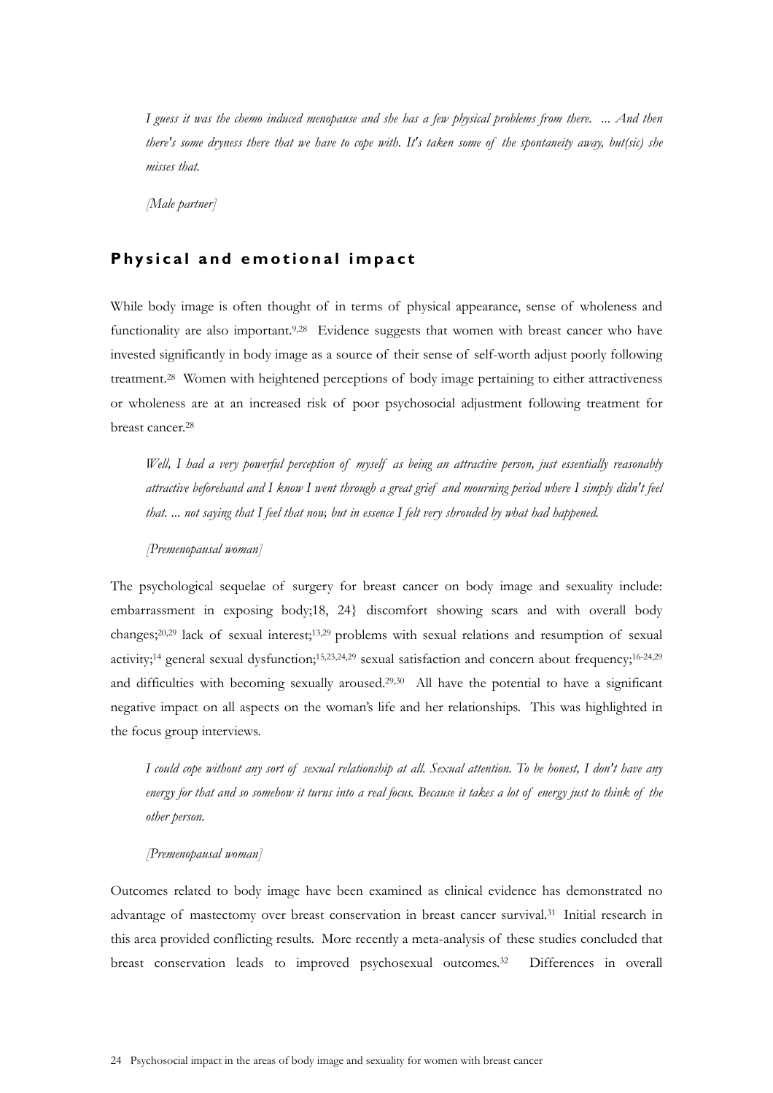*I guess it was the chemo induced menopause and she has a few physical problems from there. ... And then there's some dryness there that we have to cope with. It's taken some of the spontaneity away, but(sic) she misses that.* 

*[Male partner]* 

## **Physical and emotional impact**

While body image is often thought of in terms of physical appearance, sense of wholeness and functionality are also important.<sup>9,28</sup> Evidence suggests that women with breast cancer who have invested significantly in body image as a source of their sense of self-worth adjust poorly following treatment.28 Women with heightened perceptions of body image pertaining to either attractiveness or wholeness are at an increased risk of poor psychosocial adjustment following treatment for breast cancer.28

*Well, I had a very powerful perception of myself as being an attractive person, just essentially reasonably attractive beforehand and I know I went through a great grief and mourning period where I simply didn't feel that. ... not saying that I feel that now, but in essence I felt very shrouded by what had happened.* 

### *[Premenopausal woman]*

The psychological sequelae of surgery for breast cancer on body image and sexuality include: embarrassment in exposing body;18, 24} discomfort showing scars and with overall body changes;20,29 lack of sexual interest;13,29 problems with sexual relations and resumption of sexual activity;14 general sexual dysfunction;15,23,24,29 sexual satisfaction and concern about frequency;16-24,29 and difficulties with becoming sexually aroused.<sup>29,30</sup> All have the potential to have a significant negative impact on all aspects on the woman's life and her relationships. This was highlighted in the focus group interviews.

*I could cope without any sort of sexual relationship at all. Sexual attention. To be honest, I don't have any energy for that and so somehow it turns into a real focus. Because it takes a lot of energy just to think of the other person.* 

### *[Premenopausal woman]*

Outcomes related to body image have been examined as clinical evidence has demonstrated no advantage of mastectomy over breast conservation in breast cancer survival.31 Initial research in this area provided conflicting results. More recently a meta-analysis of these studies concluded that breast conservation leads to improved psychosexual outcomes.32 Differences in overall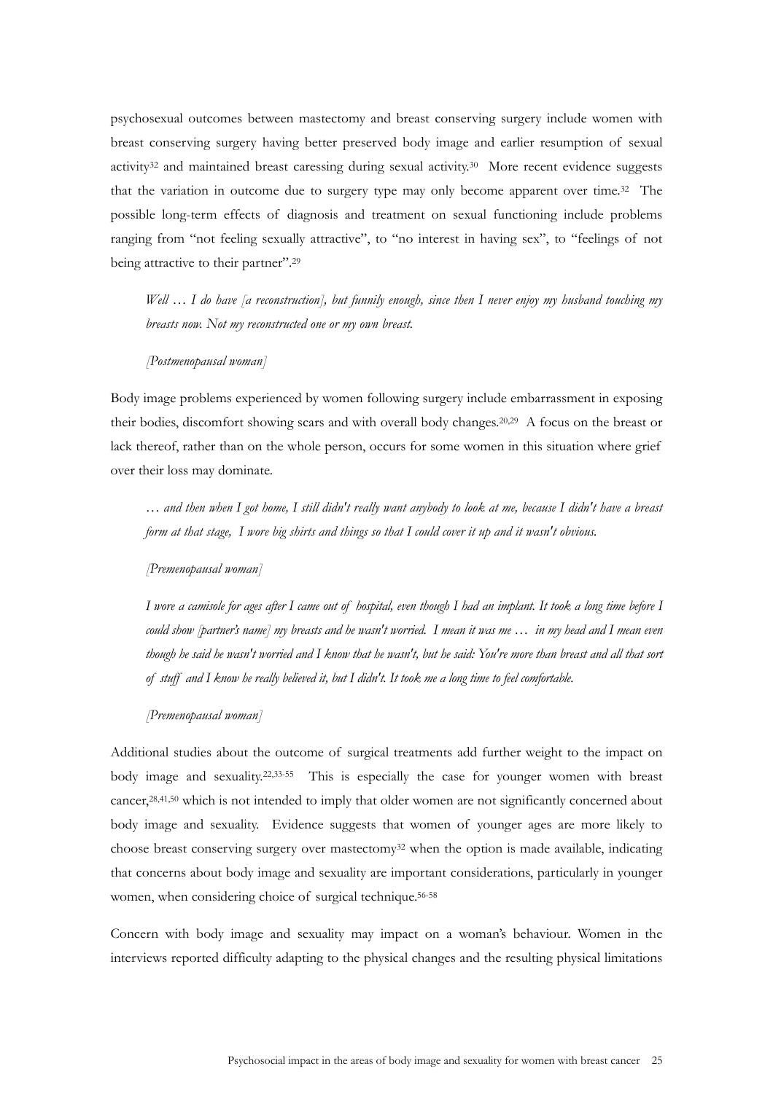psychosexual outcomes between mastectomy and breast conserving surgery include women with breast conserving surgery having better preserved body image and earlier resumption of sexual activity<sup>32</sup> and maintained breast caressing during sexual activity.<sup>30</sup> More recent evidence suggests that the variation in outcome due to surgery type may only become apparent over time.32 The possible long-term effects of diagnosis and treatment on sexual functioning include problems ranging from "not feeling sexually attractive", to "no interest in having sex", to "feelings of not being attractive to their partner".<sup>29</sup>

*Well … I do have [a reconstruction], but funnily enough, since then I never enjoy my husband touching my breasts now. Not my reconstructed one or my own breast.* 

#### *[Postmenopausal woman]*

Body image problems experienced by women following surgery include embarrassment in exposing their bodies, discomfort showing scars and with overall body changes.20,29 A focus on the breast or lack thereof, rather than on the whole person, occurs for some women in this situation where grief over their loss may dominate.

*… and then when I got home, I still didn't really want anybody to look at me, because I didn't have a breast form at that stage, I wore big shirts and things so that I could cover it up and it wasn't obvious.* 

*[Premenopausal woman]*

*I wore a camisole for ages after I came out of hospital, even though I had an implant. It took a long time before I could show [partner's name] my breasts and he wasn't worried. I mean it was me … in my head and I mean even though he said he wasn't worried and I know that he wasn't, but he said: You're more than breast and all that sort of stuff and I know he really believed it, but I didn't. It took me a long time to feel comfortable.* 

*[Premenopausal woman]*

Additional studies about the outcome of surgical treatments add further weight to the impact on body image and sexuality.22,33-55 This is especially the case for younger women with breast cancer,28,41,50 which is not intended to imply that older women are not significantly concerned about body image and sexuality. Evidence suggests that women of younger ages are more likely to choose breast conserving surgery over mastectomy<sup>32</sup> when the option is made available, indicating that concerns about body image and sexuality are important considerations, particularly in younger women, when considering choice of surgical technique.<sup>56-58</sup>

Concern with body image and sexuality may impact on a woman's behaviour. Women in the interviews reported difficulty adapting to the physical changes and the resulting physical limitations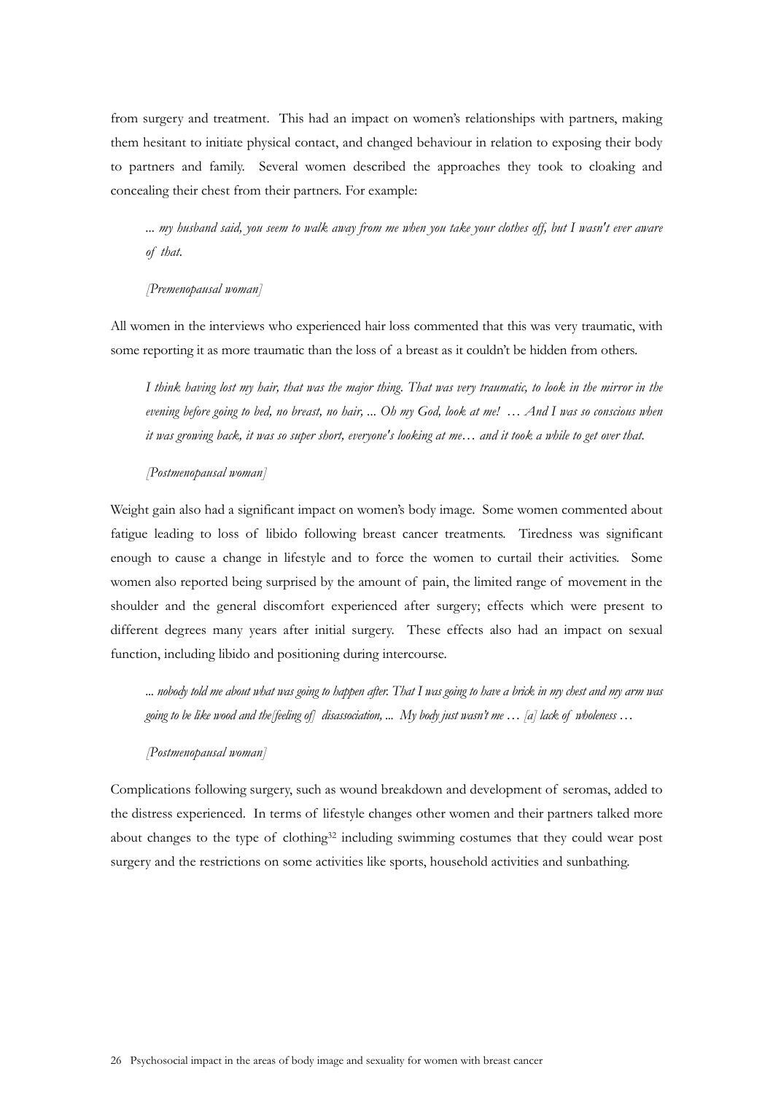from surgery and treatment. This had an impact on women's relationships with partners, making them hesitant to initiate physical contact, and changed behaviour in relation to exposing their body to partners and family. Several women described the approaches they took to cloaking and concealing their chest from their partners. For example:

*... my husband said, you seem to walk away from me when you take your clothes off, but I wasn't ever aware of that.* 

### *[Premenopausal woman]*

All women in the interviews who experienced hair loss commented that this was very traumatic, with some reporting it as more traumatic than the loss of a breast as it couldn't be hidden from others.

*I think having lost my hair, that was the major thing. That was very traumatic, to look in the mirror in the evening before going to bed, no breast, no hair, ... Oh my God, look at me! … And I was so conscious when it was growing back, it was so super short, everyone's looking at me… and it took a while to get over that.* 

#### *[Postmenopausal woman]*

Weight gain also had a significant impact on women's body image. Some women commented about fatigue leading to loss of libido following breast cancer treatments. Tiredness was significant enough to cause a change in lifestyle and to force the women to curtail their activities. Some women also reported being surprised by the amount of pain, the limited range of movement in the shoulder and the general discomfort experienced after surgery; effects which were present to different degrees many years after initial surgery. These effects also had an impact on sexual function, including libido and positioning during intercourse.

*... nobody told me about what was going to happen after. That I was going to have a brick in my chest and my arm was going to be like wood and the[feeling of] disassociation, ... My body just wasn't me … [a] lack of wholeness …* 

#### *[Postmenopausal woman]*

Complications following surgery, such as wound breakdown and development of seromas, added to the distress experienced. In terms of lifestyle changes other women and their partners talked more about changes to the type of clothing<sup>32</sup> including swimming costumes that they could wear post surgery and the restrictions on some activities like sports, household activities and sunbathing.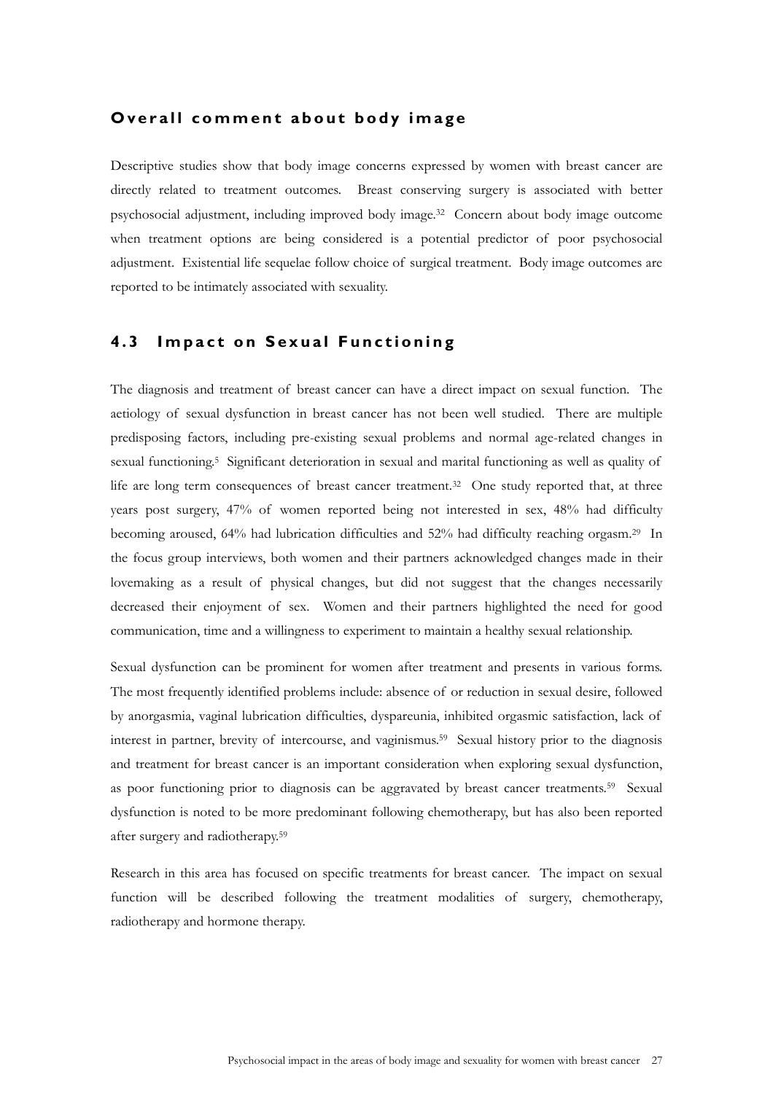### **Overall comment about body image**

Descriptive studies show that body image concerns expressed by women with breast cancer are directly related to treatment outcomes. Breast conserving surgery is associated with better psychosocial adjustment, including improved body image.32 Concern about body image outcome when treatment options are being considered is a potential predictor of poor psychosocial adjustment. Existential life sequelae follow choice of surgical treatment. Body image outcomes are reported to be intimately associated with sexuality.

## **4.3 Impact on Sexual Functioning**

The diagnosis and treatment of breast cancer can have a direct impact on sexual function. The aetiology of sexual dysfunction in breast cancer has not been well studied. There are multiple predisposing factors, including pre-existing sexual problems and normal age-related changes in sexual functioning.5 Significant deterioration in sexual and marital functioning as well as quality of life are long term consequences of breast cancer treatment.32 One study reported that, at three years post surgery, 47% of women reported being not interested in sex, 48% had difficulty becoming aroused, 64% had lubrication difficulties and 52% had difficulty reaching orgasm.29 In the focus group interviews, both women and their partners acknowledged changes made in their lovemaking as a result of physical changes, but did not suggest that the changes necessarily decreased their enjoyment of sex. Women and their partners highlighted the need for good communication, time and a willingness to experiment to maintain a healthy sexual relationship.

Sexual dysfunction can be prominent for women after treatment and presents in various forms. The most frequently identified problems include: absence of or reduction in sexual desire, followed by anorgasmia, vaginal lubrication difficulties, dyspareunia, inhibited orgasmic satisfaction, lack of interest in partner, brevity of intercourse, and vaginismus.59 Sexual history prior to the diagnosis and treatment for breast cancer is an important consideration when exploring sexual dysfunction, as poor functioning prior to diagnosis can be aggravated by breast cancer treatments.59 Sexual dysfunction is noted to be more predominant following chemotherapy, but has also been reported after surgery and radiotherapy.59

Research in this area has focused on specific treatments for breast cancer. The impact on sexual function will be described following the treatment modalities of surgery, chemotherapy, radiotherapy and hormone therapy.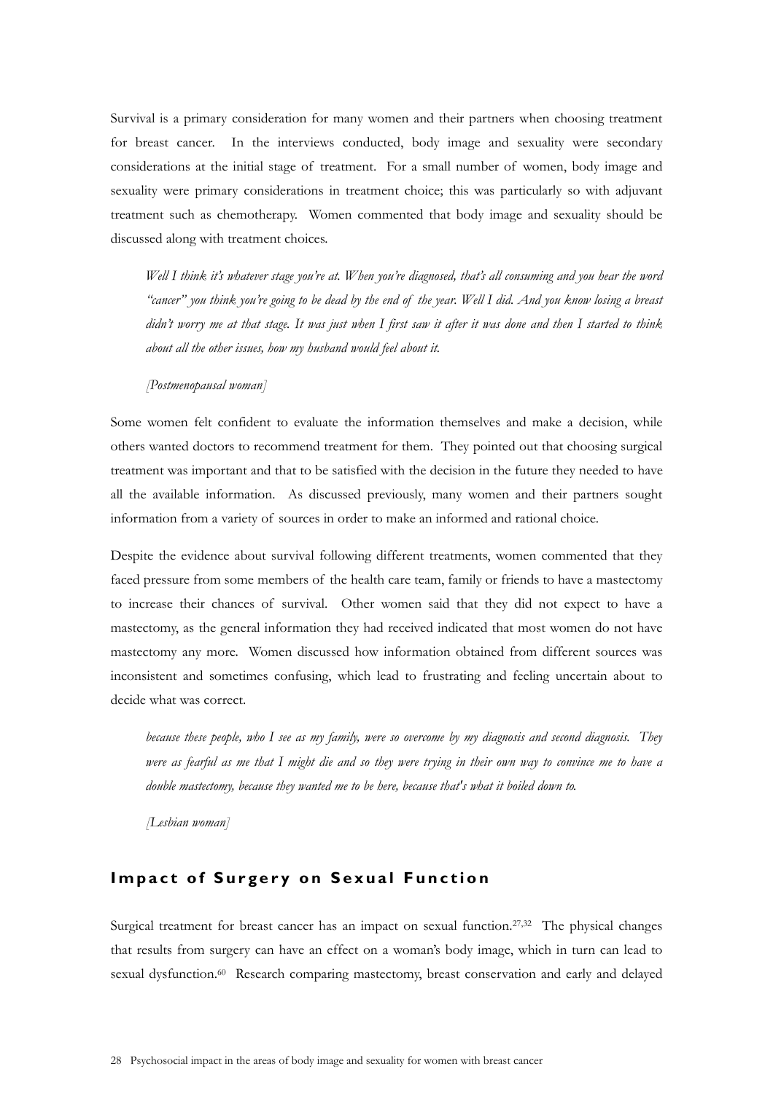Survival is a primary consideration for many women and their partners when choosing treatment for breast cancer. In the interviews conducted, body image and sexuality were secondary considerations at the initial stage of treatment. For a small number of women, body image and sexuality were primary considerations in treatment choice; this was particularly so with adjuvant treatment such as chemotherapy. Women commented that body image and sexuality should be discussed along with treatment choices.

*Well I think it's whatever stage you're at. When you're diagnosed, that's all consuming and you hear the word "cancer" you think you're going to be dead by the end of the year. Well I did. And you know losing a breast didn't worry me at that stage. It was just when I first saw it after it was done and then I started to think about all the other issues, how my husband would feel about it.* 

#### *[Postmenopausal woman]*

Some women felt confident to evaluate the information themselves and make a decision, while others wanted doctors to recommend treatment for them. They pointed out that choosing surgical treatment was important and that to be satisfied with the decision in the future they needed to have all the available information. As discussed previously, many women and their partners sought information from a variety of sources in order to make an informed and rational choice.

Despite the evidence about survival following different treatments, women commented that they faced pressure from some members of the health care team, family or friends to have a mastectomy to increase their chances of survival. Other women said that they did not expect to have a mastectomy, as the general information they had received indicated that most women do not have mastectomy any more. Women discussed how information obtained from different sources was inconsistent and sometimes confusing, which lead to frustrating and feeling uncertain about to decide what was correct.

*because these people, who I see as my family, were so overcome by my diagnosis and second diagnosis. They were as fearful as me that I might die and so they were trying in their own way to convince me to have a double mastectomy, because they wanted me to be here, because that's what it boiled down to.* 

*[Lesbian woman]* 

## **Impact of Surgery on Sexual Function**

Surgical treatment for breast cancer has an impact on sexual function.<sup>27,32</sup> The physical changes that results from surgery can have an effect on a woman's body image, which in turn can lead to sexual dysfunction.<sup>60</sup> Research comparing mastectomy, breast conservation and early and delayed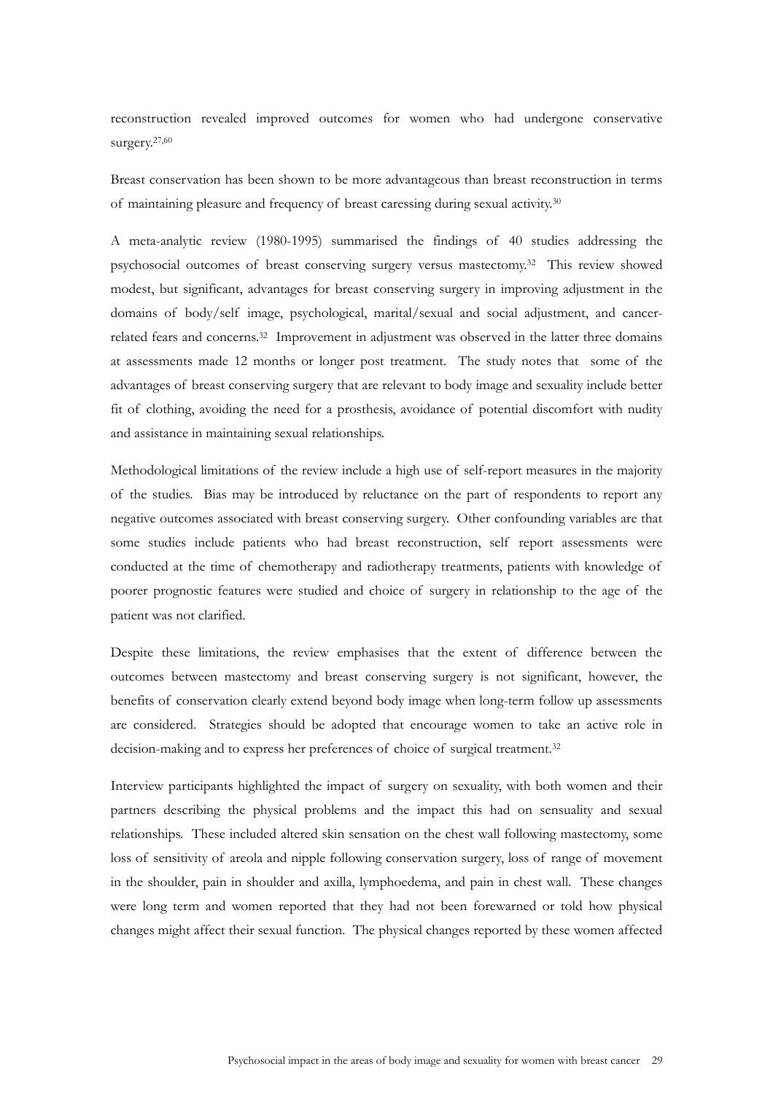reconstruction revealed improved outcomes for women who had undergone conservative surgery.27,60

Breast conservation has been shown to be more advantageous than breast reconstruction in terms of maintaining pleasure and frequency of breast caressing during sexual activity.30

A meta-analytic review (1980-1995) summarised the findings of 40 studies addressing the psychosocial outcomes of breast conserving surgery versus mastectomy.32 This review showed modest, but significant, advantages for breast conserving surgery in improving adjustment in the domains of body/self image, psychological, marital/sexual and social adjustment, and cancerrelated fears and concerns.<sup>32</sup> Improvement in adjustment was observed in the latter three domains at assessments made 12 months or longer post treatment. The study notes that some of the advantages of breast conserving surgery that are relevant to body image and sexuality include better fit of clothing, avoiding the need for a prosthesis, avoidance of potential discomfort with nudity and assistance in maintaining sexual relationships.

Methodological limitations of the review include a high use of self-report measures in the majority of the studies. Bias may be introduced by reluctance on the part of respondents to report any negative outcomes associated with breast conserving surgery. Other confounding variables are that some studies include patients who had breast reconstruction, self report assessments were conducted at the time of chemotherapy and radiotherapy treatments, patients with knowledge of poorer prognostic features were studied and choice of surgery in relationship to the age of the patient was not clarified.

Despite these limitations, the review emphasises that the extent of difference between the outcomes between mastectomy and breast conserving surgery is not significant, however, the benefits of conservation clearly extend beyond body image when long-term follow up assessments are considered. Strategies should be adopted that encourage women to take an active role in decision-making and to express her preferences of choice of surgical treatment.32

Interview participants highlighted the impact of surgery on sexuality, with both women and their partners describing the physical problems and the impact this had on sensuality and sexual relationships. These included altered skin sensation on the chest wall following mastectomy, some loss of sensitivity of areola and nipple following conservation surgery, loss of range of movement in the shoulder, pain in shoulder and axilla, lymphoedema, and pain in chest wall. These changes were long term and women reported that they had not been forewarned or told how physical changes might affect their sexual function. The physical changes reported by these women affected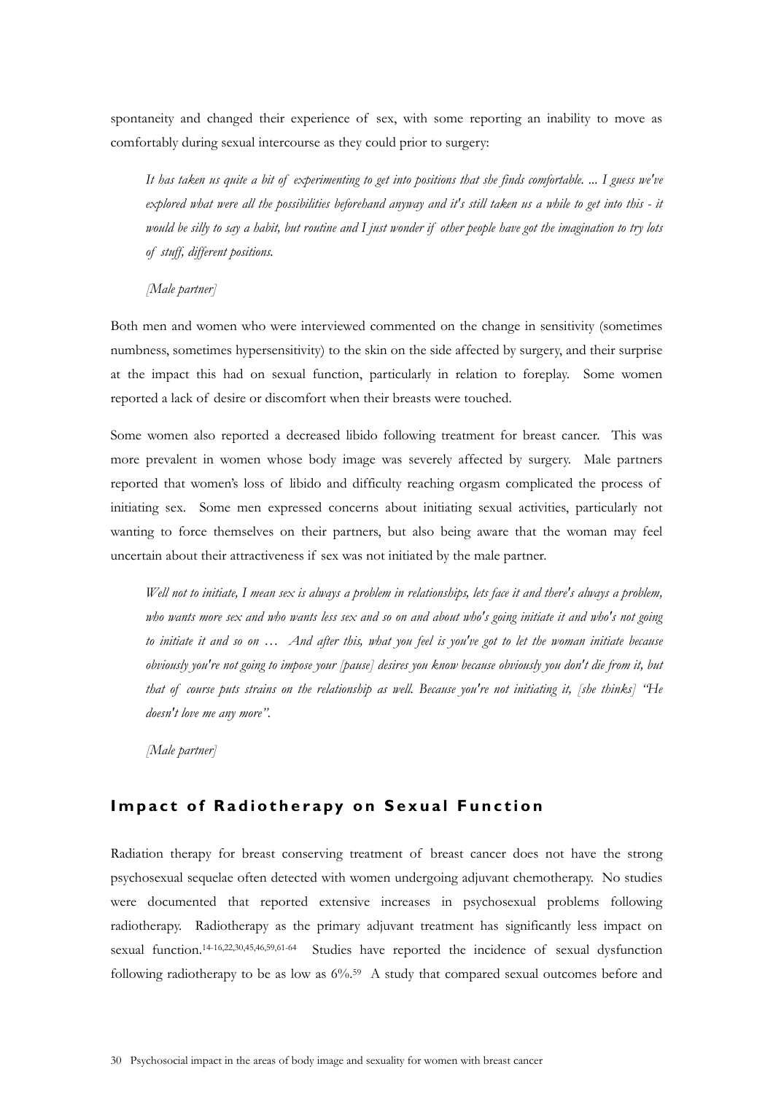spontaneity and changed their experience of sex, with some reporting an inability to move as comfortably during sexual intercourse as they could prior to surgery:

*It has taken us quite a bit of experimenting to get into positions that she finds comfortable. ... I guess we've explored what were all the possibilities beforehand anyway and it's still taken us a while to get into this - it would be silly to say a habit, but routine and I just wonder if other people have got the imagination to try lots of stuff, different positions.* 

*[Male partner]* 

Both men and women who were interviewed commented on the change in sensitivity (sometimes numbness, sometimes hypersensitivity) to the skin on the side affected by surgery, and their surprise at the impact this had on sexual function, particularly in relation to foreplay. Some women reported a lack of desire or discomfort when their breasts were touched.

Some women also reported a decreased libido following treatment for breast cancer. This was more prevalent in women whose body image was severely affected by surgery. Male partners reported that women's loss of libido and difficulty reaching orgasm complicated the process of initiating sex. Some men expressed concerns about initiating sexual activities, particularly not wanting to force themselves on their partners, but also being aware that the woman may feel uncertain about their attractiveness if sex was not initiated by the male partner.

*Well not to initiate, I mean sex is always a problem in relationships, lets face it and there's always a problem, who wants more sex and who wants less sex and so on and about who's going initiate it and who's not going to initiate it and so on … And after this, what you feel is you've got to let the woman initiate because obviously you're not going to impose your [pause] desires you know because obviously you don't die from it, but that of course puts strains on the relationship as well. Because you're not initiating it, [she thinks] "He doesn't love me any more".* 

*[Male partner]* 

# **Impact of Radiotherapy on Sexual Function**

Radiation therapy for breast conserving treatment of breast cancer does not have the strong psychosexual sequelae often detected with women undergoing adjuvant chemotherapy. No studies were documented that reported extensive increases in psychosexual problems following radiotherapy. Radiotherapy as the primary adjuvant treatment has significantly less impact on sexual function.14-16,22,30,45,46,59,61-64 Studies have reported the incidence of sexual dysfunction following radiotherapy to be as low as  $6\%$ <sup>59</sup> A study that compared sexual outcomes before and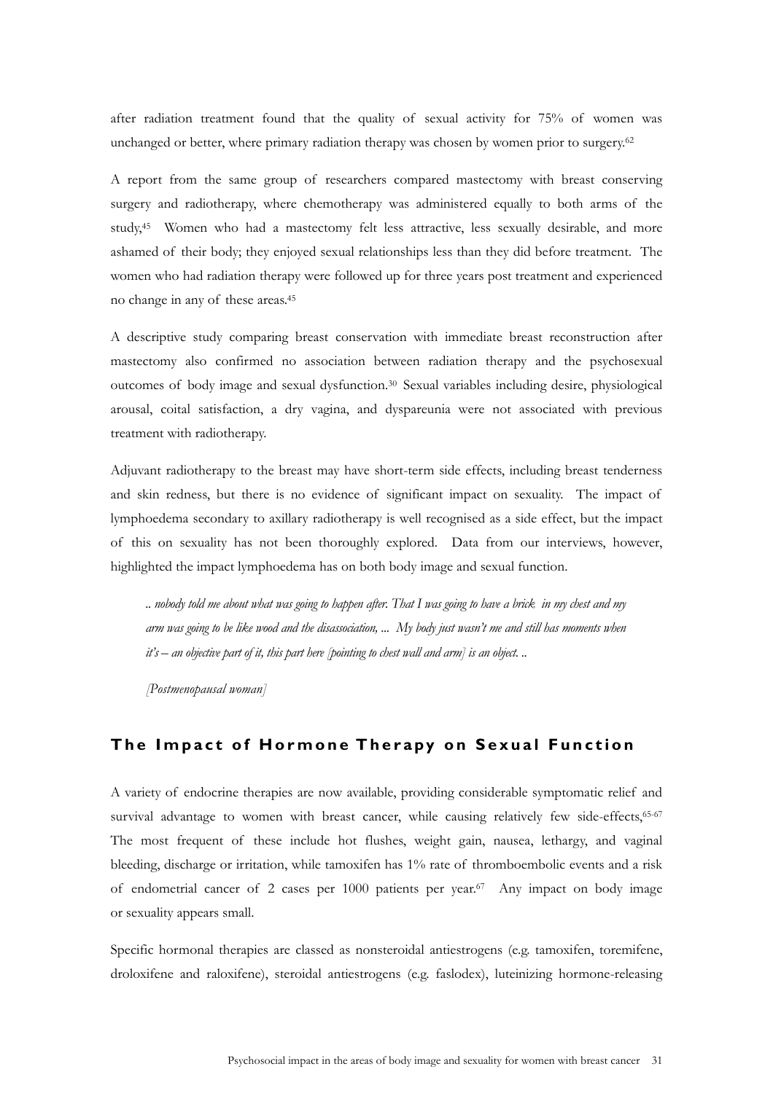after radiation treatment found that the quality of sexual activity for 75% of women was unchanged or better, where primary radiation therapy was chosen by women prior to surgery.<sup>62</sup>

A report from the same group of researchers compared mastectomy with breast conserving surgery and radiotherapy, where chemotherapy was administered equally to both arms of the study,45 Women who had a mastectomy felt less attractive, less sexually desirable, and more ashamed of their body; they enjoyed sexual relationships less than they did before treatment. The women who had radiation therapy were followed up for three years post treatment and experienced no change in any of these areas.45

A descriptive study comparing breast conservation with immediate breast reconstruction after mastectomy also confirmed no association between radiation therapy and the psychosexual outcomes of body image and sexual dysfunction.30 Sexual variables including desire, physiological arousal, coital satisfaction, a dry vagina, and dyspareunia were not associated with previous treatment with radiotherapy.

Adjuvant radiotherapy to the breast may have short-term side effects, including breast tenderness and skin redness, but there is no evidence of significant impact on sexuality. The impact of lymphoedema secondary to axillary radiotherapy is well recognised as a side effect, but the impact of this on sexuality has not been thoroughly explored. Data from our interviews, however, highlighted the impact lymphoedema has on both body image and sexual function.

*.. nobody told me about what was going to happen after. That I was going to have a brick in my chest and my arm was going to be like wood and the disassociation, ... My body just wasn't me and still has moments when it's – an objective part of it, this part here [pointing to chest wall and arm] is an object. ..* 

*[Postmenopausal woman]* 

## The Impact of Hormone Therapy on Sexual Function

A variety of endocrine therapies are now available, providing considerable symptomatic relief and survival advantage to women with breast cancer, while causing relatively few side-effects,<sup>65-67</sup> The most frequent of these include hot flushes, weight gain, nausea, lethargy, and vaginal bleeding, discharge or irritation, while tamoxifen has 1% rate of thromboembolic events and a risk of endometrial cancer of 2 cases per 1000 patients per year.<sup>67</sup> Any impact on body image or sexuality appears small.

Specific hormonal therapies are classed as nonsteroidal antiestrogens (e.g. tamoxifen, toremifene, droloxifene and raloxifene), steroidal antiestrogens (e.g. faslodex), luteinizing hormone-releasing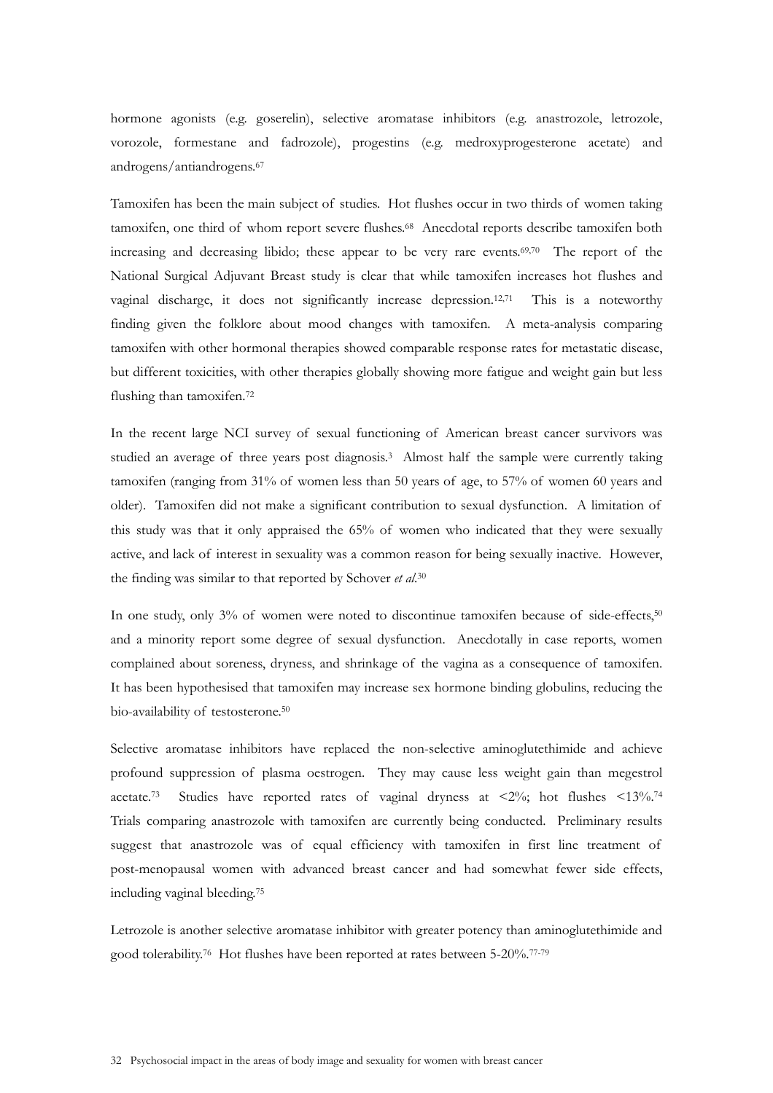hormone agonists (e.g. goserelin), selective aromatase inhibitors (e.g. anastrozole, letrozole, vorozole, formestane and fadrozole), progestins (e.g. medroxyprogesterone acetate) and androgens/antiandrogens.67

Tamoxifen has been the main subject of studies. Hot flushes occur in two thirds of women taking tamoxifen, one third of whom report severe flushes.68 Anecdotal reports describe tamoxifen both increasing and decreasing libido; these appear to be very rare events.<sup>69,70</sup> The report of the National Surgical Adjuvant Breast study is clear that while tamoxifen increases hot flushes and vaginal discharge, it does not significantly increase depression.12,71 This is a noteworthy finding given the folklore about mood changes with tamoxifen. A meta-analysis comparing tamoxifen with other hormonal therapies showed comparable response rates for metastatic disease, but different toxicities, with other therapies globally showing more fatigue and weight gain but less flushing than tamoxifen.72

In the recent large NCI survey of sexual functioning of American breast cancer survivors was studied an average of three years post diagnosis.3 Almost half the sample were currently taking tamoxifen (ranging from 31% of women less than 50 years of age, to 57% of women 60 years and older). Tamoxifen did not make a significant contribution to sexual dysfunction. A limitation of this study was that it only appraised the 65% of women who indicated that they were sexually active, and lack of interest in sexuality was a common reason for being sexually inactive. However, the finding was similar to that reported by Schover *et al*. 30

In one study, only 3% of women were noted to discontinue tamoxifen because of side-effects,<sup>50</sup> and a minority report some degree of sexual dysfunction. Anecdotally in case reports, women complained about soreness, dryness, and shrinkage of the vagina as a consequence of tamoxifen. It has been hypothesised that tamoxifen may increase sex hormone binding globulins, reducing the bio-availability of testosterone.50

Selective aromatase inhibitors have replaced the non-selective aminoglutethimide and achieve profound suppression of plasma oestrogen. They may cause less weight gain than megestrol acetate.<sup>73</sup> Studies have reported rates of vaginal dryness at  $\langle 2\%$ ; hot flushes  $\langle 13\% \rangle$ <sup>74</sup> Trials comparing anastrozole with tamoxifen are currently being conducted. Preliminary results suggest that anastrozole was of equal efficiency with tamoxifen in first line treatment of post-menopausal women with advanced breast cancer and had somewhat fewer side effects, including vaginal bleeding.75

Letrozole is another selective aromatase inhibitor with greater potency than aminoglutethimide and good tolerability.76 Hot flushes have been reported at rates between 5-20%.77-79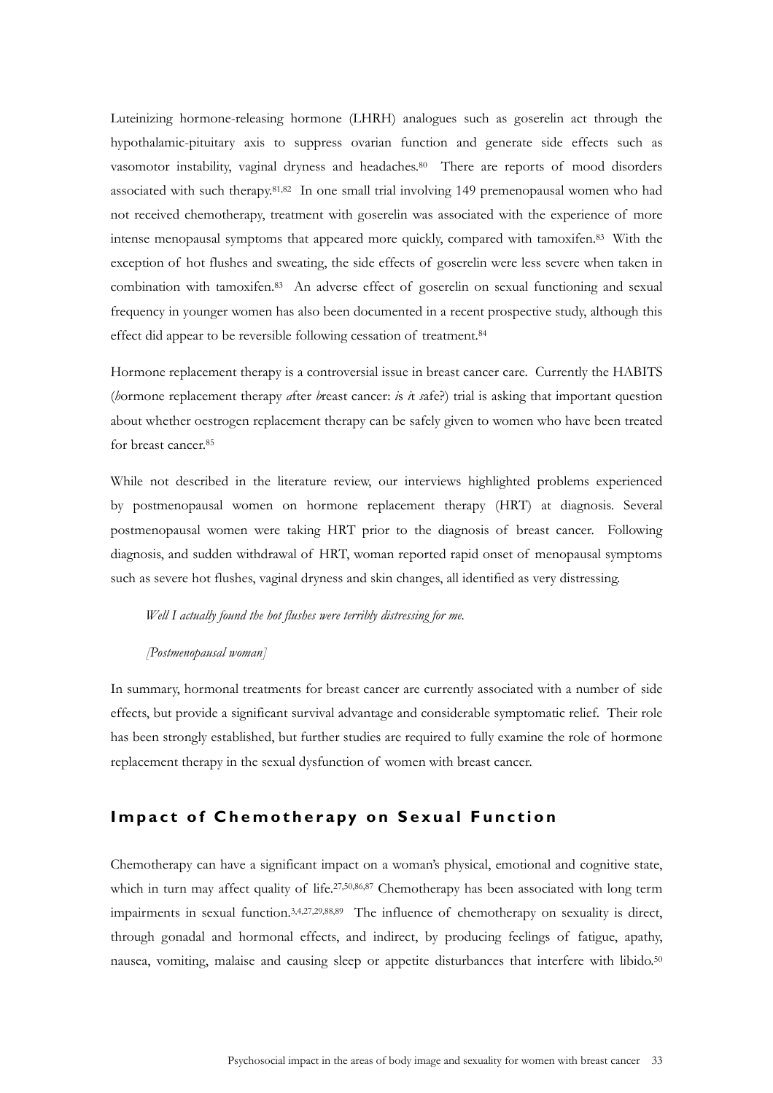Luteinizing hormone-releasing hormone (LHRH) analogues such as goserelin act through the hypothalamic-pituitary axis to suppress ovarian function and generate side effects such as vasomotor instability, vaginal dryness and headaches.<sup>80</sup> There are reports of mood disorders associated with such therapy.<sup>81,82</sup> In one small trial involving 149 premenopausal women who had not received chemotherapy, treatment with goserelin was associated with the experience of more intense menopausal symptoms that appeared more quickly, compared with tamoxifen.83 With the exception of hot flushes and sweating, the side effects of goserelin were less severe when taken in combination with tamoxifen.83 An adverse effect of goserelin on sexual functioning and sexual frequency in younger women has also been documented in a recent prospective study, although this effect did appear to be reversible following cessation of treatment.84

Hormone replacement therapy is a controversial issue in breast cancer care. Currently the HABITS (*h*ormone replacement therapy *a*fter *b*reast cancer: *i*s *i*t *s*afe?) trial is asking that important question about whether oestrogen replacement therapy can be safely given to women who have been treated for breast cancer.85

While not described in the literature review, our interviews highlighted problems experienced by postmenopausal women on hormone replacement therapy (HRT) at diagnosis. Several postmenopausal women were taking HRT prior to the diagnosis of breast cancer. Following diagnosis, and sudden withdrawal of HRT, woman reported rapid onset of menopausal symptoms such as severe hot flushes, vaginal dryness and skin changes, all identified as very distressing.

#### *Well I actually found the hot flushes were terribly distressing for me.*

#### *[Postmenopausal woman]*

In summary, hormonal treatments for breast cancer are currently associated with a number of side effects, but provide a significant survival advantage and considerable symptomatic relief. Their role has been strongly established, but further studies are required to fully examine the role of hormone replacement therapy in the sexual dysfunction of women with breast cancer.

## **Impact of Chemotherapy on Sexual Function**

Chemotherapy can have a significant impact on a woman's physical, emotional and cognitive state, which in turn may affect quality of life.<sup>27,50,86,87</sup> Chemotherapy has been associated with long term impairments in sexual function.3,4,27,29,88,89 The influence of chemotherapy on sexuality is direct, through gonadal and hormonal effects, and indirect, by producing feelings of fatigue, apathy, nausea, vomiting, malaise and causing sleep or appetite disturbances that interfere with libido.<sup>50</sup>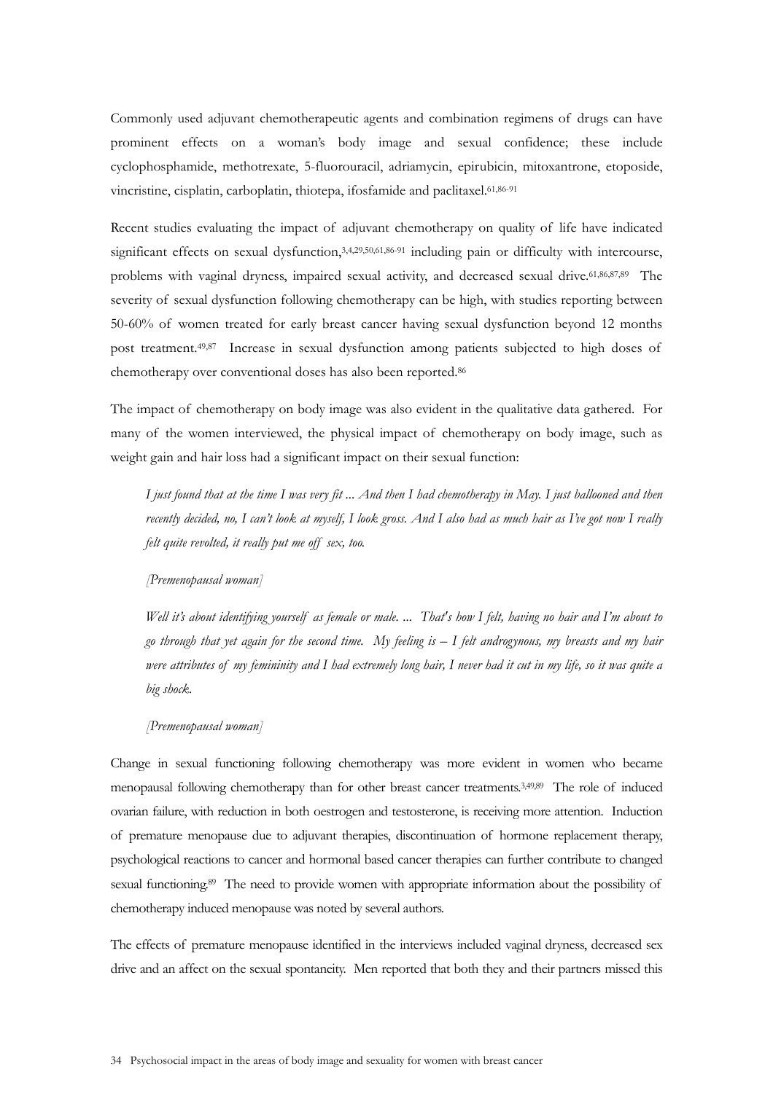Commonly used adjuvant chemotherapeutic agents and combination regimens of drugs can have prominent effects on a woman's body image and sexual confidence; these include cyclophosphamide, methotrexate, 5-fluorouracil, adriamycin, epirubicin, mitoxantrone, etoposide, vincristine, cisplatin, carboplatin, thiotepa, ifosfamide and paclitaxel.61,86-91

Recent studies evaluating the impact of adjuvant chemotherapy on quality of life have indicated significant effects on sexual dysfunction, 3,4,29,50,61,86-91 including pain or difficulty with intercourse, problems with vaginal dryness, impaired sexual activity, and decreased sexual drive.<sup>61,86,87,89</sup> The severity of sexual dysfunction following chemotherapy can be high, with studies reporting between 50-60% of women treated for early breast cancer having sexual dysfunction beyond 12 months post treatment.49,87 Increase in sexual dysfunction among patients subjected to high doses of chemotherapy over conventional doses has also been reported.86

The impact of chemotherapy on body image was also evident in the qualitative data gathered. For many of the women interviewed, the physical impact of chemotherapy on body image, such as weight gain and hair loss had a significant impact on their sexual function:

*I just found that at the time I was very fit ... And then I had chemotherapy in May. I just ballooned and then recently decided, no, I can't look at myself, I look gross. And I also had as much hair as I've got now I really felt quite revolted, it really put me off sex, too.* 

*[Premenopausal woman]* 

*Well it's about identifying yourself as female or male. ... That's how I felt, having no hair and I'm about to go through that yet again for the second time. My feeling is – I felt androgynous, my breasts and my hair were attributes of my femininity and I had extremely long hair, I never had it cut in my life, so it was quite a big shock.* 

*[Premenopausal woman]* 

Change in sexual functioning following chemotherapy was more evident in women who became menopausal following chemotherapy than for other breast cancer treatments.3,49,89 The role of induced ovarian failure, with reduction in both oestrogen and testosterone, is receiving more attention. Induction of premature menopause due to adjuvant therapies, discontinuation of hormone replacement therapy, psychological reactions to cancer and hormonal based cancer therapies can further contribute to changed sexual functioning.<sup>89</sup> The need to provide women with appropriate information about the possibility of chemotherapy induced menopause was noted by several authors.

The effects of premature menopause identified in the interviews included vaginal dryness, decreased sex drive and an affect on the sexual spontaneity. Men reported that both they and their partners missed this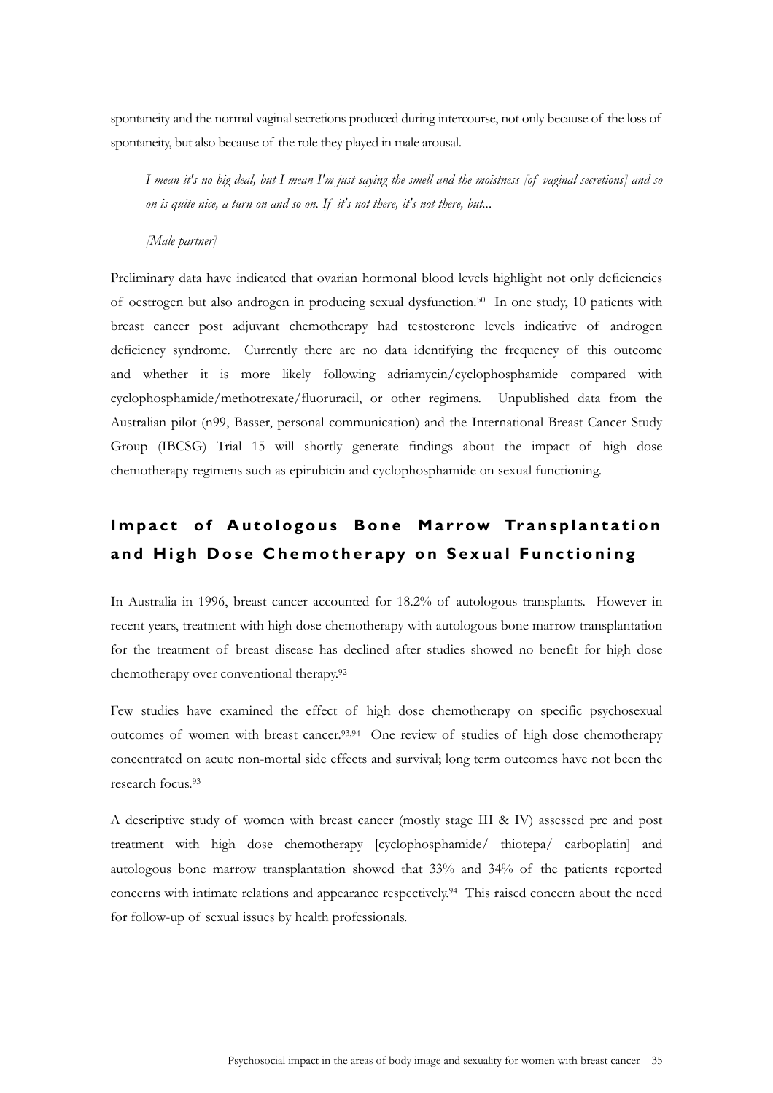spontaneity and the normal vaginal secretions produced during intercourse, not only because of the loss of spontaneity, but also because of the role they played in male arousal.

*I mean it's no big deal, but I mean I'm just saying the smell and the moistness [of vaginal secretions] and so on is quite nice, a turn on and so on. If it's not there, it's not there, but...* 

### *[Male partner]*

Preliminary data have indicated that ovarian hormonal blood levels highlight not only deficiencies of oestrogen but also androgen in producing sexual dysfunction.50 In one study, 10 patients with breast cancer post adjuvant chemotherapy had testosterone levels indicative of androgen deficiency syndrome. Currently there are no data identifying the frequency of this outcome and whether it is more likely following adriamycin/cyclophosphamide compared with cyclophosphamide/methotrexate/fluoruracil, or other regimens. Unpublished data from the Australian pilot (n99, Basser, personal communication) and the International Breast Cancer Study Group (IBCSG) Trial 15 will shortly generate findings about the impact of high dose chemotherapy regimens such as epirubicin and cyclophosphamide on sexual functioning.

# **Impact of Autologous Bone Marrow Transplantation and High Dose Chemotherapy on Sexual Functioning**

In Australia in 1996, breast cancer accounted for 18.2% of autologous transplants. However in recent years, treatment with high dose chemotherapy with autologous bone marrow transplantation for the treatment of breast disease has declined after studies showed no benefit for high dose chemotherapy over conventional therapy.92

Few studies have examined the effect of high dose chemotherapy on specific psychosexual outcomes of women with breast cancer.<sup>93,94</sup> One review of studies of high dose chemotherapy concentrated on acute non-mortal side effects and survival; long term outcomes have not been the research focus.93

A descriptive study of women with breast cancer (mostly stage III & IV) assessed pre and post treatment with high dose chemotherapy [cyclophosphamide/ thiotepa/ carboplatin] and autologous bone marrow transplantation showed that 33% and 34% of the patients reported concerns with intimate relations and appearance respectively.94 This raised concern about the need for follow-up of sexual issues by health professionals.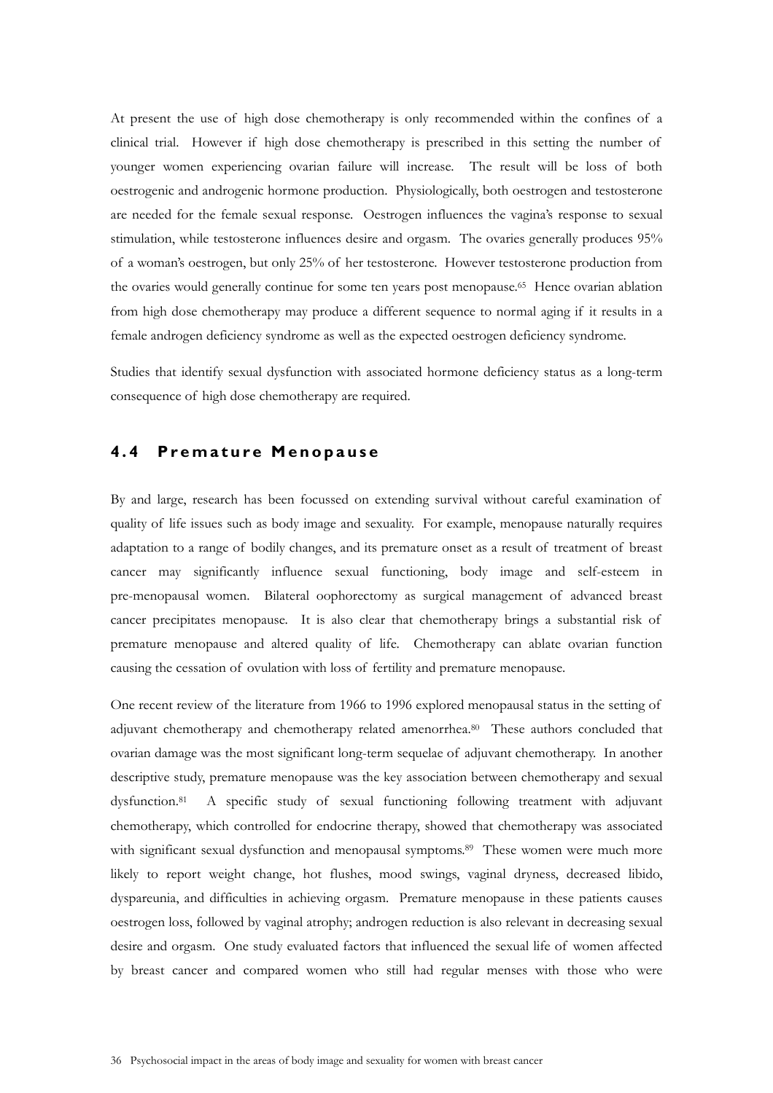At present the use of high dose chemotherapy is only recommended within the confines of a clinical trial. However if high dose chemotherapy is prescribed in this setting the number of younger women experiencing ovarian failure will increase. The result will be loss of both oestrogenic and androgenic hormone production. Physiologically, both oestrogen and testosterone are needed for the female sexual response. Oestrogen influences the vagina's response to sexual stimulation, while testosterone influences desire and orgasm. The ovaries generally produces 95% of a woman's oestrogen, but only 25% of her testosterone. However testosterone production from the ovaries would generally continue for some ten years post menopause.<sup>65</sup> Hence ovarian ablation from high dose chemotherapy may produce a different sequence to normal aging if it results in a female androgen deficiency syndrome as well as the expected oestrogen deficiency syndrome.

Studies that identify sexual dysfunction with associated hormone deficiency status as a long-term consequence of high dose chemotherapy are required.

# **4 . 4 P r e m a t u r e M e n o p a u s e**

By and large, research has been focussed on extending survival without careful examination of quality of life issues such as body image and sexuality. For example, menopause naturally requires adaptation to a range of bodily changes, and its premature onset as a result of treatment of breast cancer may significantly influence sexual functioning, body image and self-esteem in pre-menopausal women. Bilateral oophorectomy as surgical management of advanced breast cancer precipitates menopause. It is also clear that chemotherapy brings a substantial risk of premature menopause and altered quality of life. Chemotherapy can ablate ovarian function causing the cessation of ovulation with loss of fertility and premature menopause.

One recent review of the literature from 1966 to 1996 explored menopausal status in the setting of adjuvant chemotherapy and chemotherapy related amenorrhea.<sup>80</sup> These authors concluded that ovarian damage was the most significant long-term sequelae of adjuvant chemotherapy. In another descriptive study, premature menopause was the key association between chemotherapy and sexual dysfunction.81 A specific study of sexual functioning following treatment with adjuvant chemotherapy, which controlled for endocrine therapy, showed that chemotherapy was associated with significant sexual dysfunction and menopausal symptoms.<sup>89</sup> These women were much more likely to report weight change, hot flushes, mood swings, vaginal dryness, decreased libido, dyspareunia, and difficulties in achieving orgasm. Premature menopause in these patients causes oestrogen loss, followed by vaginal atrophy; androgen reduction is also relevant in decreasing sexual desire and orgasm. One study evaluated factors that influenced the sexual life of women affected by breast cancer and compared women who still had regular menses with those who were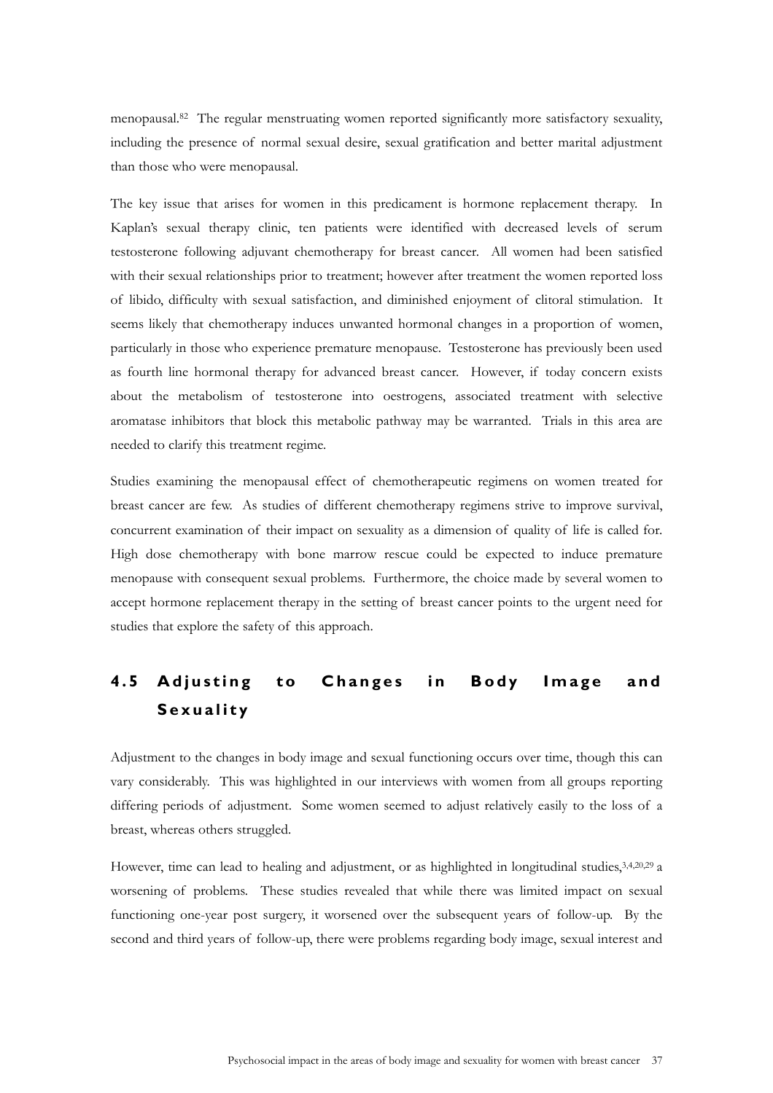menopausal.82 The regular menstruating women reported significantly more satisfactory sexuality, including the presence of normal sexual desire, sexual gratification and better marital adjustment than those who were menopausal.

The key issue that arises for women in this predicament is hormone replacement therapy. In Kaplan's sexual therapy clinic, ten patients were identified with decreased levels of serum testosterone following adjuvant chemotherapy for breast cancer. All women had been satisfied with their sexual relationships prior to treatment; however after treatment the women reported loss of libido, difficulty with sexual satisfaction, and diminished enjoyment of clitoral stimulation. It seems likely that chemotherapy induces unwanted hormonal changes in a proportion of women, particularly in those who experience premature menopause. Testosterone has previously been used as fourth line hormonal therapy for advanced breast cancer. However, if today concern exists about the metabolism of testosterone into oestrogens, associated treatment with selective aromatase inhibitors that block this metabolic pathway may be warranted. Trials in this area are needed to clarify this treatment regime.

Studies examining the menopausal effect of chemotherapeutic regimens on women treated for breast cancer are few. As studies of different chemotherapy regimens strive to improve survival, concurrent examination of their impact on sexuality as a dimension of quality of life is called for. High dose chemotherapy with bone marrow rescue could be expected to induce premature menopause with consequent sexual problems. Furthermore, the choice made by several women to accept hormone replacement therapy in the setting of breast cancer points to the urgent need for studies that explore the safety of this approach.

# **4.5 Adjusting to Changes in Body Image and Sexuality**

Adjustment to the changes in body image and sexual functioning occurs over time, though this can vary considerably. This was highlighted in our interviews with women from all groups reporting differing periods of adjustment. Some women seemed to adjust relatively easily to the loss of a breast, whereas others struggled.

However, time can lead to healing and adjustment, or as highlighted in longitudinal studies, 3,4,20,29 a worsening of problems. These studies revealed that while there was limited impact on sexual functioning one-year post surgery, it worsened over the subsequent years of follow-up. By the second and third years of follow-up, there were problems regarding body image, sexual interest and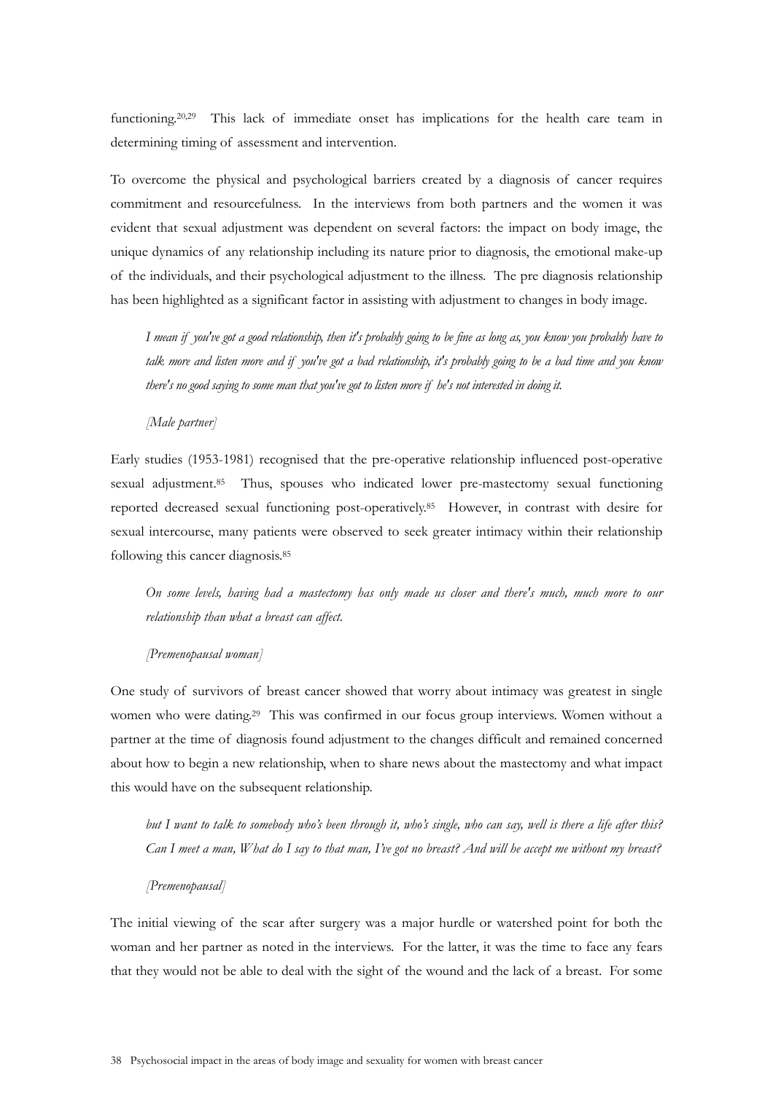functioning.20,29 This lack of immediate onset has implications for the health care team in determining timing of assessment and intervention.

To overcome the physical and psychological barriers created by a diagnosis of cancer requires commitment and resourcefulness. In the interviews from both partners and the women it was evident that sexual adjustment was dependent on several factors: the impact on body image, the unique dynamics of any relationship including its nature prior to diagnosis, the emotional make-up of the individuals, and their psychological adjustment to the illness. The pre diagnosis relationship has been highlighted as a significant factor in assisting with adjustment to changes in body image.

*I mean if you've got a good relationship, then it's probably going to be fine as long as, you know you probably have to talk more and listen more and if you've got a bad relationship, it's probably going to be a bad time and you know there's no good saying to some man that you've got to listen more if he's not interested in doing it.* 

*[Male partner]* 

Early studies (1953-1981) recognised that the pre-operative relationship influenced post-operative sexual adjustment.85 Thus, spouses who indicated lower pre-mastectomy sexual functioning reported decreased sexual functioning post-operatively.85 However, in contrast with desire for sexual intercourse, many patients were observed to seek greater intimacy within their relationship following this cancer diagnosis.85

*On some levels, having had a mastectomy has only made us closer and there's much, much more to our relationship than what a breast can affect.* 

### *[Premenopausal woman]*

One study of survivors of breast cancer showed that worry about intimacy was greatest in single women who were dating.<sup>29</sup> This was confirmed in our focus group interviews. Women without a partner at the time of diagnosis found adjustment to the changes difficult and remained concerned about how to begin a new relationship, when to share news about the mastectomy and what impact this would have on the subsequent relationship.

*but I want to talk to somebody who's been through it, who's single, who can say, well is there a life after this? Can I meet a man, What do I say to that man, I've got no breast? And will he accept me without my breast?* 

### *[Premenopausal]*

The initial viewing of the scar after surgery was a major hurdle or watershed point for both the woman and her partner as noted in the interviews. For the latter, it was the time to face any fears that they would not be able to deal with the sight of the wound and the lack of a breast. For some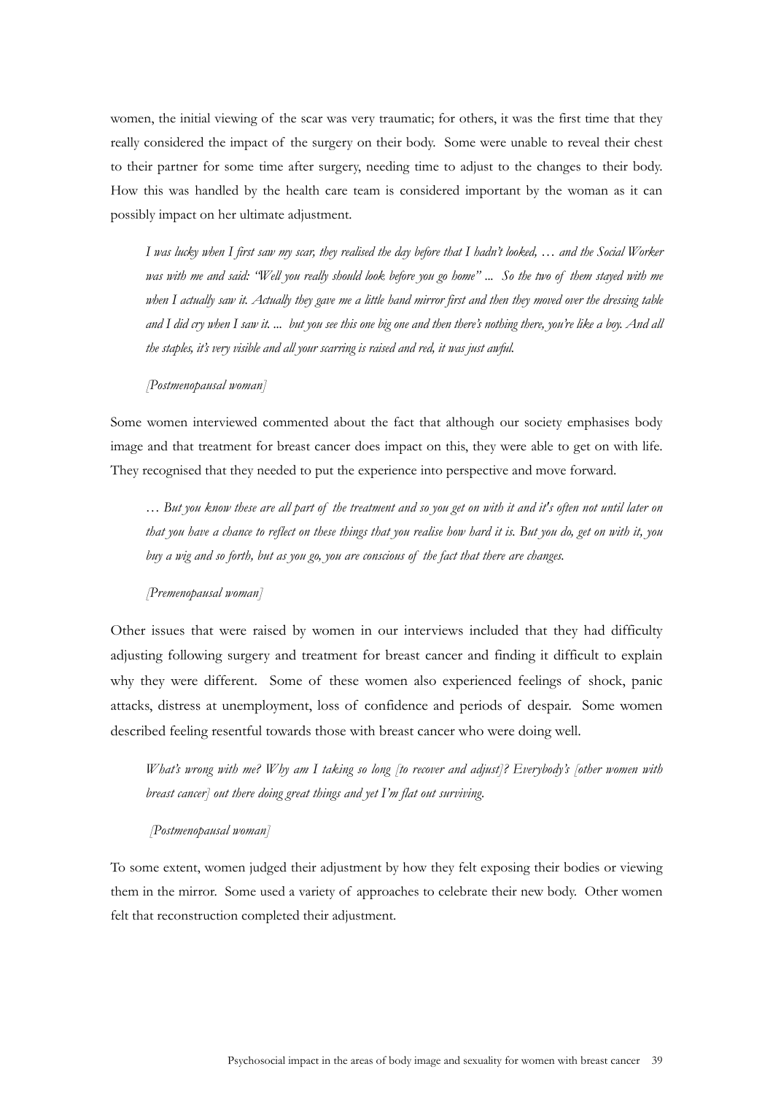women, the initial viewing of the scar was very traumatic; for others, it was the first time that they really considered the impact of the surgery on their body. Some were unable to reveal their chest to their partner for some time after surgery, needing time to adjust to the changes to their body. How this was handled by the health care team is considered important by the woman as it can possibly impact on her ultimate adjustment.

*I was lucky when I first saw my scar, they realised the day before that I hadn't looked, … and the Social Worker was with me and said: "Well you really should look before you go home" ... So the two of them stayed with me when I actually saw it. Actually they gave me a little hand mirror first and then they moved over the dressing table and I did cry when I saw it. ... but you see this one big one and then there's nothing there, you're like a boy. And all the staples, it's very visible and all your scarring is raised and red, it was just awful.* 

#### *[Postmenopausal woman]*

Some women interviewed commented about the fact that although our society emphasises body image and that treatment for breast cancer does impact on this, they were able to get on with life. They recognised that they needed to put the experience into perspective and move forward.

*… But you know these are all part of the treatment and so you get on with it and it's often not until later on that you have a chance to reflect on these things that you realise how hard it is. But you do, get on with it, you buy a wig and so forth, but as you go, you are conscious of the fact that there are changes.* 

#### *[Premenopausal woman]*

Other issues that were raised by women in our interviews included that they had difficulty adjusting following surgery and treatment for breast cancer and finding it difficult to explain why they were different. Some of these women also experienced feelings of shock, panic attacks, distress at unemployment, loss of confidence and periods of despair. Some women described feeling resentful towards those with breast cancer who were doing well.

*What's wrong with me? Why am I taking so long [to recover and adjust]? Everybody's [other women with breast cancer] out there doing great things and yet I'm flat out surviving.* 

#### *[Postmenopausal woman]*

To some extent, women judged their adjustment by how they felt exposing their bodies or viewing them in the mirror. Some used a variety of approaches to celebrate their new body. Other women felt that reconstruction completed their adjustment.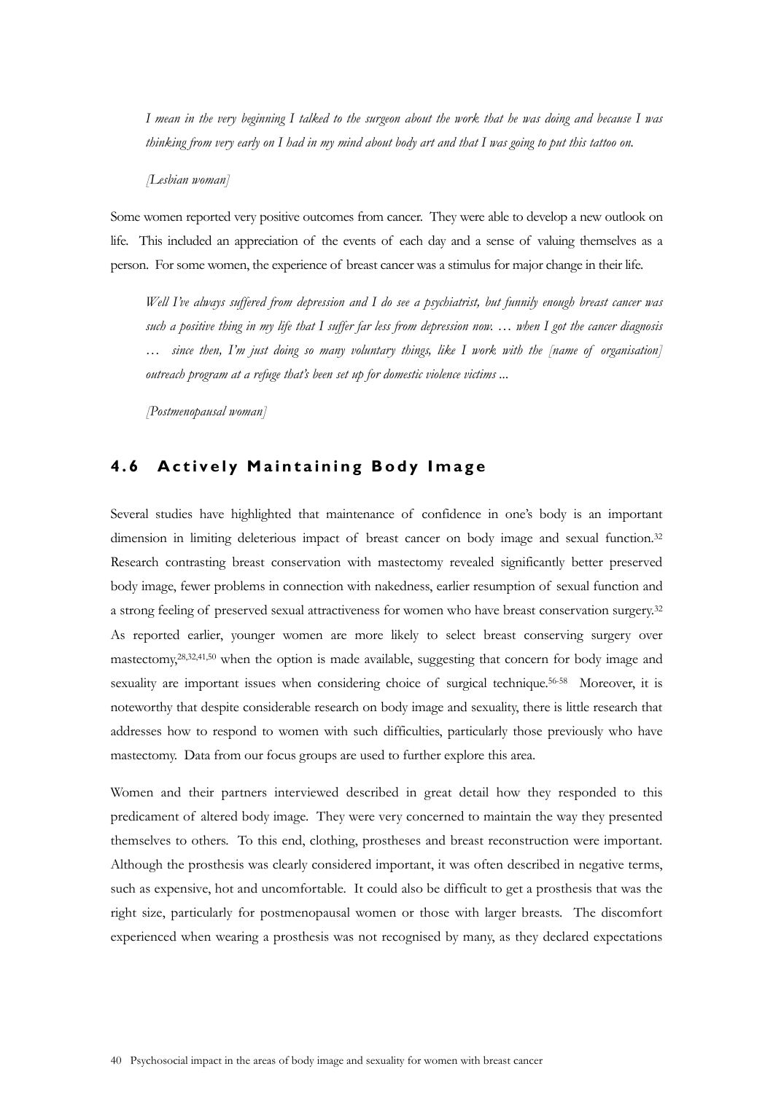*I mean in the very beginning I talked to the surgeon about the work that he was doing and because I was thinking from very early on I had in my mind about body art and that I was going to put this tattoo on.* 

*[Lesbian woman]* 

Some women reported very positive outcomes from cancer. They were able to develop a new outlook on life. This included an appreciation of the events of each day and a sense of valuing themselves as a person. For some women, the experience of breast cancer was a stimulus for major change in their life.

*Well I've always suffered from depression and I do see a psychiatrist, but funnily enough breast cancer was such a positive thing in my life that I suffer far less from depression now. … when I got the cancer diagnosis … since then, I'm just doing so many voluntary things, like I work with the [name of organisation] outreach program at a refuge that's been set up for domestic violence victims ...* 

*[Postmenopausal woman]*

# **4 . 6 A c t i v e l y M a i n t a i ning Body Image**

Several studies have highlighted that maintenance of confidence in one's body is an important dimension in limiting deleterious impact of breast cancer on body image and sexual function.<sup>32</sup> Research contrasting breast conservation with mastectomy revealed significantly better preserved body image, fewer problems in connection with nakedness, earlier resumption of sexual function and a strong feeling of preserved sexual attractiveness for women who have breast conservation surgery.32 As reported earlier, younger women are more likely to select breast conserving surgery over mastectomy,28,32,41,50 when the option is made available, suggesting that concern for body image and sexuality are important issues when considering choice of surgical technique.<sup>56-58</sup> Moreover, it is noteworthy that despite considerable research on body image and sexuality, there is little research that addresses how to respond to women with such difficulties, particularly those previously who have mastectomy. Data from our focus groups are used to further explore this area.

Women and their partners interviewed described in great detail how they responded to this predicament of altered body image. They were very concerned to maintain the way they presented themselves to others. To this end, clothing, prostheses and breast reconstruction were important. Although the prosthesis was clearly considered important, it was often described in negative terms, such as expensive, hot and uncomfortable. It could also be difficult to get a prosthesis that was the right size, particularly for postmenopausal women or those with larger breasts. The discomfort experienced when wearing a prosthesis was not recognised by many, as they declared expectations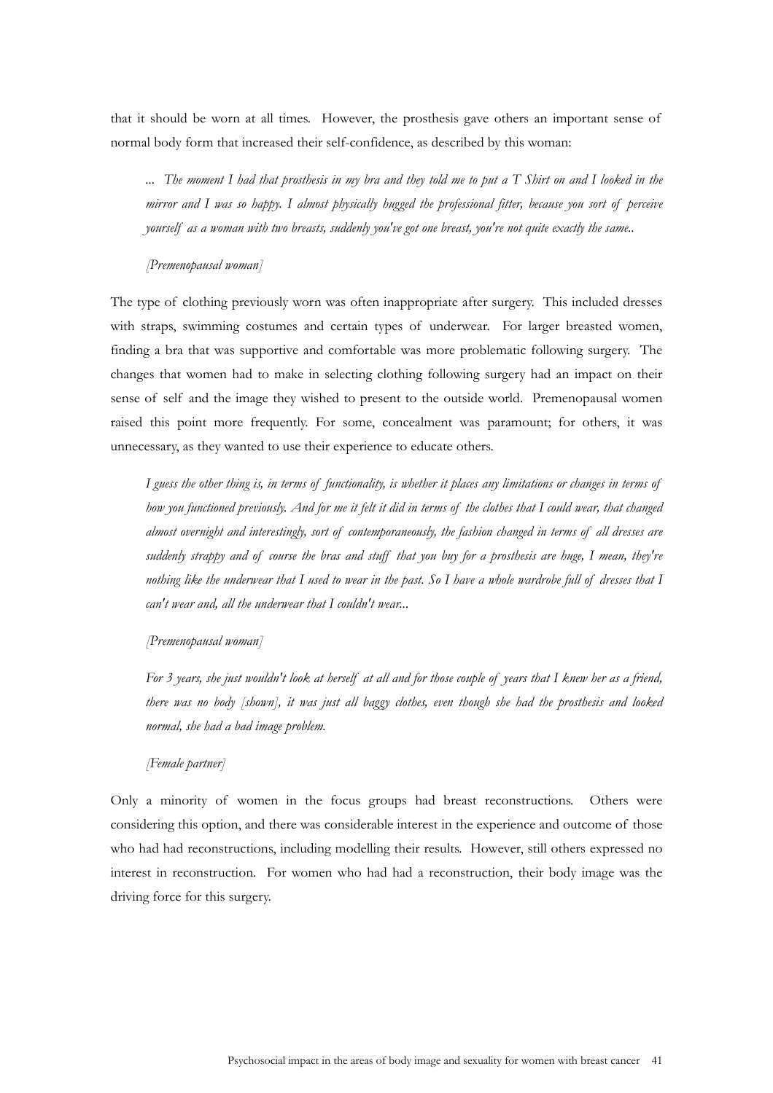that it should be worn at all times. However, the prosthesis gave others an important sense of normal body form that increased their self-confidence, as described by this woman:

*... The moment I had that prosthesis in my bra and they told me to put a T Shirt on and I looked in the mirror and I was so happy. I almost physically hugged the professional fitter, because you sort of perceive yourself as a woman with two breasts, suddenly you've got one breast, you're not quite exactly the same..* 

#### *[Premenopausal woman]*

The type of clothing previously worn was often inappropriate after surgery. This included dresses with straps, swimming costumes and certain types of underwear. For larger breasted women, finding a bra that was supportive and comfortable was more problematic following surgery. The changes that women had to make in selecting clothing following surgery had an impact on their sense of self and the image they wished to present to the outside world. Premenopausal women raised this point more frequently. For some, concealment was paramount; for others, it was unnecessary, as they wanted to use their experience to educate others.

*I guess the other thing is, in terms of functionality, is whether it places any limitations or changes in terms of how you functioned previously. And for me it felt it did in terms of the clothes that I could wear, that changed almost overnight and interestingly, sort of contemporaneously, the fashion changed in terms of all dresses are suddenly strappy and of course the bras and stuff that you buy for a prosthesis are huge, I mean, they're nothing like the underwear that I used to wear in the past. So I have a whole wardrobe full of dresses that I can't wear and, all the underwear that I couldn't wear...* 

#### *[Premenopausal woman]*

*For 3 years, she just wouldn't look at herself at all and for those couple of years that I knew her as a friend, there was no body [shown], it was just all baggy clothes, even though she had the prosthesis and looked normal, she had a bad image problem.* 

### *[Female partner]*

Only a minority of women in the focus groups had breast reconstructions. Others were considering this option, and there was considerable interest in the experience and outcome of those who had had reconstructions, including modelling their results. However, still others expressed no interest in reconstruction. For women who had had a reconstruction, their body image was the driving force for this surgery.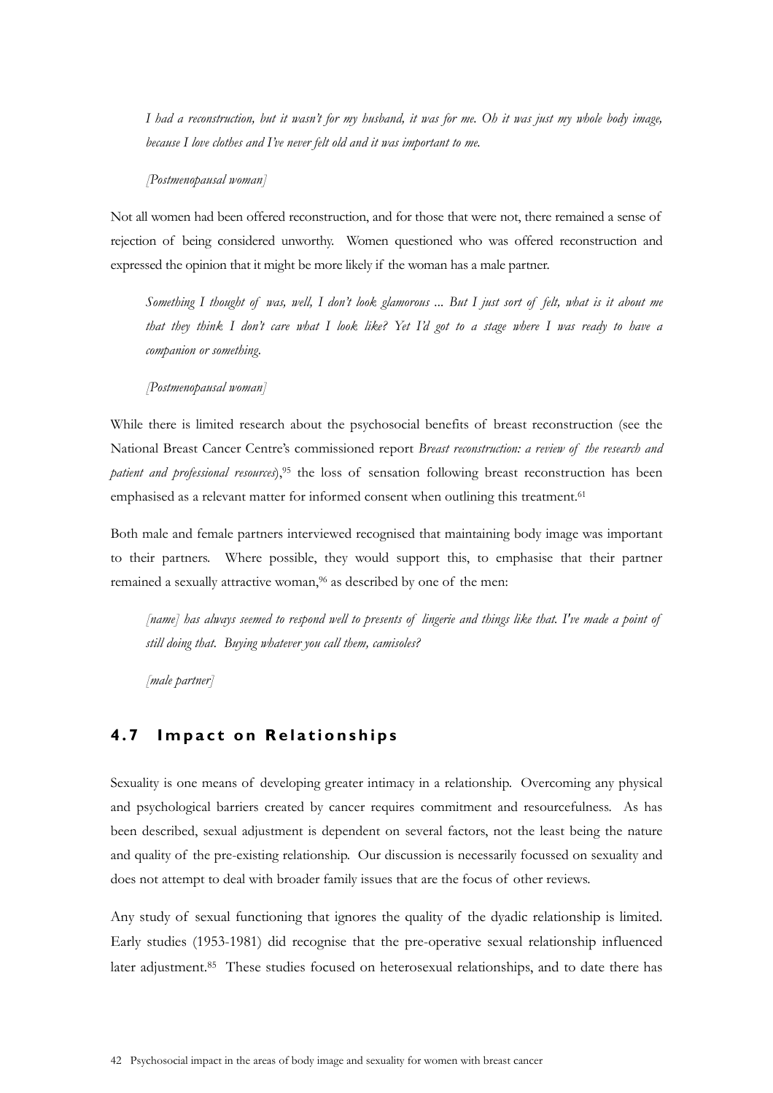*I had a reconstruction, but it wasn't for my husband, it was for me. Oh it was just my whole body image, because I love clothes and I've never felt old and it was important to me.* 

*[Postmenopausal woman]* 

Not all women had been offered reconstruction, and for those that were not, there remained a sense of rejection of being considered unworthy. Women questioned who was offered reconstruction and expressed the opinion that it might be more likely if the woman has a male partner.

*Something I thought of was, well, I don't look glamorous ... But I just sort of felt, what is it about me that they think I don't care what I look like? Yet I'd got to a stage where I was ready to have a companion or something.* 

*[Postmenopausal woman]* 

While there is limited research about the psychosocial benefits of breast reconstruction (see the National Breast Cancer Centre's commissioned report *Breast reconstruction: a review of the research and patient and professional resources*),95 the loss of sensation following breast reconstruction has been emphasised as a relevant matter for informed consent when outlining this treatment.<sup>61</sup>

Both male and female partners interviewed recognised that maintaining body image was important to their partners. Where possible, they would support this, to emphasise that their partner remained a sexually attractive woman,<sup>96</sup> as described by one of the men:

*[name] has always seemed to respond well to presents of lingerie and things like that. I've made a point of still doing that. Buying whatever you call them, camisoles?* 

*[male partner]* 

## **4.7 Impact on Relationships**

Sexuality is one means of developing greater intimacy in a relationship. Overcoming any physical and psychological barriers created by cancer requires commitment and resourcefulness. As has been described, sexual adjustment is dependent on several factors, not the least being the nature and quality of the pre-existing relationship. Our discussion is necessarily focussed on sexuality and does not attempt to deal with broader family issues that are the focus of other reviews.

Any study of sexual functioning that ignores the quality of the dyadic relationship is limited. Early studies (1953-1981) did recognise that the pre-operative sexual relationship influenced later adjustment.85 These studies focused on heterosexual relationships, and to date there has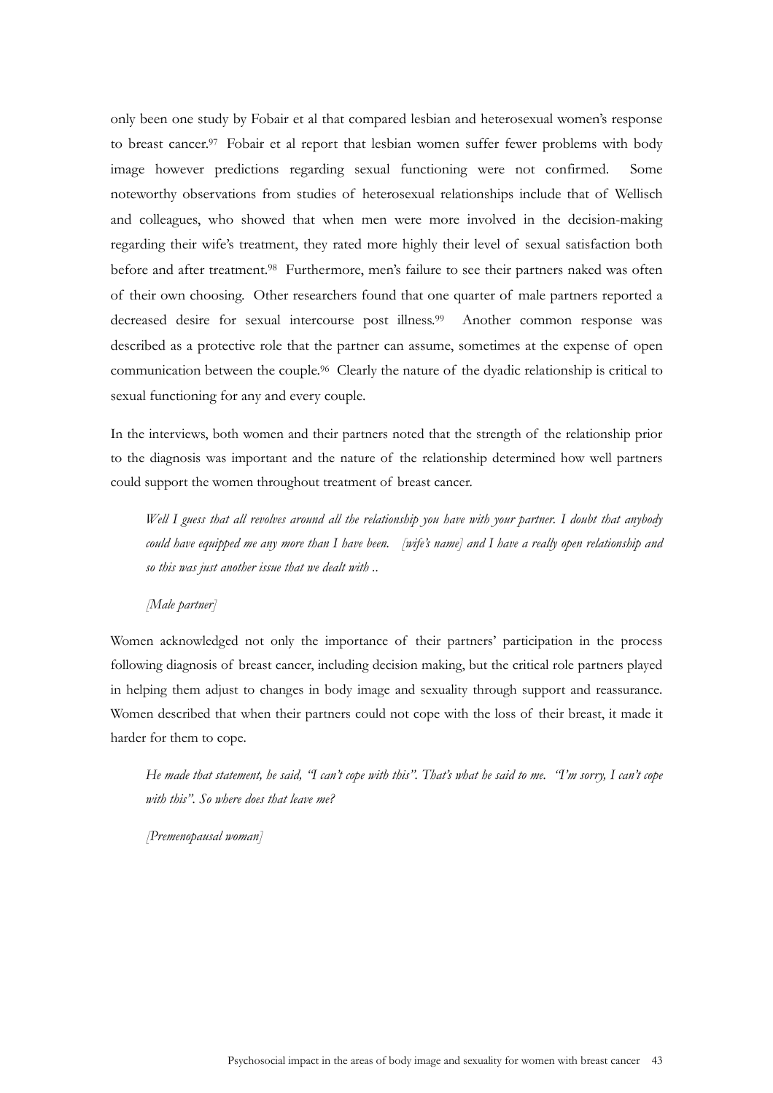only been one study by Fobair et al that compared lesbian and heterosexual women's response to breast cancer.<sup>97</sup> Fobair et al report that lesbian women suffer fewer problems with body image however predictions regarding sexual functioning were not confirmed. Some noteworthy observations from studies of heterosexual relationships include that of Wellisch and colleagues, who showed that when men were more involved in the decision-making regarding their wife's treatment, they rated more highly their level of sexual satisfaction both before and after treatment.<sup>98</sup> Furthermore, men's failure to see their partners naked was often of their own choosing. Other researchers found that one quarter of male partners reported a decreased desire for sexual intercourse post illness.<sup>99</sup> Another common response was described as a protective role that the partner can assume, sometimes at the expense of open communication between the couple.96 Clearly the nature of the dyadic relationship is critical to sexual functioning for any and every couple.

In the interviews, both women and their partners noted that the strength of the relationship prior to the diagnosis was important and the nature of the relationship determined how well partners could support the women throughout treatment of breast cancer.

*Well I guess that all revolves around all the relationship you have with your partner. I doubt that anybody could have equipped me any more than I have been. [wife's name] and I have a really open relationship and so this was just another issue that we dealt with ..* 

### *[Male partner]*

Women acknowledged not only the importance of their partners' participation in the process following diagnosis of breast cancer, including decision making, but the critical role partners played in helping them adjust to changes in body image and sexuality through support and reassurance. Women described that when their partners could not cope with the loss of their breast, it made it harder for them to cope.

*He made that statement, he said, "I can't cope with this". That's what he said to me. "I'm sorry, I can't cope with this". So where does that leave me?* 

*[Premenopausal woman]*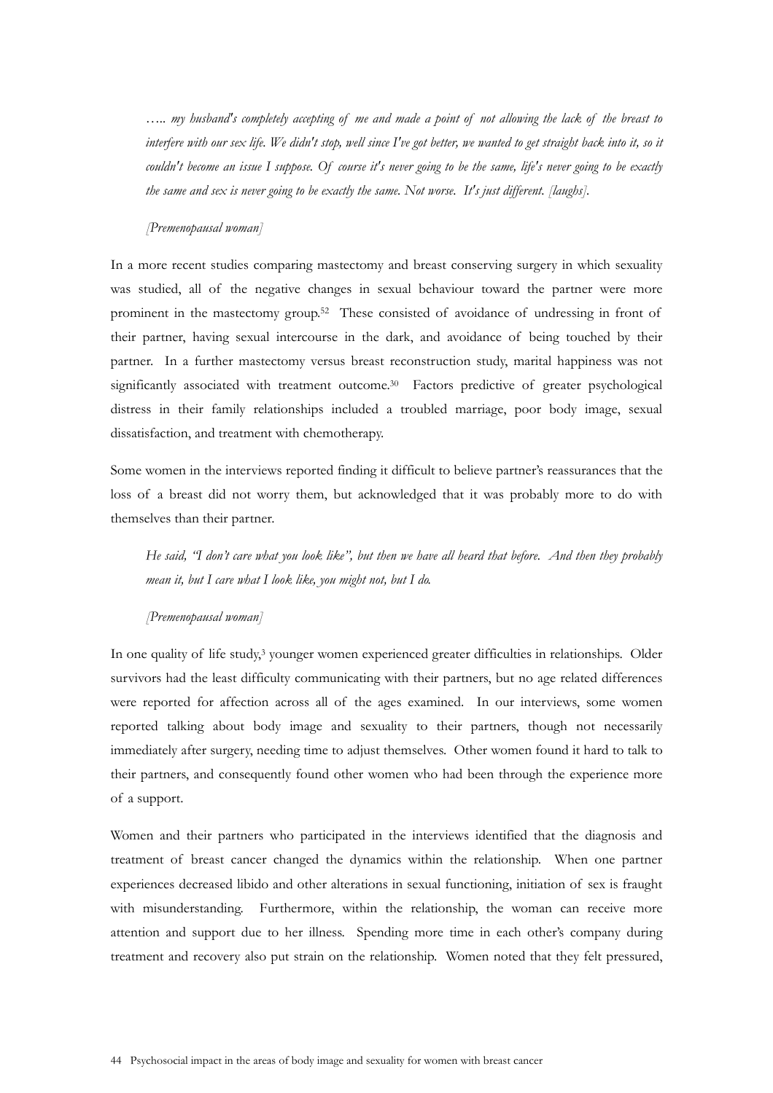*….. my husband's completely accepting of me and made a point of not allowing the lack of the breast to interfere with our sex life. We didn't stop, well since I've got better, we wanted to get straight back into it, so it couldn't become an issue I suppose. Of course it's never going to be the same, life's never going to be exactly the same and sex is never going to be exactly the same. Not worse. It's just different. [laughs].* 

#### *[Premenopausal woman]*

In a more recent studies comparing mastectomy and breast conserving surgery in which sexuality was studied, all of the negative changes in sexual behaviour toward the partner were more prominent in the mastectomy group.52 These consisted of avoidance of undressing in front of their partner, having sexual intercourse in the dark, and avoidance of being touched by their partner. In a further mastectomy versus breast reconstruction study, marital happiness was not significantly associated with treatment outcome.<sup>30</sup> Factors predictive of greater psychological distress in their family relationships included a troubled marriage, poor body image, sexual dissatisfaction, and treatment with chemotherapy.

Some women in the interviews reported finding it difficult to believe partner's reassurances that the loss of a breast did not worry them, but acknowledged that it was probably more to do with themselves than their partner.

*He said, "I don't care what you look like", but then we have all heard that before. And then they probably mean it, but I care what I look like, you might not, but I do.* 

#### *[Premenopausal woman]*

In one quality of life study,<sup>3</sup> younger women experienced greater difficulties in relationships. Older survivors had the least difficulty communicating with their partners, but no age related differences were reported for affection across all of the ages examined. In our interviews, some women reported talking about body image and sexuality to their partners, though not necessarily immediately after surgery, needing time to adjust themselves. Other women found it hard to talk to their partners, and consequently found other women who had been through the experience more of a support.

Women and their partners who participated in the interviews identified that the diagnosis and treatment of breast cancer changed the dynamics within the relationship. When one partner experiences decreased libido and other alterations in sexual functioning, initiation of sex is fraught with misunderstanding. Furthermore, within the relationship, the woman can receive more attention and support due to her illness. Spending more time in each other's company during treatment and recovery also put strain on the relationship. Women noted that they felt pressured,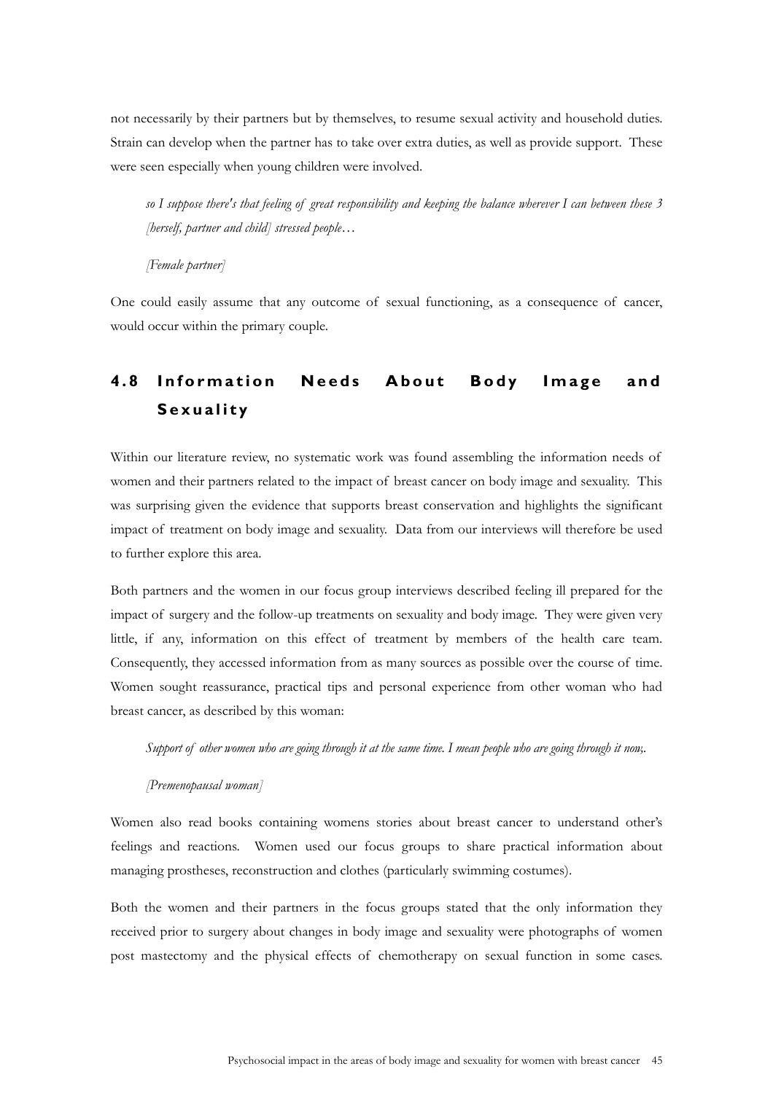not necessarily by their partners but by themselves, to resume sexual activity and household duties. Strain can develop when the partner has to take over extra duties, as well as provide support. These were seen especially when young children were involved.

*so I suppose there's that feeling of great responsibility and keeping the balance wherever I can between these 3 [herself, partner and child] stressed people…* 

*[Female partner]* 

One could easily assume that any outcome of sexual functioning, as a consequence of cancer, would occur within the primary couple.

# **4.8 Information Needs About Body Image and Sexuality**

Within our literature review, no systematic work was found assembling the information needs of women and their partners related to the impact of breast cancer on body image and sexuality. This was surprising given the evidence that supports breast conservation and highlights the significant impact of treatment on body image and sexuality. Data from our interviews will therefore be used to further explore this area.

Both partners and the women in our focus group interviews described feeling ill prepared for the impact of surgery and the follow-up treatments on sexuality and body image. They were given very little, if any, information on this effect of treatment by members of the health care team. Consequently, they accessed information from as many sources as possible over the course of time. Women sought reassurance, practical tips and personal experience from other woman who had breast cancer, as described by this woman:

*Support of other women who are going through it at the same time. I mean people who are going through it now,.* 

#### *[Premenopausal woman]*

Women also read books containing womens stories about breast cancer to understand other's feelings and reactions. Women used our focus groups to share practical information about managing prostheses, reconstruction and clothes (particularly swimming costumes).

Both the women and their partners in the focus groups stated that the only information they received prior to surgery about changes in body image and sexuality were photographs of women post mastectomy and the physical effects of chemotherapy on sexual function in some cases.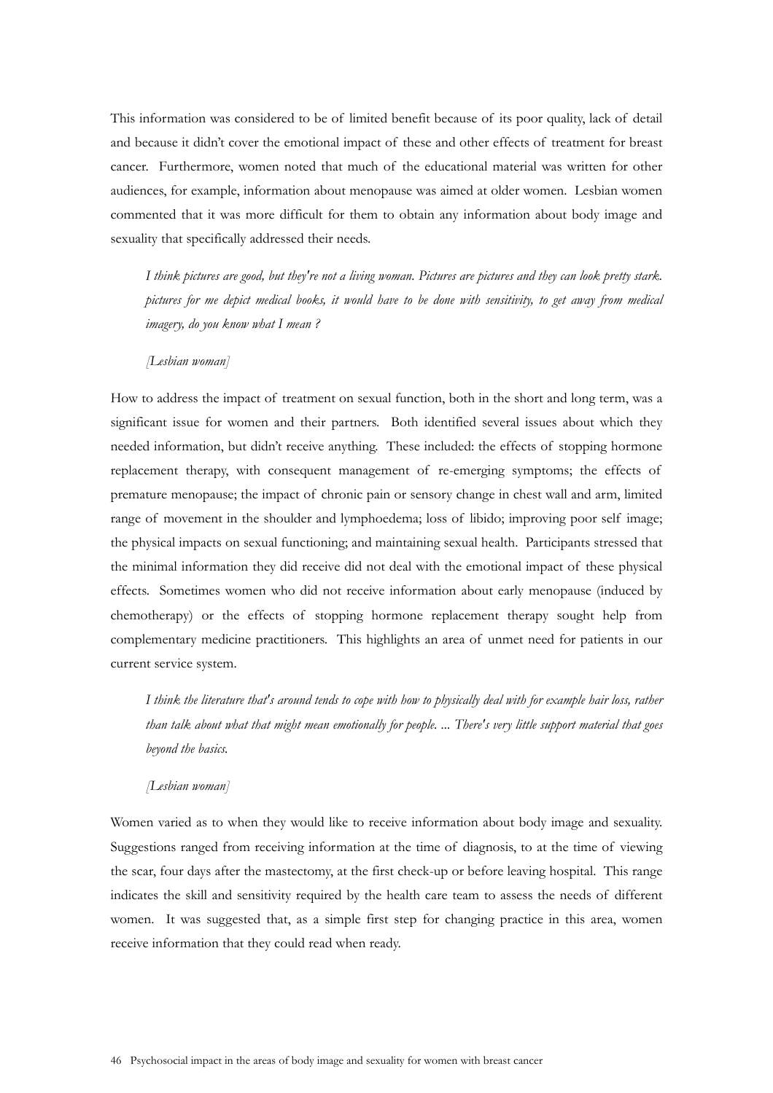This information was considered to be of limited benefit because of its poor quality, lack of detail and because it didn't cover the emotional impact of these and other effects of treatment for breast cancer. Furthermore, women noted that much of the educational material was written for other audiences, for example, information about menopause was aimed at older women. Lesbian women commented that it was more difficult for them to obtain any information about body image and sexuality that specifically addressed their needs.

*I think pictures are good, but they're not a living woman. Pictures are pictures and they can look pretty stark. pictures for me depict medical books, it would have to be done with sensitivity, to get away from medical imagery, do you know what I mean ?* 

#### *[Lesbian woman]*

How to address the impact of treatment on sexual function, both in the short and long term, was a significant issue for women and their partners. Both identified several issues about which they needed information, but didn't receive anything. These included: the effects of stopping hormone replacement therapy, with consequent management of re-emerging symptoms; the effects of premature menopause; the impact of chronic pain or sensory change in chest wall and arm, limited range of movement in the shoulder and lymphoedema; loss of libido; improving poor self image; the physical impacts on sexual functioning; and maintaining sexual health. Participants stressed that the minimal information they did receive did not deal with the emotional impact of these physical effects. Sometimes women who did not receive information about early menopause (induced by chemotherapy) or the effects of stopping hormone replacement therapy sought help from complementary medicine practitioners. This highlights an area of unmet need for patients in our current service system.

*I think the literature that's around tends to cope with how to physically deal with for example hair loss, rather than talk about what that might mean emotionally for people. ... There's very little support material that goes beyond the basics.* 

#### *[Lesbian woman]*

Women varied as to when they would like to receive information about body image and sexuality. Suggestions ranged from receiving information at the time of diagnosis, to at the time of viewing the scar, four days after the mastectomy, at the first check-up or before leaving hospital. This range indicates the skill and sensitivity required by the health care team to assess the needs of different women. It was suggested that, as a simple first step for changing practice in this area, women receive information that they could read when ready.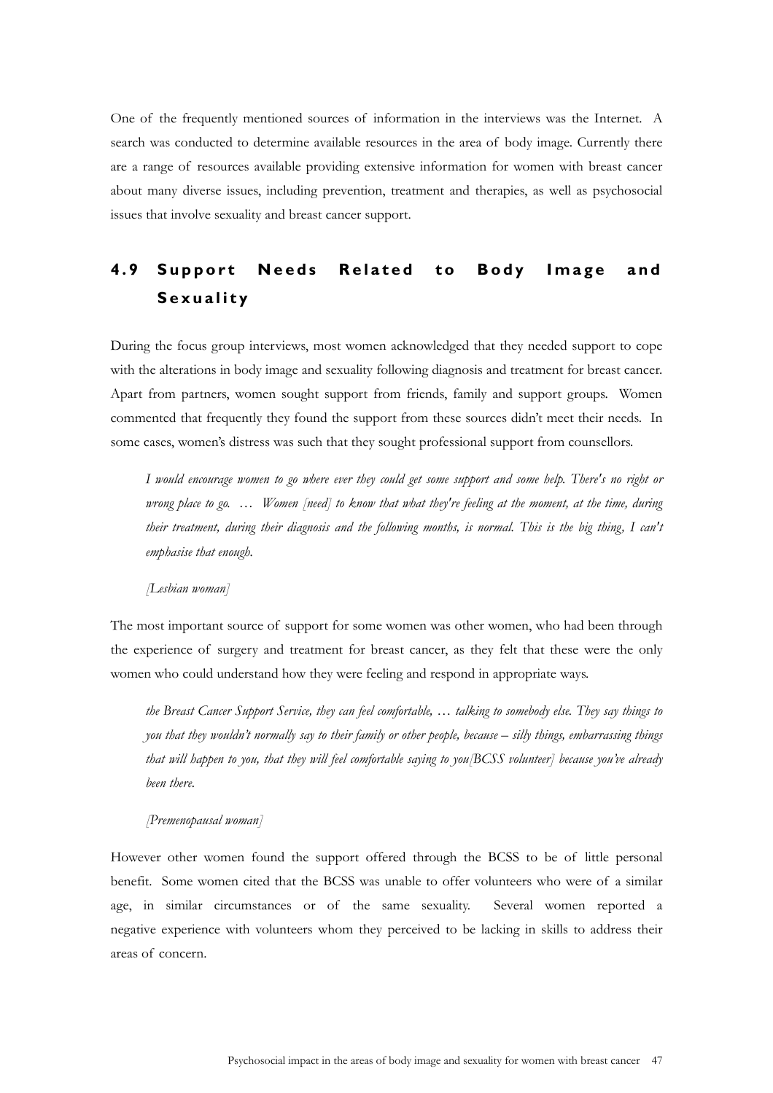One of the frequently mentioned sources of information in the interviews was the Internet. A search was conducted to determine available resources in the area of body image. Currently there are a range of resources available providing extensive information for women with breast cancer about many diverse issues, including prevention, treatment and therapies, as well as psychosocial issues that involve sexuality and breast cancer support.

# **4.9 Support Needs Related to Body Image and Sexuality**

During the focus group interviews, most women acknowledged that they needed support to cope with the alterations in body image and sexuality following diagnosis and treatment for breast cancer. Apart from partners, women sought support from friends, family and support groups. Women commented that frequently they found the support from these sources didn't meet their needs. In some cases, women's distress was such that they sought professional support from counsellors.

*I would encourage women to go where ever they could get some support and some help. There's no right or wrong place to go. … Women [need] to know that what they're feeling at the moment, at the time, during their treatment, during their diagnosis and the following months, is normal. This is the big thing, I can't emphasise that enough.* 

#### *[Lesbian woman]*

The most important source of support for some women was other women, who had been through the experience of surgery and treatment for breast cancer, as they felt that these were the only women who could understand how they were feeling and respond in appropriate ways.

*the Breast Cancer Support Service, they can feel comfortable, … talking to somebody else. They say things to you that they wouldn't normally say to their family or other people, because – silly things, embarrassing things that will happen to you, that they will feel comfortable saying to you[BCSS volunteer] because you've already been there.* 

### *[Premenopausal woman]*

However other women found the support offered through the BCSS to be of little personal benefit. Some women cited that the BCSS was unable to offer volunteers who were of a similar age, in similar circumstances or of the same sexuality. Several women reported a negative experience with volunteers whom they perceived to be lacking in skills to address their areas of concern.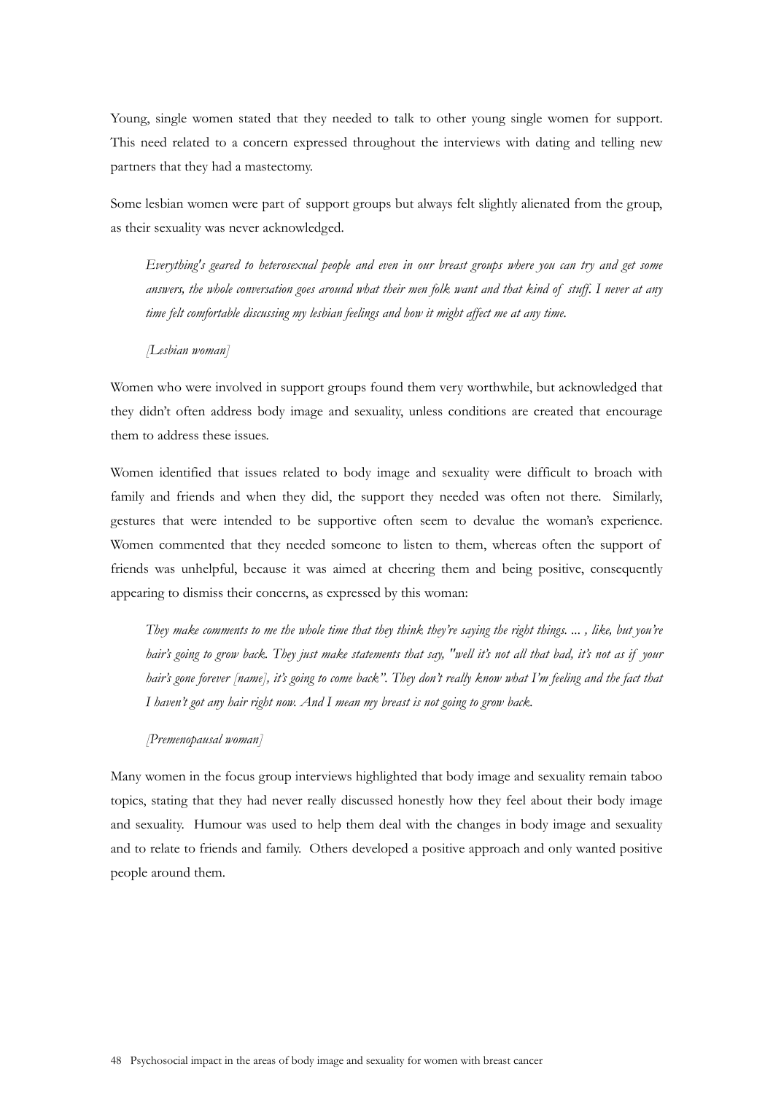Young, single women stated that they needed to talk to other young single women for support. This need related to a concern expressed throughout the interviews with dating and telling new partners that they had a mastectomy.

Some lesbian women were part of support groups but always felt slightly alienated from the group, as their sexuality was never acknowledged.

*Everything's geared to heterosexual people and even in our breast groups where you can try and get some answers, the whole conversation goes around what their men folk want and that kind of stuff. I never at any time felt comfortable discussing my lesbian feelings and how it might affect me at any time.* 

*[Lesbian woman]* 

Women who were involved in support groups found them very worthwhile, but acknowledged that they didn't often address body image and sexuality, unless conditions are created that encourage them to address these issues.

Women identified that issues related to body image and sexuality were difficult to broach with family and friends and when they did, the support they needed was often not there. Similarly, gestures that were intended to be supportive often seem to devalue the woman's experience. Women commented that they needed someone to listen to them, whereas often the support of friends was unhelpful, because it was aimed at cheering them and being positive, consequently appearing to dismiss their concerns, as expressed by this woman:

*They make comments to me the whole time that they think they're saying the right things. ... , like, but you're hair's going to grow back. They just make statements that say, "well it's not all that bad, it's not as if your hair's gone forever [name], it's going to come back". They don't really know what I'm feeling and the fact that I haven't got any hair right now. And I mean my breast is not going to grow back.* 

### *[Premenopausal woman]*

Many women in the focus group interviews highlighted that body image and sexuality remain taboo topics, stating that they had never really discussed honestly how they feel about their body image and sexuality. Humour was used to help them deal with the changes in body image and sexuality and to relate to friends and family. Others developed a positive approach and only wanted positive people around them.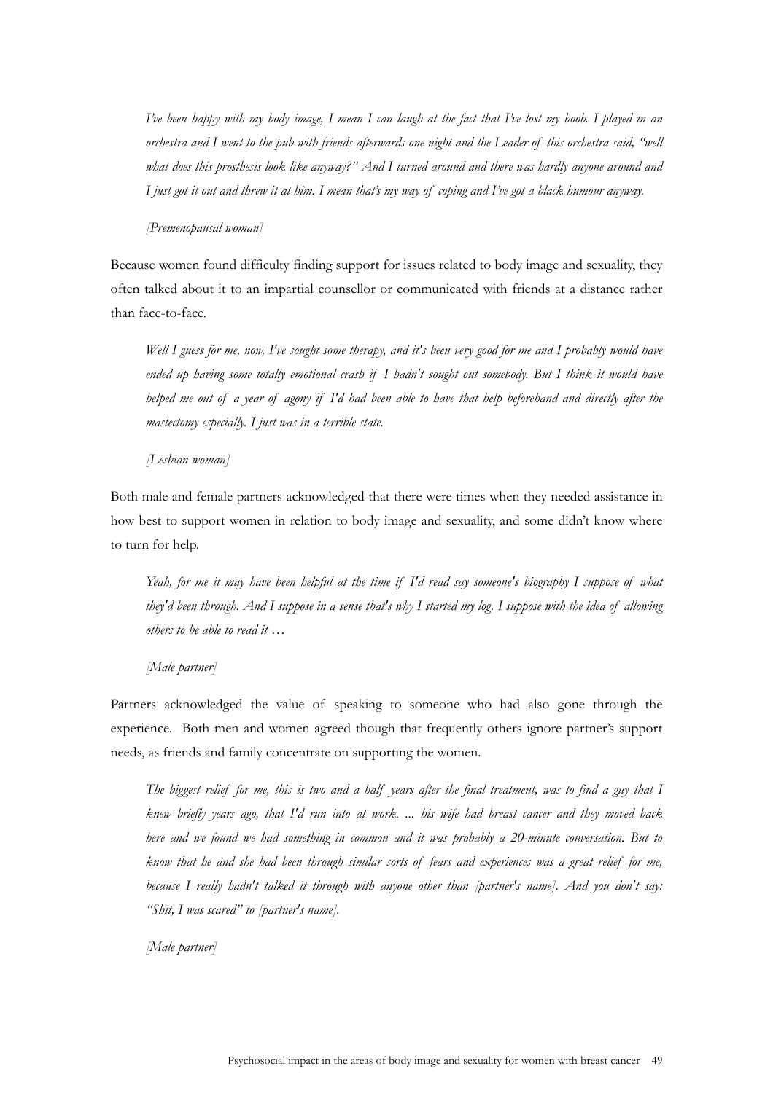*I've been happy with my body image, I mean I can laugh at the fact that I've lost my boob. I played in an orchestra and I went to the pub with friends afterwards one night and the Leader of this orchestra said, "well what does this prosthesis look like anyway?" And I turned around and there was hardly anyone around and I just got it out and threw it at him. I mean that's my way of coping and I've got a black humour anyway.* 

#### *[Premenopausal woman]*

Because women found difficulty finding support for issues related to body image and sexuality, they often talked about it to an impartial counsellor or communicated with friends at a distance rather than face-to-face.

*Well I guess for me, now, I've sought some therapy, and it's been very good for me and I probably would have ended up having some totally emotional crash if I hadn't sought out somebody. But I think it would have helped me out of a year of agony if I'd had been able to have that help beforehand and directly after the mastectomy especially. I just was in a terrible state.* 

#### *[Lesbian woman]*

Both male and female partners acknowledged that there were times when they needed assistance in how best to support women in relation to body image and sexuality, and some didn't know where to turn for help.

*Yeah, for me it may have been helpful at the time if I'd read say someone's biography I suppose of what they'd been through. And I suppose in a sense that's why I started my log. I suppose with the idea of allowing others to be able to read it …* 

### *[Male partner]*

Partners acknowledged the value of speaking to someone who had also gone through the experience. Both men and women agreed though that frequently others ignore partner's support needs, as friends and family concentrate on supporting the women.

*The biggest relief for me, this is two and a half years after the final treatment, was to find a guy that I knew briefly years ago, that I'd run into at work. ... his wife had breast cancer and they moved back here and we found we had something in common and it was probably a 20-minute conversation. But to know that he and she had been through similar sorts of fears and experiences was a great relief for me, because I really hadn't talked it through with anyone other than [partner's name]. And you don't say: "Shit, I was scared" to [partner's name].* 

*[Male partner]*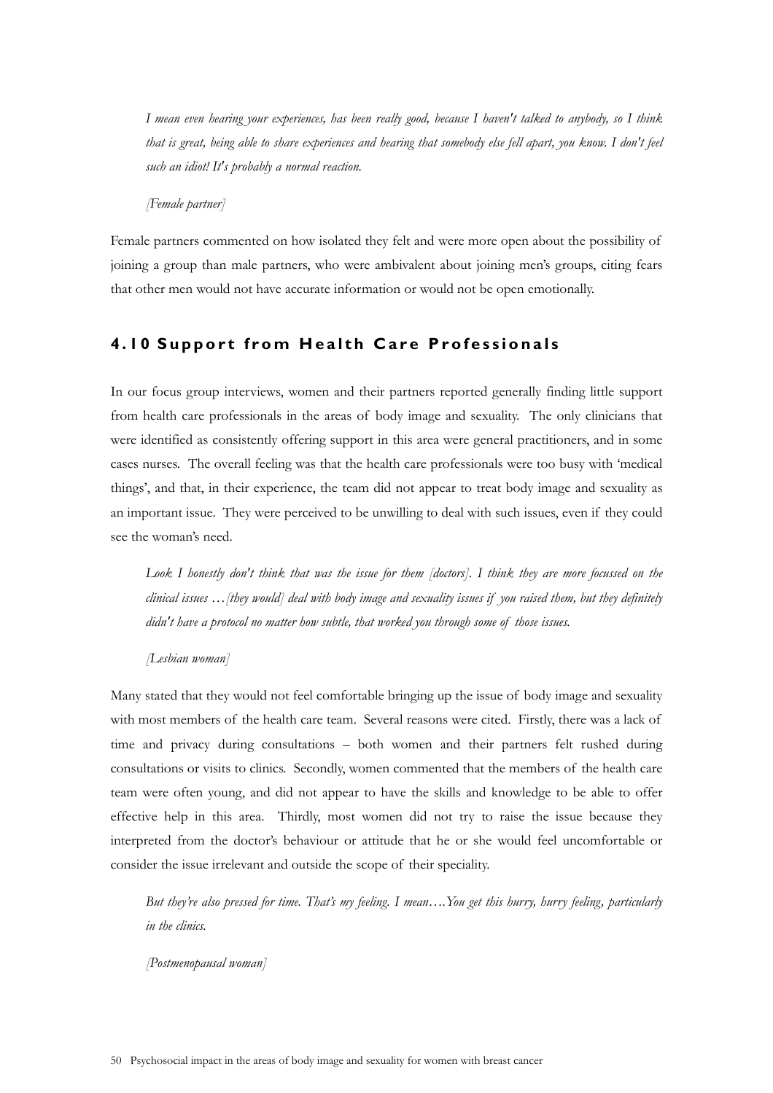*I mean even hearing your experiences, has been really good, because I haven't talked to anybody, so I think that is great, being able to share experiences and hearing that somebody else fell apart, you know. I don't feel such an idiot! It's probably a normal reaction.* 

*[Female partner]* 

Female partners commented on how isolated they felt and were more open about the possibility of joining a group than male partners, who were ambivalent about joining men's groups, citing fears that other men would not have accurate information or would not be open emotionally.

# **4.10 Support from Health Care Professionals**

In our focus group interviews, women and their partners reported generally finding little support from health care professionals in the areas of body image and sexuality. The only clinicians that were identified as consistently offering support in this area were general practitioners, and in some cases nurses. The overall feeling was that the health care professionals were too busy with 'medical things', and that, in their experience, the team did not appear to treat body image and sexuality as an important issue. They were perceived to be unwilling to deal with such issues, even if they could see the woman's need.

Look I honestly don't think that was the issue for them [doctors]. I think they are more focussed on the *clinical issues …[they would] deal with body image and sexuality issues if you raised them, but they definitely didn't have a protocol no matter how subtle, that worked you through some of those issues.* 

### *[Lesbian woman]*

Many stated that they would not feel comfortable bringing up the issue of body image and sexuality with most members of the health care team. Several reasons were cited. Firstly, there was a lack of time and privacy during consultations – both women and their partners felt rushed during consultations or visits to clinics. Secondly, women commented that the members of the health care team were often young, and did not appear to have the skills and knowledge to be able to offer effective help in this area. Thirdly, most women did not try to raise the issue because they interpreted from the doctor's behaviour or attitude that he or she would feel uncomfortable or consider the issue irrelevant and outside the scope of their speciality.

*But they're also pressed for time. That's my feeling. I mean….You get this hurry, hurry feeling, particularly in the clinics.* 

*[Postmenopausal woman]*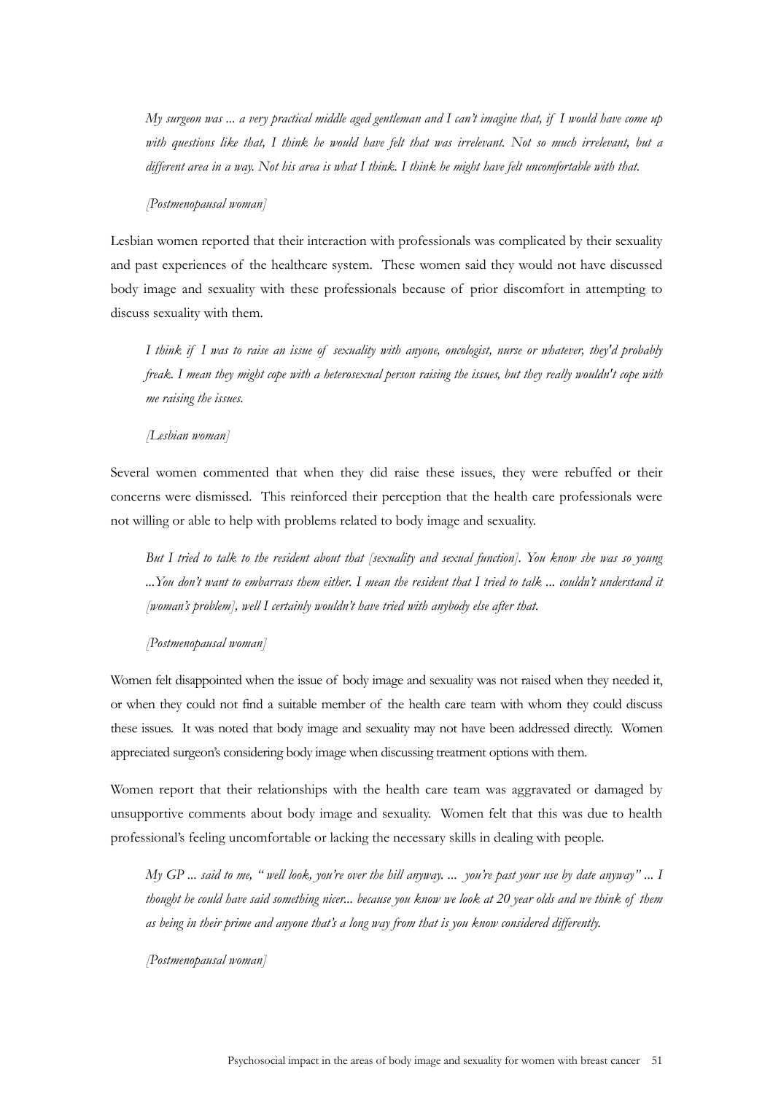*My surgeon was ... a very practical middle aged gentleman and I can't imagine that, if I would have come up with questions like that, I think he would have felt that was irrelevant. Not so much irrelevant, but a different area in a way. Not his area is what I think. I think he might have felt uncomfortable with that.* 

#### *[Postmenopausal woman]*

Lesbian women reported that their interaction with professionals was complicated by their sexuality and past experiences of the healthcare system. These women said they would not have discussed body image and sexuality with these professionals because of prior discomfort in attempting to discuss sexuality with them.

*I think if I was to raise an issue of sexuality with anyone, oncologist, nurse or whatever, they'd probably freak. I mean they might cope with a heterosexual person raising the issues, but they really wouldn't cope with me raising the issues.* 

#### *[Lesbian woman]*

Several women commented that when they did raise these issues, they were rebuffed or their concerns were dismissed. This reinforced their perception that the health care professionals were not willing or able to help with problems related to body image and sexuality.

*But I tried to talk to the resident about that [sexuality and sexual function]. You know she was so young ...You don't want to embarrass them either. I mean the resident that I tried to talk ... couldn't understand it [woman's problem], well I certainly wouldn't have tried with anybody else after that.* 

*[Postmenopausal woman]* 

Women felt disappointed when the issue of body image and sexuality was not raised when they needed it, or when they could not find a suitable member of the health care team with whom they could discuss these issues. It was noted that body image and sexuality may not have been addressed directly. Women appreciated surgeon's considering body image when discussing treatment options with them.

Women report that their relationships with the health care team was aggravated or damaged by unsupportive comments about body image and sexuality. Women felt that this was due to health professional's feeling uncomfortable or lacking the necessary skills in dealing with people.

*My GP ... said to me, " well look, you're over the hill anyway. ... you're past your use by date anyway" ... I thought he could have said something nicer... because you know we look at 20 year olds and we think of them as being in their prime and anyone that's a long way from that is you know considered differently.* 

*[Postmenopausal woman]*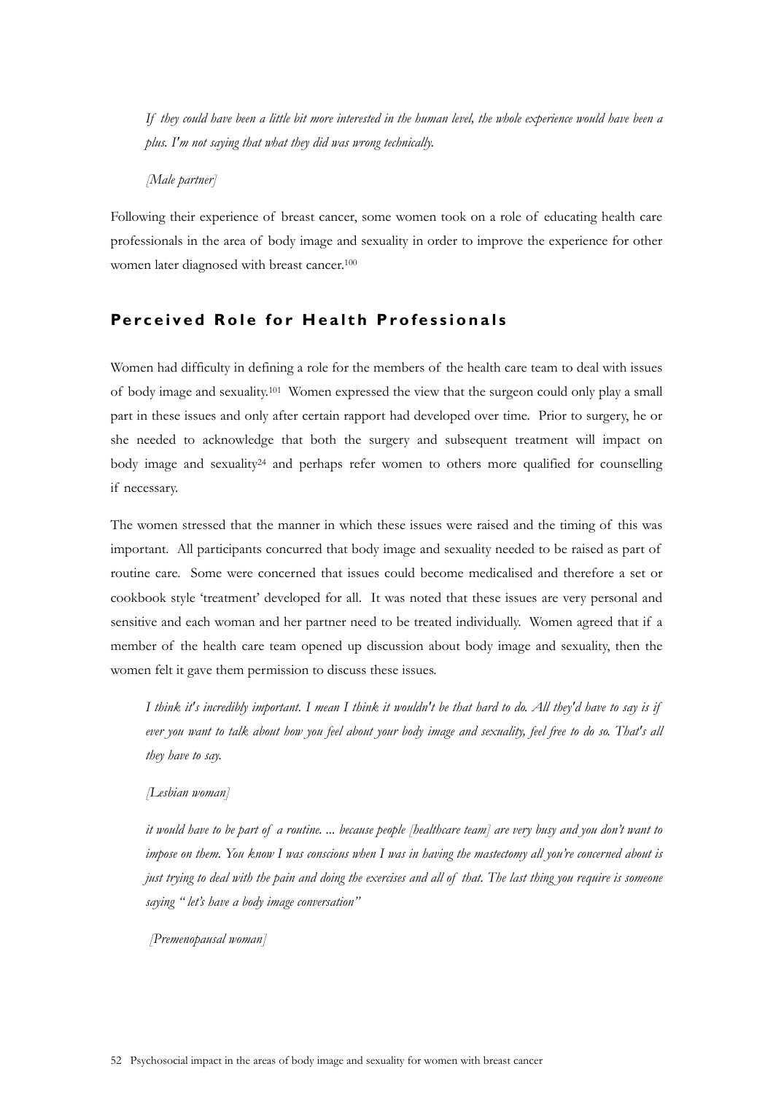*If they could have been a little bit more interested in the human level, the whole experience would have been a plus. I'm not saying that what they did was wrong technically.* 

*[Male partner]* 

Following their experience of breast cancer, some women took on a role of educating health care professionals in the area of body image and sexuality in order to improve the experience for other women later diagnosed with breast cancer.<sup>100</sup>

# **Perceived Role for He alth Professionals**

Women had difficulty in defining a role for the members of the health care team to deal with issues of body image and sexuality.101 Women expressed the view that the surgeon could only play a small part in these issues and only after certain rapport had developed over time. Prior to surgery, he or she needed to acknowledge that both the surgery and subsequent treatment will impact on body image and sexuality<sup>24</sup> and perhaps refer women to others more qualified for counselling if necessary.

The women stressed that the manner in which these issues were raised and the timing of this was important. All participants concurred that body image and sexuality needed to be raised as part of routine care. Some were concerned that issues could become medicalised and therefore a set or cookbook style 'treatment' developed for all. It was noted that these issues are very personal and sensitive and each woman and her partner need to be treated individually. Women agreed that if a member of the health care team opened up discussion about body image and sexuality, then the women felt it gave them permission to discuss these issues.

*I think it's incredibly important. I mean I think it wouldn't be that hard to do. All they'd have to say is if ever you want to talk about how you feel about your body image and sexuality, feel free to do so. That's all they have to say.* 

*[Lesbian woman]* 

*it would have to be part of a routine. ... because people [healthcare team] are very busy and you don't want to impose on them. You know I was conscious when I was in having the mastectomy all you're concerned about is just trying to deal with the pain and doing the exercises and all of that. The last thing you require is someone saying " let's have a body image conversation"* 

 *[Premenopausal woman]*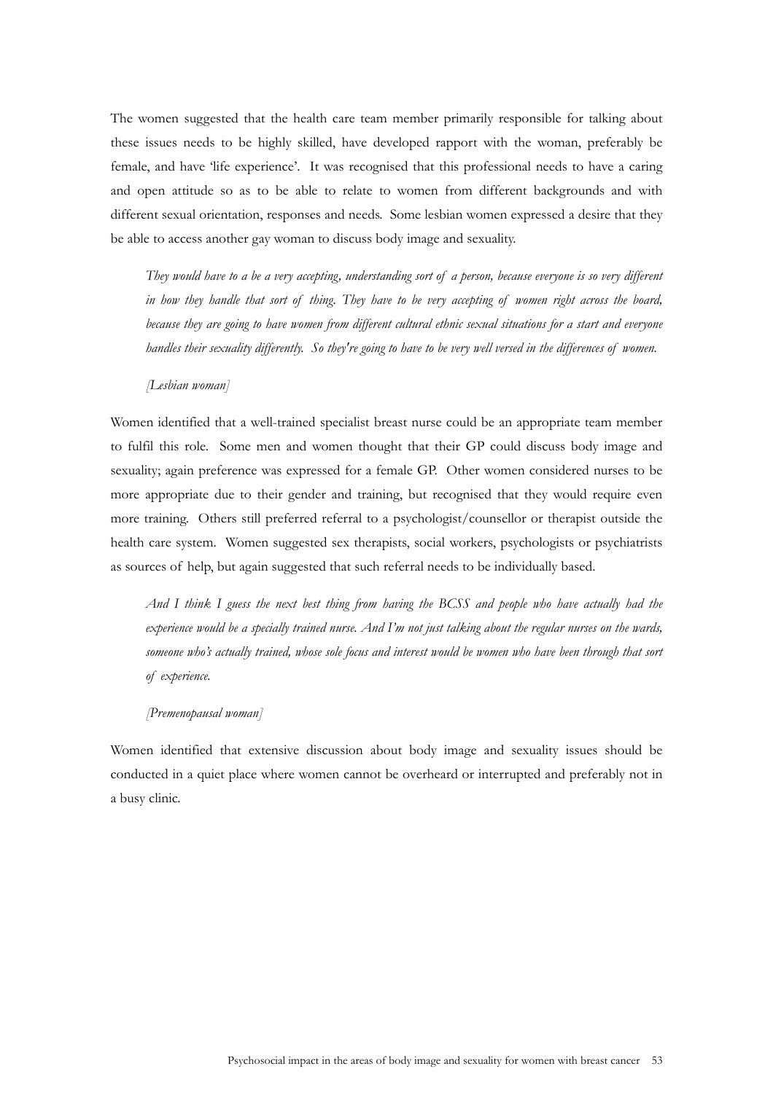The women suggested that the health care team member primarily responsible for talking about these issues needs to be highly skilled, have developed rapport with the woman, preferably be female, and have 'life experience'. It was recognised that this professional needs to have a caring and open attitude so as to be able to relate to women from different backgrounds and with different sexual orientation, responses and needs. Some lesbian women expressed a desire that they be able to access another gay woman to discuss body image and sexuality.

*They would have to a be a very accepting, understanding sort of a person, because everyone is so very different in how they handle that sort of thing. They have to be very accepting of women right across the board, because they are going to have women from different cultural ethnic sexual situations for a start and everyone handles their sexuality differently. So they're going to have to be very well versed in the differences of women.* 

#### *[Lesbian woman]*

Women identified that a well-trained specialist breast nurse could be an appropriate team member to fulfil this role. Some men and women thought that their GP could discuss body image and sexuality; again preference was expressed for a female GP. Other women considered nurses to be more appropriate due to their gender and training, but recognised that they would require even more training. Others still preferred referral to a psychologist/counsellor or therapist outside the health care system. Women suggested sex therapists, social workers, psychologists or psychiatrists as sources of help, but again suggested that such referral needs to be individually based.

*And I think I guess the next best thing from having the BCSS and people who have actually had the experience would be a specially trained nurse. And I'm not just talking about the regular nurses on the wards, someone who's actually trained, whose sole focus and interest would be women who have been through that sort of experience.* 

#### *[Premenopausal woman]*

Women identified that extensive discussion about body image and sexuality issues should be conducted in a quiet place where women cannot be overheard or interrupted and preferably not in a busy clinic.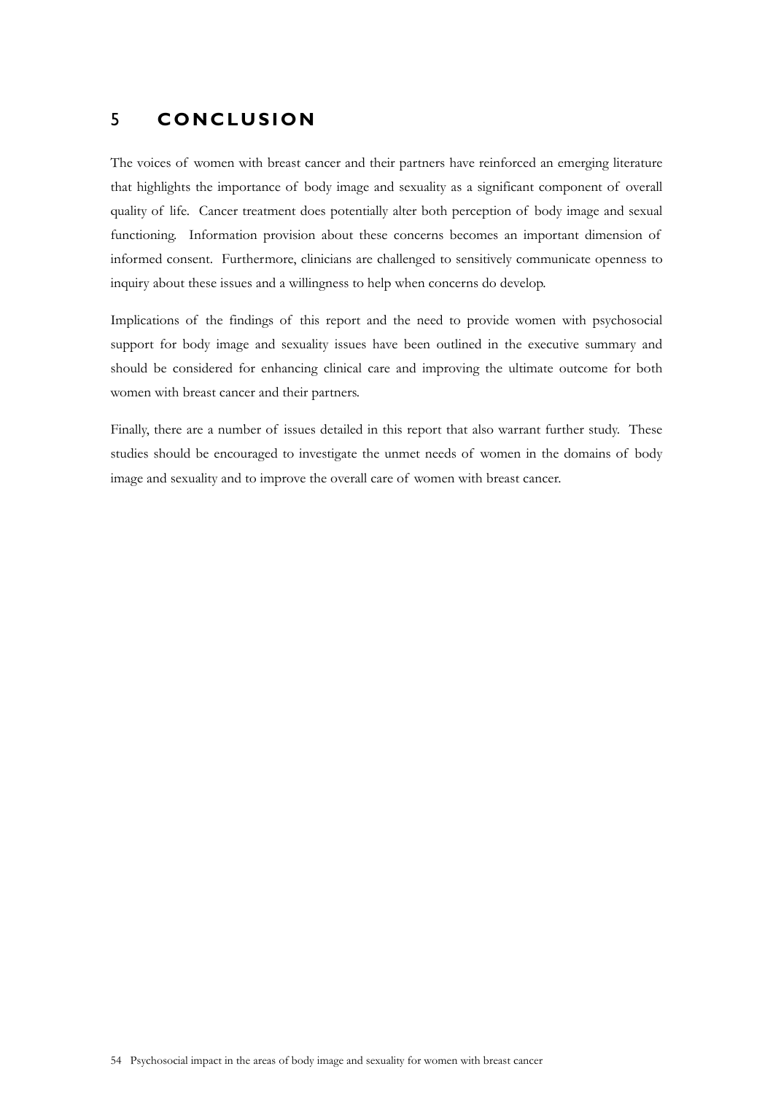# 5 **CONCLUSION**

The voices of women with breast cancer and their partners have reinforced an emerging literature that highlights the importance of body image and sexuality as a significant component of overall quality of life. Cancer treatment does potentially alter both perception of body image and sexual functioning. Information provision about these concerns becomes an important dimension of informed consent. Furthermore, clinicians are challenged to sensitively communicate openness to inquiry about these issues and a willingness to help when concerns do develop.

Implications of the findings of this report and the need to provide women with psychosocial support for body image and sexuality issues have been outlined in the executive summary and should be considered for enhancing clinical care and improving the ultimate outcome for both women with breast cancer and their partners.

Finally, there are a number of issues detailed in this report that also warrant further study. These studies should be encouraged to investigate the unmet needs of women in the domains of body image and sexuality and to improve the overall care of women with breast cancer.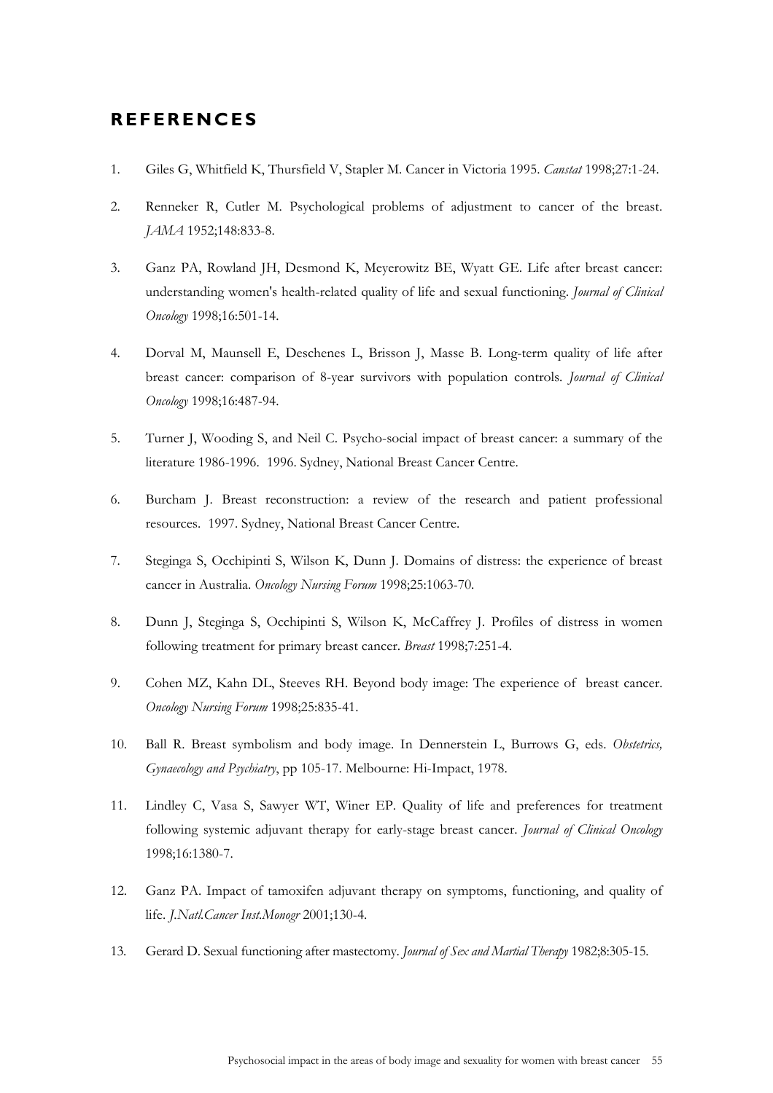# **REFERENCES**

- 1. Giles G, Whitfield K, Thursfield V, Stapler M. Cancer in Victoria 1995. *Canstat* 1998;27:1-24.
- 2. Renneker R, Cutler M. Psychological problems of adjustment to cancer of the breast. *JAMA* 1952;148:833-8.
- 3. Ganz PA, Rowland JH, Desmond K, Meyerowitz BE, Wyatt GE. Life after breast cancer: understanding women's health-related quality of life and sexual functioning. *Journal of Clinical Oncology* 1998;16:501-14.
- 4. Dorval M, Maunsell E, Deschenes L, Brisson J, Masse B. Long-term quality of life after breast cancer: comparison of 8-year survivors with population controls. *Journal of Clinical Oncology* 1998;16:487-94.
- 5. Turner J, Wooding S, and Neil C. Psycho-social impact of breast cancer: a summary of the literature 1986-1996. 1996. Sydney, National Breast Cancer Centre.
- 6. Burcham J. Breast reconstruction: a review of the research and patient professional resources. 1997. Sydney, National Breast Cancer Centre.
- 7. Steginga S, Occhipinti S, Wilson K, Dunn J. Domains of distress: the experience of breast cancer in Australia. *Oncology Nursing Forum* 1998;25:1063-70.
- 8. Dunn J, Steginga S, Occhipinti S, Wilson K, McCaffrey J. Profiles of distress in women following treatment for primary breast cancer. *Breast* 1998;7:251-4.
- 9. Cohen MZ, Kahn DL, Steeves RH. Beyond body image: The experience of breast cancer. *Oncology Nursing Forum* 1998;25:835-41.
- 10. Ball R. Breast symbolism and body image. In Dennerstein L, Burrows G, eds. *Obstetrics, Gynaecology and Psychiatry*, pp 105-17. Melbourne: Hi-Impact, 1978.
- 11. Lindley C, Vasa S, Sawyer WT, Winer EP. Quality of life and preferences for treatment following systemic adjuvant therapy for early-stage breast cancer. *Journal of Clinical Oncology* 1998;16:1380-7.
- 12. Ganz PA. Impact of tamoxifen adjuvant therapy on symptoms, functioning, and quality of life. *J.Natl.Cancer Inst.Monogr* 2001;130-4.
- 13. Gerard D. Sexual functioning after mastectomy. *Journal of Sex and Martial Therapy* 1982;8:305-15.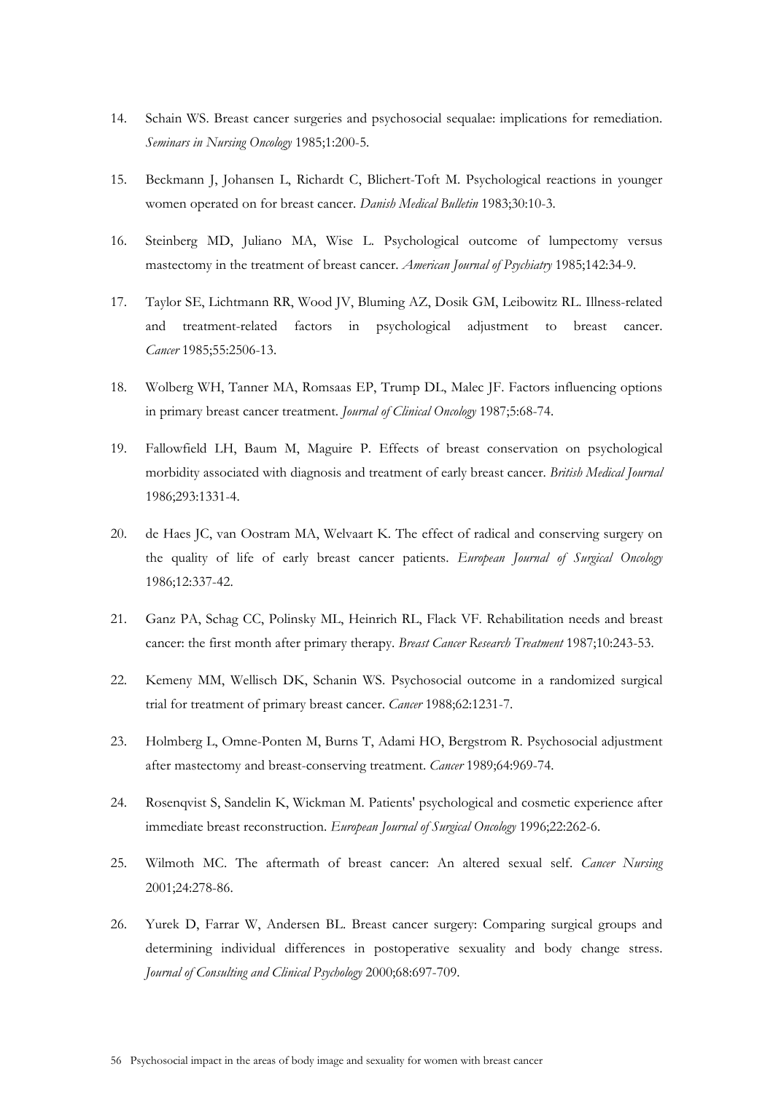- 14. Schain WS. Breast cancer surgeries and psychosocial sequalae: implications for remediation. *Seminars in Nursing Oncology* 1985;1:200-5.
- 15. Beckmann J, Johansen L, Richardt C, Blichert-Toft M. Psychological reactions in younger women operated on for breast cancer. *Danish Medical Bulletin* 1983;30:10-3.
- 16. Steinberg MD, Juliano MA, Wise L. Psychological outcome of lumpectomy versus mastectomy in the treatment of breast cancer. *American Journal of Psychiatry* 1985;142:34-9.
- 17. Taylor SE, Lichtmann RR, Wood JV, Bluming AZ, Dosik GM, Leibowitz RL. Illness-related and treatment-related factors in psychological adjustment to breast cancer. *Cancer* 1985;55:2506-13.
- 18. Wolberg WH, Tanner MA, Romsaas EP, Trump DL, Malec JF. Factors influencing options in primary breast cancer treatment. *Journal of Clinical Oncology* 1987;5:68-74.
- 19. Fallowfield LH, Baum M, Maguire P. Effects of breast conservation on psychological morbidity associated with diagnosis and treatment of early breast cancer. *British Medical Journal* 1986;293:1331-4.
- 20. de Haes JC, van Oostram MA, Welvaart K. The effect of radical and conserving surgery on the quality of life of early breast cancer patients. *European Journal of Surgical Oncology* 1986;12:337-42.
- 21. Ganz PA, Schag CC, Polinsky ML, Heinrich RL, Flack VF. Rehabilitation needs and breast cancer: the first month after primary therapy. *Breast Cancer Research Treatment* 1987;10:243-53.
- 22. Kemeny MM, Wellisch DK, Schanin WS. Psychosocial outcome in a randomized surgical trial for treatment of primary breast cancer. *Cancer* 1988;62:1231-7.
- 23. Holmberg L, Omne-Ponten M, Burns T, Adami HO, Bergstrom R. Psychosocial adjustment after mastectomy and breast-conserving treatment. *Cancer* 1989;64:969-74.
- 24. Rosenqvist S, Sandelin K, Wickman M. Patients' psychological and cosmetic experience after immediate breast reconstruction. *European Journal of Surgical Oncology* 1996;22:262-6.
- 25. Wilmoth MC. The aftermath of breast cancer: An altered sexual self. *Cancer Nursing* 2001;24:278-86.
- 26. Yurek D, Farrar W, Andersen BL. Breast cancer surgery: Comparing surgical groups and determining individual differences in postoperative sexuality and body change stress. *Journal of Consulting and Clinical Psychology* 2000;68:697-709.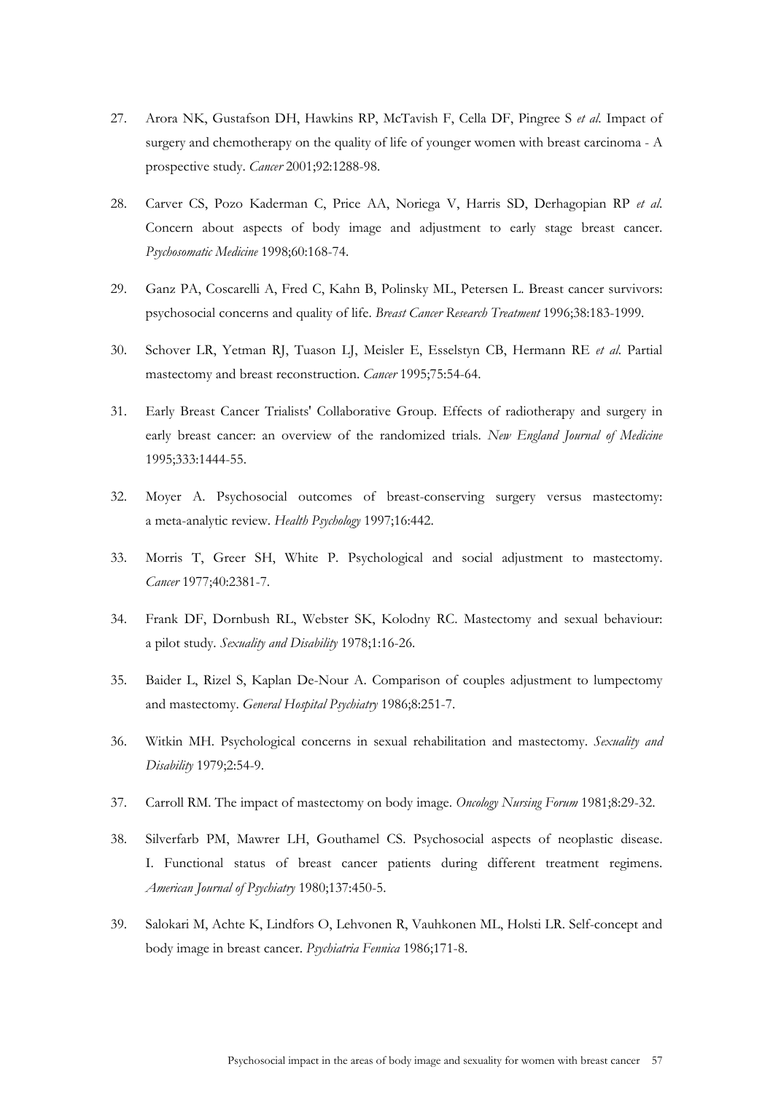- 27. Arora NK, Gustafson DH, Hawkins RP, McTavish F, Cella DF, Pingree S *et al*. Impact of surgery and chemotherapy on the quality of life of younger women with breast carcinoma - A prospective study. *Cancer* 2001;92:1288-98.
- 28. Carver CS, Pozo Kaderman C, Price AA, Noriega V, Harris SD, Derhagopian RP *et al*. Concern about aspects of body image and adjustment to early stage breast cancer. *Psychosomatic Medicine* 1998;60:168-74.
- 29. Ganz PA, Coscarelli A, Fred C, Kahn B, Polinsky ML, Petersen L. Breast cancer survivors: psychosocial concerns and quality of life. *Breast Cancer Research Treatment* 1996;38:183-1999.
- 30. Schover LR, Yetman RJ, Tuason LJ, Meisler E, Esselstyn CB, Hermann RE *et al*. Partial mastectomy and breast reconstruction. *Cancer* 1995;75:54-64.
- 31. Early Breast Cancer Trialists' Collaborative Group. Effects of radiotherapy and surgery in early breast cancer: an overview of the randomized trials. *New England Journal of Medicine* 1995;333:1444-55.
- 32. Moyer A. Psychosocial outcomes of breast-conserving surgery versus mastectomy: a meta-analytic review. *Health Psychology* 1997;16:442.
- 33. Morris T, Greer SH, White P. Psychological and social adjustment to mastectomy. *Cancer* 1977;40:2381-7.
- 34. Frank DF, Dornbush RL, Webster SK, Kolodny RC. Mastectomy and sexual behaviour: a pilot study. *Sexuality and Disability* 1978;1:16-26.
- 35. Baider L, Rizel S, Kaplan De-Nour A. Comparison of couples adjustment to lumpectomy and mastectomy. *General Hospital Psychiatry* 1986;8:251-7.
- 36. Witkin MH. Psychological concerns in sexual rehabilitation and mastectomy. *Sexuality and Disability* 1979;2:54-9.
- 37. Carroll RM. The impact of mastectomy on body image. *Oncology Nursing Forum* 1981;8:29-32.
- 38. Silverfarb PM, Mawrer LH, Gouthamel CS. Psychosocial aspects of neoplastic disease. I. Functional status of breast cancer patients during different treatment regimens. *American Journal of Psychiatry* 1980;137:450-5.
- 39. Salokari M, Achte K, Lindfors O, Lehvonen R, Vauhkonen ML, Holsti LR. Self-concept and body image in breast cancer. *Psychiatria Fennica* 1986;171-8.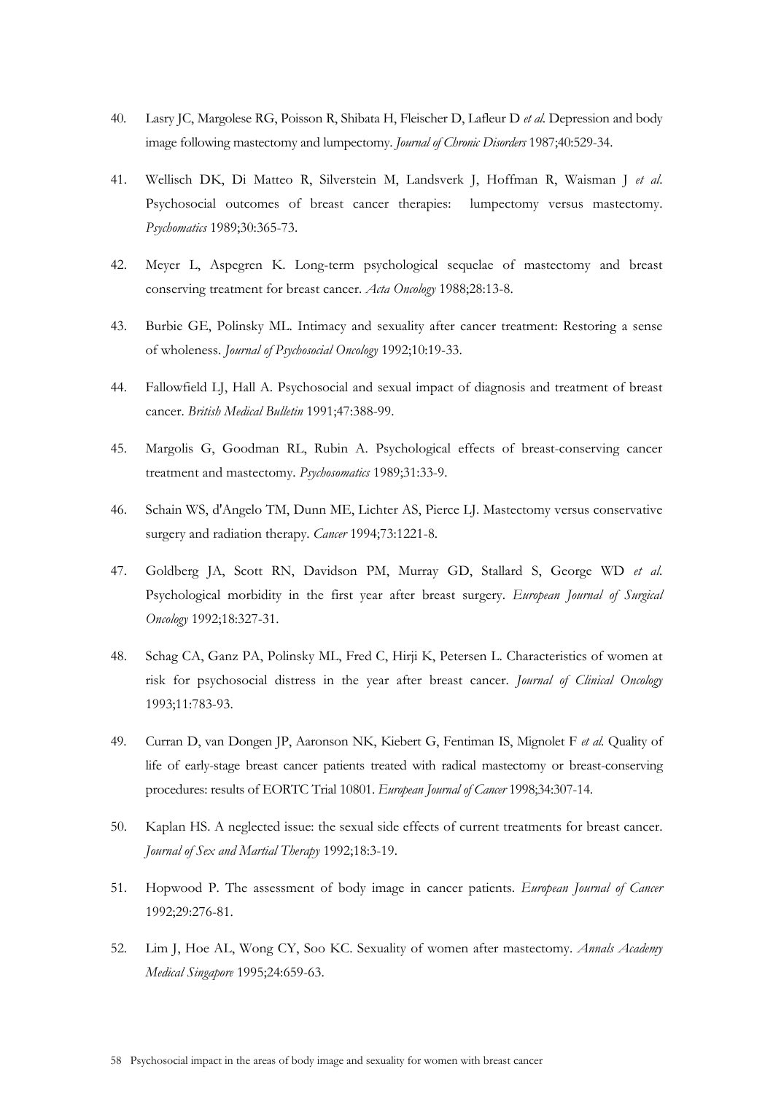- 40. Lasry JC, Margolese RG, Poisson R, Shibata H, Fleischer D, Lafleur D *et al*. Depression and body image following mastectomy and lumpectomy. *Journal of Chronic Disorders* 1987;40:529-34.
- 41. Wellisch DK, Di Matteo R, Silverstein M, Landsverk J, Hoffman R, Waisman J *et al*. Psychosocial outcomes of breast cancer therapies: lumpectomy versus mastectomy. *Psychomatics* 1989;30:365-73.
- 42. Meyer L, Aspegren K. Long-term psychological sequelae of mastectomy and breast conserving treatment for breast cancer. *Acta Oncology* 1988;28:13-8.
- 43. Burbie GE, Polinsky ML. Intimacy and sexuality after cancer treatment: Restoring a sense of wholeness. *Journal of Psychosocial Oncology* 1992;10:19-33.
- 44. Fallowfield LJ, Hall A. Psychosocial and sexual impact of diagnosis and treatment of breast cancer. *British Medical Bulletin* 1991;47:388-99.
- 45. Margolis G, Goodman RL, Rubin A. Psychological effects of breast-conserving cancer treatment and mastectomy. *Psychosomatics* 1989;31:33-9.
- 46. Schain WS, d'Angelo TM, Dunn ME, Lichter AS, Pierce LJ. Mastectomy versus conservative surgery and radiation therapy. *Cancer* 1994;73:1221-8.
- 47. Goldberg JA, Scott RN, Davidson PM, Murray GD, Stallard S, George WD *et al*. Psychological morbidity in the first year after breast surgery. *European Journal of Surgical Oncology* 1992;18:327-31.
- 48. Schag CA, Ganz PA, Polinsky ML, Fred C, Hirji K, Petersen L. Characteristics of women at risk for psychosocial distress in the year after breast cancer. *Journal of Clinical Oncology* 1993;11:783-93.
- 49. Curran D, van Dongen JP, Aaronson NK, Kiebert G, Fentiman IS, Mignolet F *et al*. Quality of life of early-stage breast cancer patients treated with radical mastectomy or breast-conserving procedures: results of EORTC Trial 10801. *European Journal of Cancer* 1998;34:307-14.
- 50. Kaplan HS. A neglected issue: the sexual side effects of current treatments for breast cancer. *Journal of Sex and Martial Therapy* 1992;18:3-19.
- 51. Hopwood P. The assessment of body image in cancer patients. *European Journal of Cancer* 1992;29:276-81.
- 52. Lim J, Hoe AL, Wong CY, Soo KC. Sexuality of women after mastectomy. *Annals Academy Medical Singapore* 1995;24:659-63.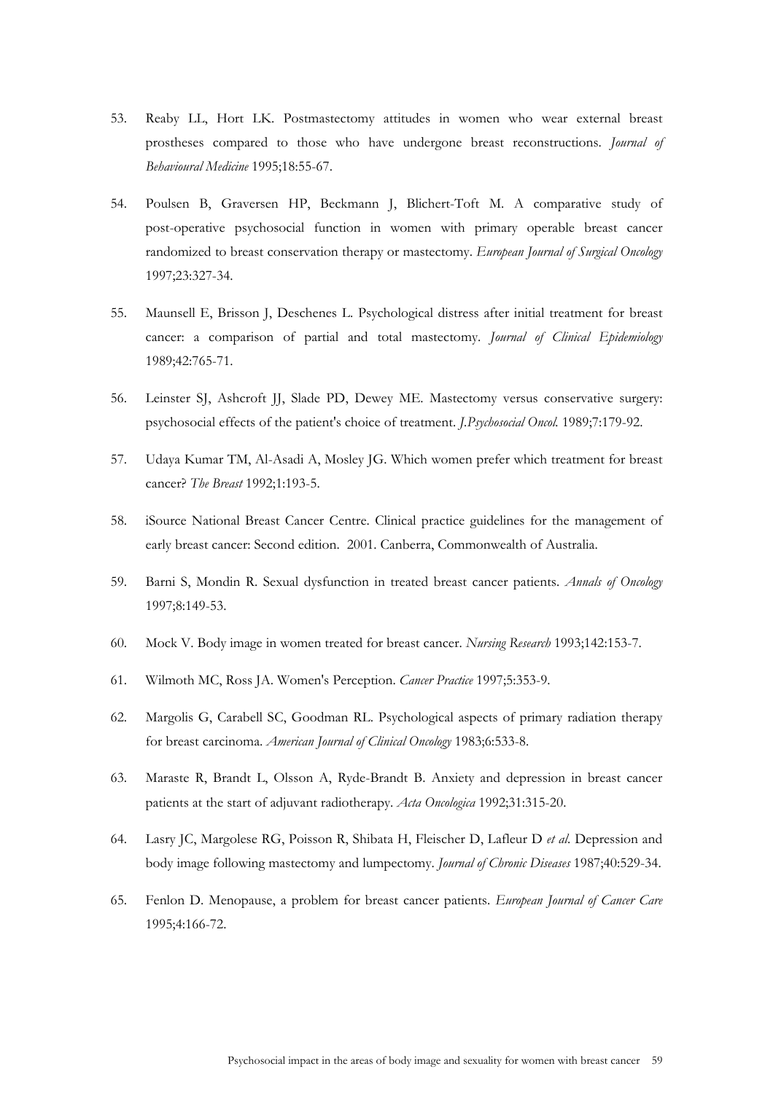- 53. Reaby LL, Hort LK. Postmastectomy attitudes in women who wear external breast prostheses compared to those who have undergone breast reconstructions. *Journal of Behavioural Medicine* 1995;18:55-67.
- 54. Poulsen B, Graversen HP, Beckmann J, Blichert-Toft M. A comparative study of post-operative psychosocial function in women with primary operable breast cancer randomized to breast conservation therapy or mastectomy. *European Journal of Surgical Oncology* 1997;23:327-34.
- 55. Maunsell E, Brisson J, Deschenes L. Psychological distress after initial treatment for breast cancer: a comparison of partial and total mastectomy. *Journal of Clinical Epidemiology* 1989;42:765-71.
- 56. Leinster SJ, Ashcroft JJ, Slade PD, Dewey ME. Mastectomy versus conservative surgery: psychosocial effects of the patient's choice of treatment. *J.Psychosocial Oncol.* 1989;7:179-92.
- 57. Udaya Kumar TM, Al-Asadi A, Mosley JG. Which women prefer which treatment for breast cancer? *The Breast* 1992;1:193-5.
- 58. iSource National Breast Cancer Centre. Clinical practice guidelines for the management of early breast cancer: Second edition. 2001. Canberra, Commonwealth of Australia.
- 59. Barni S, Mondin R. Sexual dysfunction in treated breast cancer patients. *Annals of Oncology* 1997;8:149-53.
- 60. Mock V. Body image in women treated for breast cancer. *Nursing Research* 1993;142:153-7.
- 61. Wilmoth MC, Ross JA. Women's Perception. *Cancer Practice* 1997;5:353-9.
- 62. Margolis G, Carabell SC, Goodman RL. Psychological aspects of primary radiation therapy for breast carcinoma. *American Journal of Clinical Oncology* 1983;6:533-8.
- 63. Maraste R, Brandt L, Olsson A, Ryde-Brandt B. Anxiety and depression in breast cancer patients at the start of adjuvant radiotherapy. *Acta Oncologica* 1992;31:315-20.
- 64. Lasry JC, Margolese RG, Poisson R, Shibata H, Fleischer D, Lafleur D *et al*. Depression and body image following mastectomy and lumpectomy. *Journal of Chronic Diseases* 1987;40:529-34.
- 65. Fenlon D. Menopause, a problem for breast cancer patients. *European Journal of Cancer Care* 1995;4:166-72.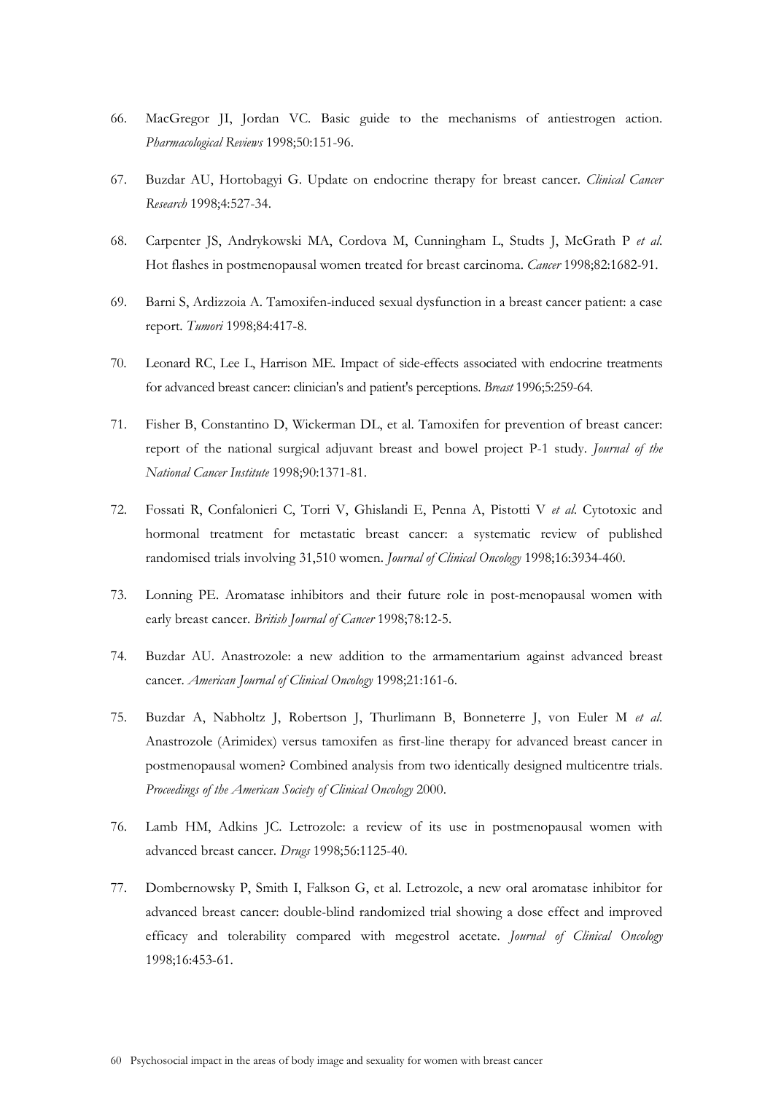- 66. MacGregor JI, Jordan VC. Basic guide to the mechanisms of antiestrogen action. *Pharmacological Reviews* 1998;50:151-96.
- 67. Buzdar AU, Hortobagyi G. Update on endocrine therapy for breast cancer. *Clinical Cancer Research* 1998;4:527-34.
- 68. Carpenter JS, Andrykowski MA, Cordova M, Cunningham L, Studts J, McGrath P *et al*. Hot flashes in postmenopausal women treated for breast carcinoma. *Cancer* 1998;82:1682-91.
- 69. Barni S, Ardizzoia A. Tamoxifen-induced sexual dysfunction in a breast cancer patient: a case report. *Tumori* 1998;84:417-8.
- 70. Leonard RC, Lee L, Harrison ME. Impact of side-effects associated with endocrine treatments for advanced breast cancer: clinician's and patient's perceptions. *Breast* 1996;5:259-64.
- 71. Fisher B, Constantino D, Wickerman DL, et al. Tamoxifen for prevention of breast cancer: report of the national surgical adjuvant breast and bowel project P-1 study. *Journal of the National Cancer Institute* 1998;90:1371-81.
- 72. Fossati R, Confalonieri C, Torri V, Ghislandi E, Penna A, Pistotti V *et al*. Cytotoxic and hormonal treatment for metastatic breast cancer: a systematic review of published randomised trials involving 31,510 women. *Journal of Clinical Oncology* 1998;16:3934-460.
- 73. Lonning PE. Aromatase inhibitors and their future role in post-menopausal women with early breast cancer. *British Journal of Cancer* 1998;78:12-5.
- 74. Buzdar AU. Anastrozole: a new addition to the armamentarium against advanced breast cancer. *American Journal of Clinical Oncology* 1998;21:161-6.
- 75. Buzdar A, Nabholtz J, Robertson J, Thurlimann B, Bonneterre J, von Euler M *et al*. Anastrozole (Arimidex) versus tamoxifen as first-line therapy for advanced breast cancer in postmenopausal women? Combined analysis from two identically designed multicentre trials. *Proceedings of the American Society of Clinical Oncology* 2000.
- 76. Lamb HM, Adkins JC. Letrozole: a review of its use in postmenopausal women with advanced breast cancer. *Drugs* 1998;56:1125-40.
- 77. Dombernowsky P, Smith I, Falkson G, et al. Letrozole, a new oral aromatase inhibitor for advanced breast cancer: double-blind randomized trial showing a dose effect and improved efficacy and tolerability compared with megestrol acetate. *Journal of Clinical Oncology* 1998;16:453-61.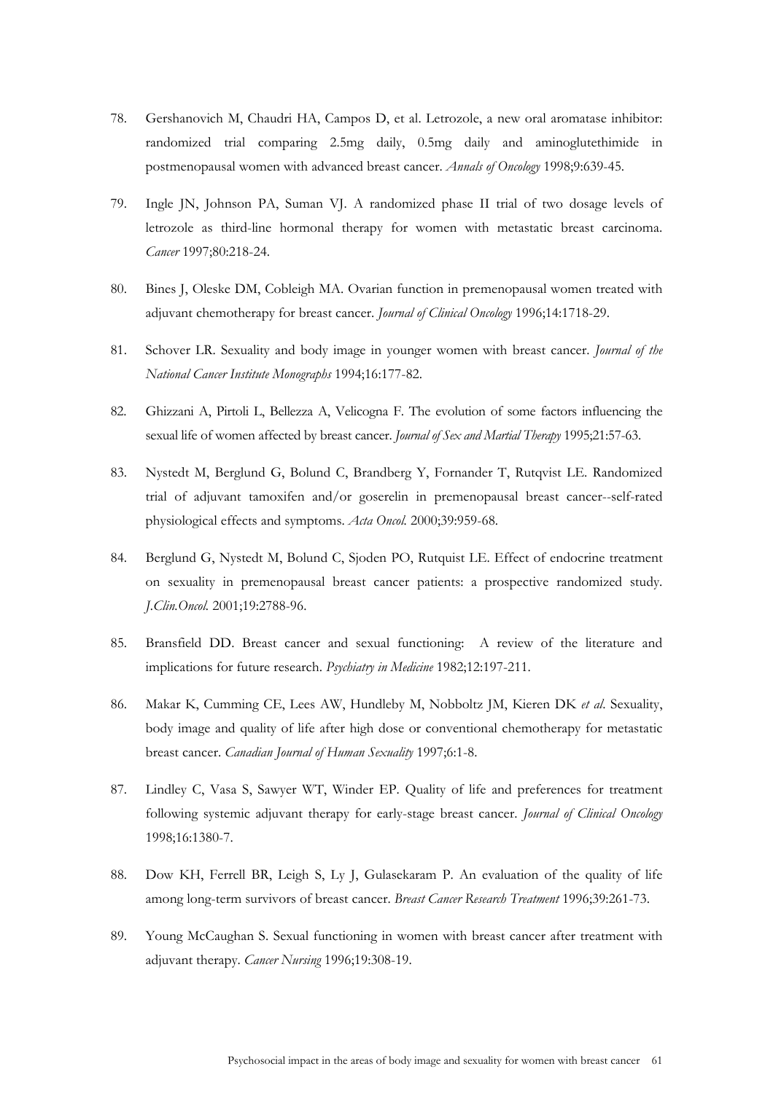- 78. Gershanovich M, Chaudri HA, Campos D, et al. Letrozole, a new oral aromatase inhibitor: randomized trial comparing 2.5mg daily, 0.5mg daily and aminoglutethimide in postmenopausal women with advanced breast cancer. *Annals of Oncology* 1998;9:639-45.
- 79. Ingle JN, Johnson PA, Suman VJ. A randomized phase II trial of two dosage levels of letrozole as third-line hormonal therapy for women with metastatic breast carcinoma. *Cancer* 1997;80:218-24.
- 80. Bines J, Oleske DM, Cobleigh MA. Ovarian function in premenopausal women treated with adjuvant chemotherapy for breast cancer. *Journal of Clinical Oncology* 1996;14:1718-29.
- 81. Schover LR. Sexuality and body image in younger women with breast cancer. *Journal of the National Cancer Institute Monographs* 1994;16:177-82.
- 82. Ghizzani A, Pirtoli L, Bellezza A, Velicogna F. The evolution of some factors influencing the sexual life of women affected by breast cancer. *Journal of Sex and Martial Therapy* 1995;21:57-63.
- 83. Nystedt M, Berglund G, Bolund C, Brandberg Y, Fornander T, Rutqvist LE. Randomized trial of adjuvant tamoxifen and/or goserelin in premenopausal breast cancer--self-rated physiological effects and symptoms. *Acta Oncol.* 2000;39:959-68.
- 84. Berglund G, Nystedt M, Bolund C, Sjoden PO, Rutquist LE. Effect of endocrine treatment on sexuality in premenopausal breast cancer patients: a prospective randomized study. *J.Clin.Oncol.* 2001;19:2788-96.
- 85. Bransfield DD. Breast cancer and sexual functioning: A review of the literature and implications for future research. *Psychiatry in Medicine* 1982;12:197-211.
- 86. Makar K, Cumming CE, Lees AW, Hundleby M, Nobboltz JM, Kieren DK *et al*. Sexuality, body image and quality of life after high dose or conventional chemotherapy for metastatic breast cancer. *Canadian Journal of Human Sexuality* 1997;6:1-8.
- 87. Lindley C, Vasa S, Sawyer WT, Winder EP. Quality of life and preferences for treatment following systemic adjuvant therapy for early-stage breast cancer. *Journal of Clinical Oncology* 1998;16:1380-7.
- 88. Dow KH, Ferrell BR, Leigh S, Ly J, Gulasekaram P. An evaluation of the quality of life among long-term survivors of breast cancer. *Breast Cancer Research Treatment* 1996;39:261-73.
- 89. Young McCaughan S. Sexual functioning in women with breast cancer after treatment with adjuvant therapy. *Cancer Nursing* 1996;19:308-19.